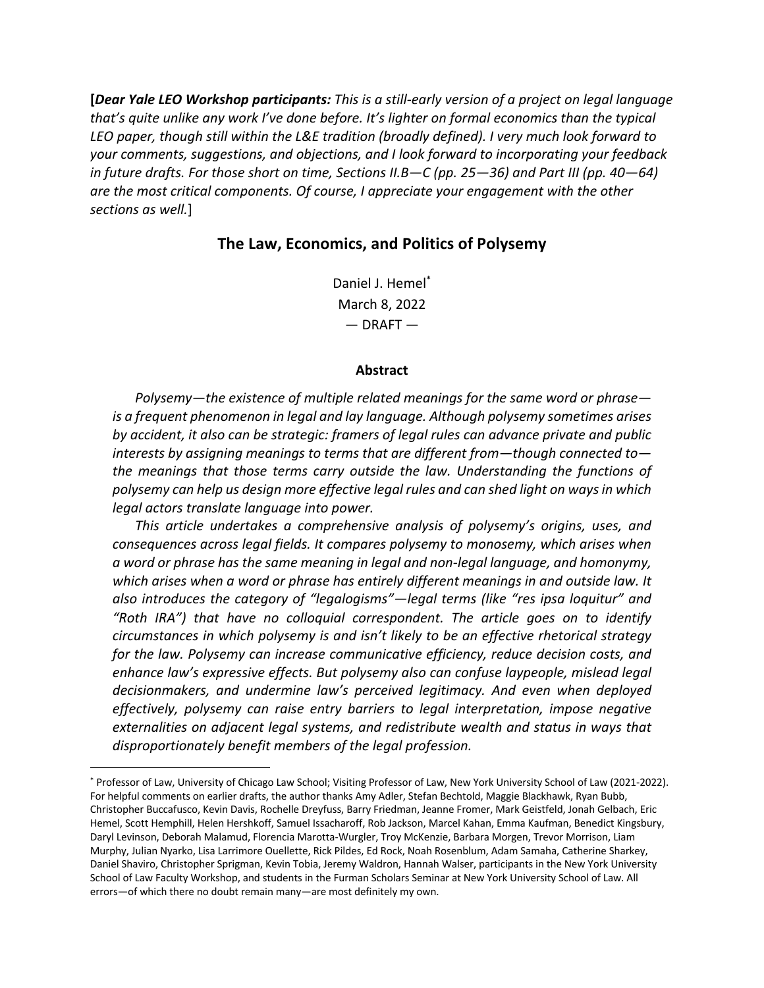**[***Dear Yale LEO Workshop participants: This is a still-early version of a project on legal language that's quite unlike any work I've done before. It's lighter on formal economics than the typical LEO paper, though still within the L&E tradition (broadly defined). I very much look forward to your comments, suggestions, and objections, and I look forward to incorporating your feedback in future drafts. For those short on time, Sections II.B—C (pp. 25—36) and Part III (pp. 40—64) are the most critical components. Of course, I appreciate your engagement with the other sections as well.*]

## **The Law, Economics, and Politics of Polysemy**

Daniel J. Hemel\* March 8, 2022  $-$  DRAFT $-$ 

#### **Abstract**

*Polysemy—the existence of multiple related meanings for the same word or phrase is a frequent phenomenon in legal and lay language. Although polysemy sometimes arises by accident, it also can be strategic: framers of legal rules can advance private and public interests by assigning meanings to terms that are different from—though connected to the meanings that those terms carry outside the law. Understanding the functions of polysemy can help us design more effective legal rules and can shed light on ways in which legal actors translate language into power.*

*This article undertakes a comprehensive analysis of polysemy's origins, uses, and consequences across legal fields. It compares polysemy to monosemy, which arises when a word or phrase has the same meaning in legal and non-legal language, and homonymy, which arises when a word or phrase has entirely different meanings in and outside law. It also introduces the category of "legalogisms"—legal terms (like "res ipsa loquitur" and "Roth IRA") that have no colloquial correspondent. The article goes on to identify circumstances in which polysemy is and isn't likely to be an effective rhetorical strategy for the law. Polysemy can increase communicative efficiency, reduce decision costs, and enhance law's expressive effects. But polysemy also can confuse laypeople, mislead legal decisionmakers, and undermine law's perceived legitimacy. And even when deployed effectively, polysemy can raise entry barriers to legal interpretation, impose negative externalities on adjacent legal systems, and redistribute wealth and status in ways that disproportionately benefit members of the legal profession.* 

<sup>\*</sup> Professor of Law, University of Chicago Law School; Visiting Professor of Law, New York University School of Law (2021-2022). For helpful comments on earlier drafts, the author thanks Amy Adler, Stefan Bechtold, Maggie Blackhawk, Ryan Bubb, Christopher Buccafusco, Kevin Davis, Rochelle Dreyfuss, Barry Friedman, Jeanne Fromer, Mark Geistfeld, Jonah Gelbach, Eric Hemel, Scott Hemphill, Helen Hershkoff, Samuel Issacharoff, Rob Jackson, Marcel Kahan, Emma Kaufman, Benedict Kingsbury, Daryl Levinson, Deborah Malamud, Florencia Marotta-Wurgler, Troy McKenzie, Barbara Morgen, Trevor Morrison, Liam Murphy, Julian Nyarko, Lisa Larrimore Ouellette, Rick Pildes, Ed Rock, Noah Rosenblum, Adam Samaha, Catherine Sharkey, Daniel Shaviro, Christopher Sprigman, Kevin Tobia, Jeremy Waldron, Hannah Walser, participants in the New York University School of Law Faculty Workshop, and students in the Furman Scholars Seminar at New York University School of Law. All errors—of which there no doubt remain many—are most definitely my own.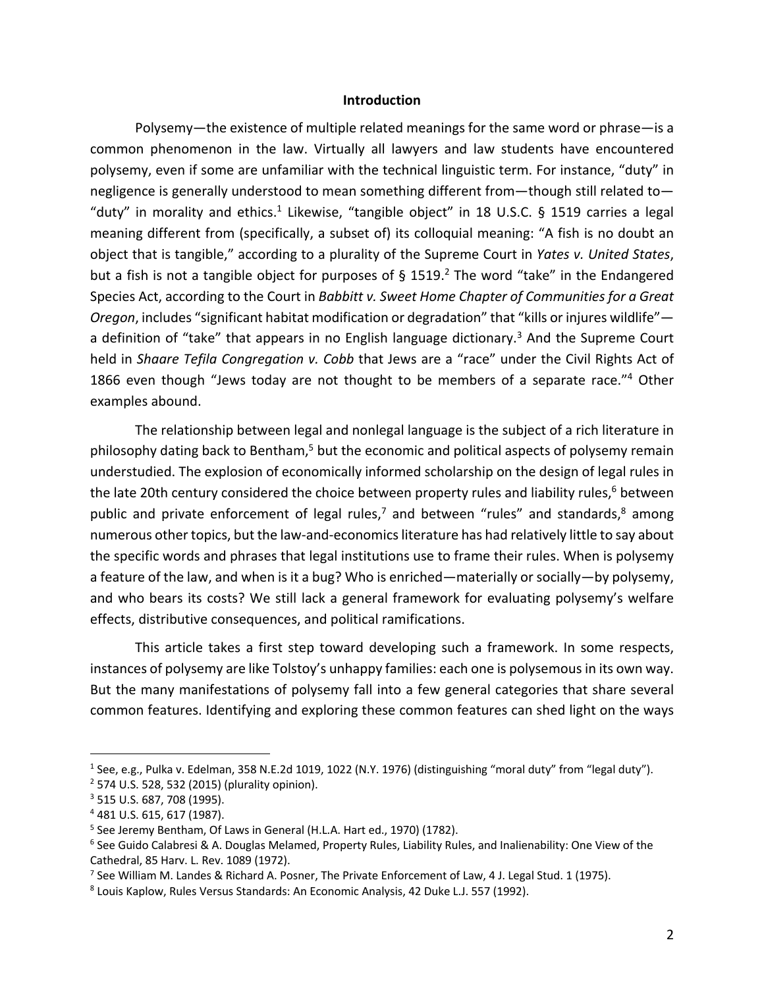#### **Introduction**

Polysemy—the existence of multiple related meanings for the same word or phrase—is a common phenomenon in the law. Virtually all lawyers and law students have encountered polysemy, even if some are unfamiliar with the technical linguistic term. For instance, "duty" in negligence is generally understood to mean something different from—though still related to— "duty" in morality and ethics.<sup>1</sup> Likewise, "tangible object" in 18 U.S.C. § 1519 carries a legal meaning different from (specifically, a subset of) its colloquial meaning: "A fish is no doubt an object that is tangible," according to a plurality of the Supreme Court in *Yates v. United States*, but a fish is not a tangible object for purposes of § 1519.<sup>2</sup> The word "take" in the Endangered Species Act, according to the Court in *Babbitt v. Sweet Home Chapter of Communities for a Great Oregon*, includes "significant habitat modification or degradation" that "kills or injures wildlife" a definition of "take" that appears in no English language dictionary.<sup>3</sup> And the Supreme Court held in *Shaare Tefila Congregation v. Cobb* that Jews are a "race" under the Civil Rights Act of 1866 even though "Jews today are not thought to be members of a separate race."<sup>4</sup> Other examples abound.

The relationship between legal and nonlegal language is the subject of a rich literature in philosophy dating back to Bentham,<sup>5</sup> but the economic and political aspects of polysemy remain understudied. The explosion of economically informed scholarship on the design of legal rules in the late 20th century considered the choice between property rules and liability rules, $6$  between public and private enforcement of legal rules,<sup>7</sup> and between "rules" and standards, $8$  among numerous other topics, but the law-and-economics literature has had relatively little to say about the specific words and phrases that legal institutions use to frame their rules. When is polysemy a feature of the law, and when is it a bug? Who is enriched—materially or socially—by polysemy, and who bears its costs? We still lack a general framework for evaluating polysemy's welfare effects, distributive consequences, and political ramifications.

This article takes a first step toward developing such a framework. In some respects, instances of polysemy are like Tolstoy's unhappy families: each one is polysemous in its own way. But the many manifestations of polysemy fall into a few general categories that share several common features. Identifying and exploring these common features can shed light on the ways

<sup>&</sup>lt;sup>1</sup> See, e.g., Pulka v. Edelman, 358 N.E.2d 1019, 1022 (N.Y. 1976) (distinguishing "moral duty" from "legal duty").  $2$  574 U.S. 528, 532 (2015) (plurality opinion).

<sup>3</sup> 515 U.S. 687, 708 (1995).

<sup>4</sup> 481 U.S. 615, 617 (1987).

<sup>&</sup>lt;sup>5</sup> See Jeremy Bentham, Of Laws in General (H.L.A. Hart ed., 1970) (1782).

 $6$  See Guido Calabresi & A. Douglas Melamed, Property Rules, Liability Rules, and Inalienability: One View of the Cathedral, 85 Harv. L. Rev. 1089 (1972).

<sup>&</sup>lt;sup>7</sup> See William M. Landes & Richard A. Posner, The Private Enforcement of Law, 4 J. Legal Stud. 1 (1975).

<sup>8</sup> Louis Kaplow, Rules Versus Standards: An Economic Analysis, 42 Duke L.J. 557 (1992).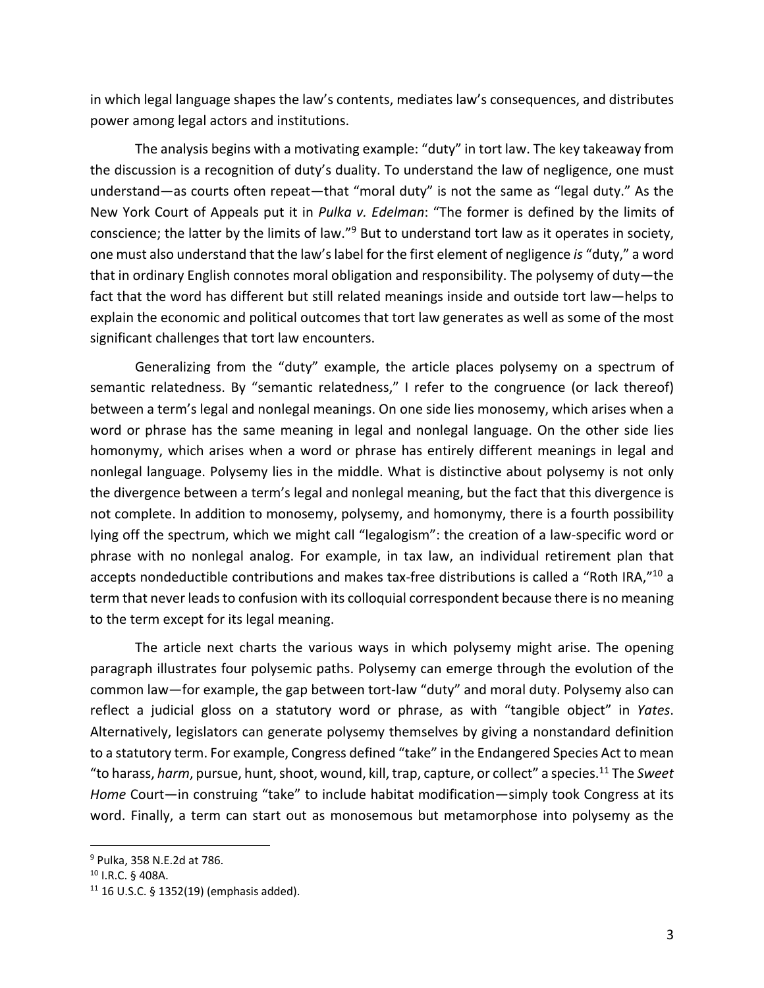in which legal language shapes the law's contents, mediates law's consequences, and distributes power among legal actors and institutions.

The analysis begins with a motivating example: "duty" in tort law. The key takeaway from the discussion is a recognition of duty's duality. To understand the law of negligence, one must understand—as courts often repeat—that "moral duty" is not the same as "legal duty." As the New York Court of Appeals put it in *Pulka v. Edelman*: "The former is defined by the limits of conscience; the latter by the limits of law."<sup>9</sup> But to understand tort law as it operates in society, one must also understand that the law's label for the first element of negligence *is* "duty," a word that in ordinary English connotes moral obligation and responsibility. The polysemy of duty—the fact that the word has different but still related meanings inside and outside tort law—helps to explain the economic and political outcomes that tort law generates as well as some of the most significant challenges that tort law encounters.

Generalizing from the "duty" example, the article places polysemy on a spectrum of semantic relatedness. By "semantic relatedness," I refer to the congruence (or lack thereof) between a term's legal and nonlegal meanings. On one side lies monosemy, which arises when a word or phrase has the same meaning in legal and nonlegal language. On the other side lies homonymy, which arises when a word or phrase has entirely different meanings in legal and nonlegal language. Polysemy lies in the middle. What is distinctive about polysemy is not only the divergence between a term's legal and nonlegal meaning, but the fact that this divergence is not complete. In addition to monosemy, polysemy, and homonymy, there is a fourth possibility lying off the spectrum, which we might call "legalogism": the creation of a law-specific word or phrase with no nonlegal analog. For example, in tax law, an individual retirement plan that accepts nondeductible contributions and makes tax-free distributions is called a "Roth IRA,"10 a term that never leads to confusion with its colloquial correspondent because there is no meaning to the term except for its legal meaning.

The article next charts the various ways in which polysemy might arise. The opening paragraph illustrates four polysemic paths. Polysemy can emerge through the evolution of the common law—for example, the gap between tort-law "duty" and moral duty. Polysemy also can reflect a judicial gloss on a statutory word or phrase, as with "tangible object" in *Yates*. Alternatively, legislators can generate polysemy themselves by giving a nonstandard definition to a statutory term. For example, Congress defined "take" in the Endangered Species Act to mean "to harass, *harm*, pursue, hunt, shoot, wound, kill, trap, capture, or collect" a species. <sup>11</sup> The *Sweet Home* Court—in construing "take" to include habitat modification—simply took Congress at its word. Finally, a term can start out as monosemous but metamorphose into polysemy as the

<sup>9</sup> Pulka, 358 N.E.2d at 786.

<sup>10</sup> I.R.C. § 408A.

 $11$  16 U.S.C. § 1352(19) (emphasis added).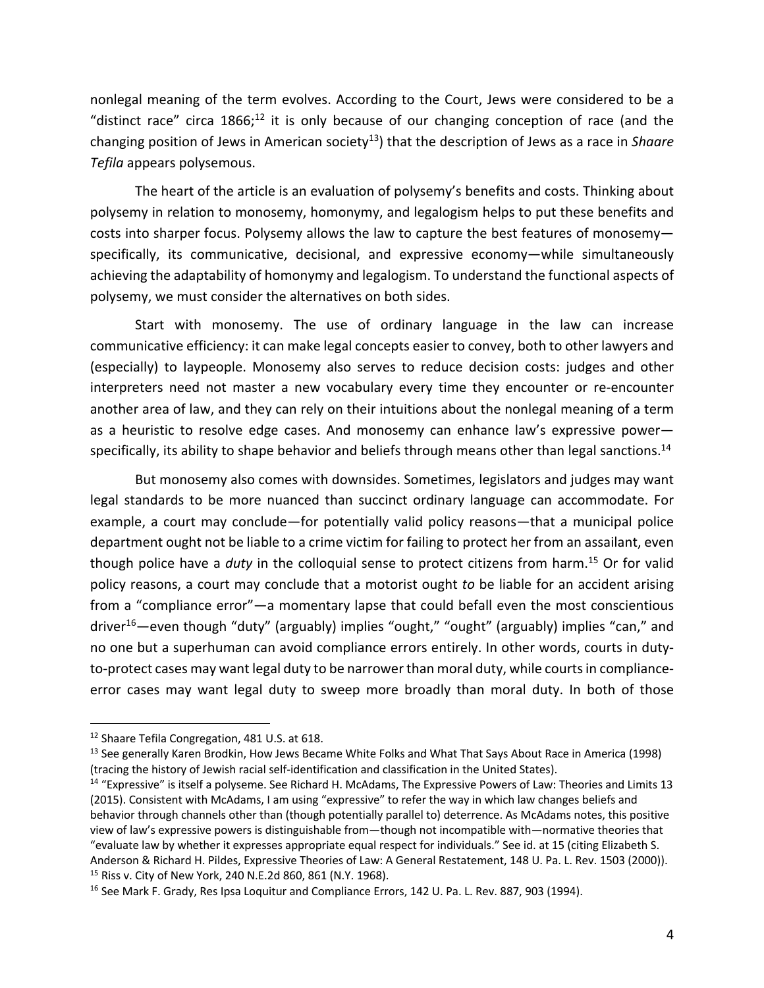nonlegal meaning of the term evolves. According to the Court, Jews were considered to be a "distinct race" circa  $1866$ <sup>12</sup> it is only because of our changing conception of race (and the changing position of Jews in American society13) that the description of Jews as a race in *Shaare Tefila* appears polysemous.

The heart of the article is an evaluation of polysemy's benefits and costs. Thinking about polysemy in relation to monosemy, homonymy, and legalogism helps to put these benefits and costs into sharper focus. Polysemy allows the law to capture the best features of monosemy specifically, its communicative, decisional, and expressive economy—while simultaneously achieving the adaptability of homonymy and legalogism. To understand the functional aspects of polysemy, we must consider the alternatives on both sides.

Start with monosemy. The use of ordinary language in the law can increase communicative efficiency: it can make legal concepts easier to convey, both to other lawyers and (especially) to laypeople. Monosemy also serves to reduce decision costs: judges and other interpreters need not master a new vocabulary every time they encounter or re-encounter another area of law, and they can rely on their intuitions about the nonlegal meaning of a term as a heuristic to resolve edge cases. And monosemy can enhance law's expressive power specifically, its ability to shape behavior and beliefs through means other than legal sanctions.<sup>14</sup>

But monosemy also comes with downsides. Sometimes, legislators and judges may want legal standards to be more nuanced than succinct ordinary language can accommodate. For example, a court may conclude—for potentially valid policy reasons—that a municipal police department ought not be liable to a crime victim for failing to protect her from an assailant, even though police have a *duty* in the colloquial sense to protect citizens from harm.15 Or for valid policy reasons, a court may conclude that a motorist ought *to* be liable for an accident arising from a "compliance error"—a momentary lapse that could befall even the most conscientious driver<sup>16</sup>—even though "duty" (arguably) implies "ought," "ought" (arguably) implies "can," and no one but a superhuman can avoid compliance errors entirely. In other words, courts in dutyto-protect cases may want legal duty to be narrower than moral duty, while courts in complianceerror cases may want legal duty to sweep more broadly than moral duty. In both of those

<sup>12</sup> Shaare Tefila Congregation, 481 U.S. at 618.

<sup>&</sup>lt;sup>13</sup> See generally Karen Brodkin, How Jews Became White Folks and What That Says About Race in America (1998) (tracing the history of Jewish racial self-identification and classification in the United States).

<sup>&</sup>lt;sup>14</sup> "Expressive" is itself a polyseme. See Richard H. McAdams, The Expressive Powers of Law: Theories and Limits 13 (2015). Consistent with McAdams, I am using "expressive" to refer the way in which law changes beliefs and behavior through channels other than (though potentially parallel to) deterrence. As McAdams notes, this positive view of law's expressive powers is distinguishable from—though not incompatible with—normative theories that "evaluate law by whether it expresses appropriate equal respect for individuals." See id. at 15 (citing Elizabeth S. Anderson & Richard H. Pildes, Expressive Theories of Law: A General Restatement, 148 U. Pa. L. Rev. 1503 (2000)). <sup>15</sup> Riss v. City of New York, 240 N.E.2d 860, 861 (N.Y. 1968).

<sup>&</sup>lt;sup>16</sup> See Mark F. Grady, Res Ipsa Loquitur and Compliance Errors, 142 U. Pa. L. Rev. 887, 903 (1994).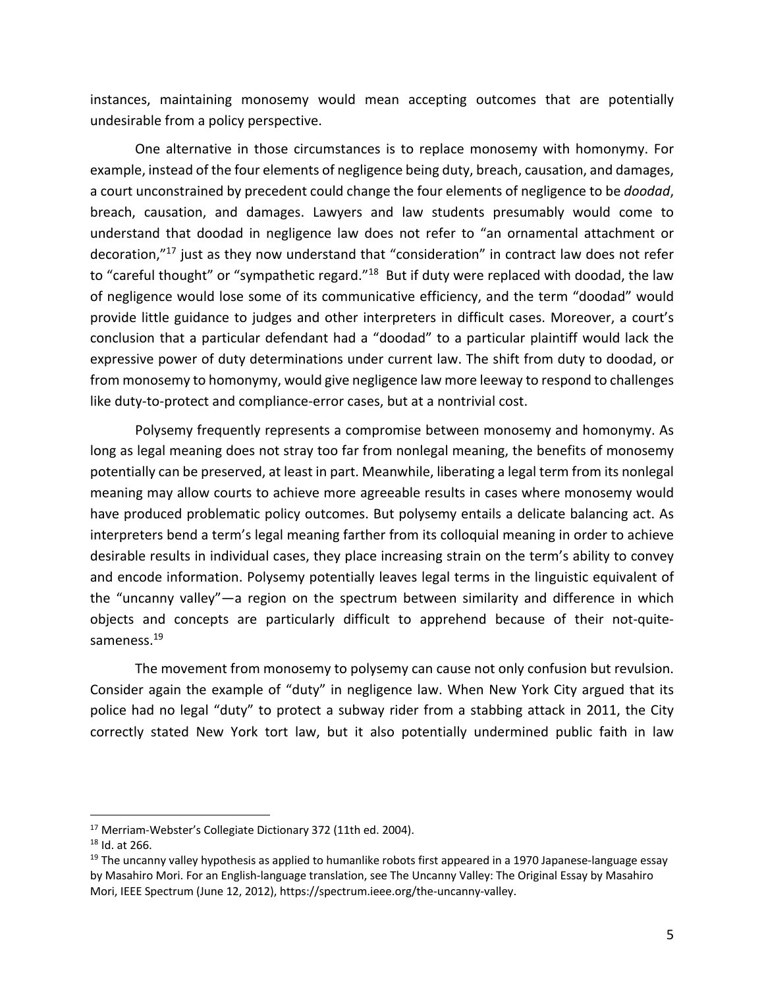instances, maintaining monosemy would mean accepting outcomes that are potentially undesirable from a policy perspective.

One alternative in those circumstances is to replace monosemy with homonymy. For example, instead of the four elements of negligence being duty, breach, causation, and damages, a court unconstrained by precedent could change the four elements of negligence to be *doodad*, breach, causation, and damages. Lawyers and law students presumably would come to understand that doodad in negligence law does not refer to "an ornamental attachment or decoration,"17 just as they now understand that "consideration" in contract law does not refer to "careful thought" or "sympathetic regard."<sup>18</sup> But if duty were replaced with doodad, the law of negligence would lose some of its communicative efficiency, and the term "doodad" would provide little guidance to judges and other interpreters in difficult cases. Moreover, a court's conclusion that a particular defendant had a "doodad" to a particular plaintiff would lack the expressive power of duty determinations under current law. The shift from duty to doodad, or from monosemy to homonymy, would give negligence law more leeway to respond to challenges like duty-to-protect and compliance-error cases, but at a nontrivial cost.

Polysemy frequently represents a compromise between monosemy and homonymy. As long as legal meaning does not stray too far from nonlegal meaning, the benefits of monosemy potentially can be preserved, at least in part. Meanwhile, liberating a legal term from its nonlegal meaning may allow courts to achieve more agreeable results in cases where monosemy would have produced problematic policy outcomes. But polysemy entails a delicate balancing act. As interpreters bend a term's legal meaning farther from its colloquial meaning in order to achieve desirable results in individual cases, they place increasing strain on the term's ability to convey and encode information. Polysemy potentially leaves legal terms in the linguistic equivalent of the "uncanny valley"—a region on the spectrum between similarity and difference in which objects and concepts are particularly difficult to apprehend because of their not-quitesameness.<sup>19</sup>

The movement from monosemy to polysemy can cause not only confusion but revulsion. Consider again the example of "duty" in negligence law. When New York City argued that its police had no legal "duty" to protect a subway rider from a stabbing attack in 2011, the City correctly stated New York tort law, but it also potentially undermined public faith in law

<sup>&</sup>lt;sup>17</sup> Merriam-Webster's Collegiate Dictionary 372 (11th ed. 2004).

 $18$  Id. at 266.

 $19$  The uncanny valley hypothesis as applied to humanlike robots first appeared in a 1970 Japanese-language essay by Masahiro Mori. For an English-language translation, see The Uncanny Valley: The Original Essay by Masahiro Mori, IEEE Spectrum (June 12, 2012), https://spectrum.ieee.org/the-uncanny-valley.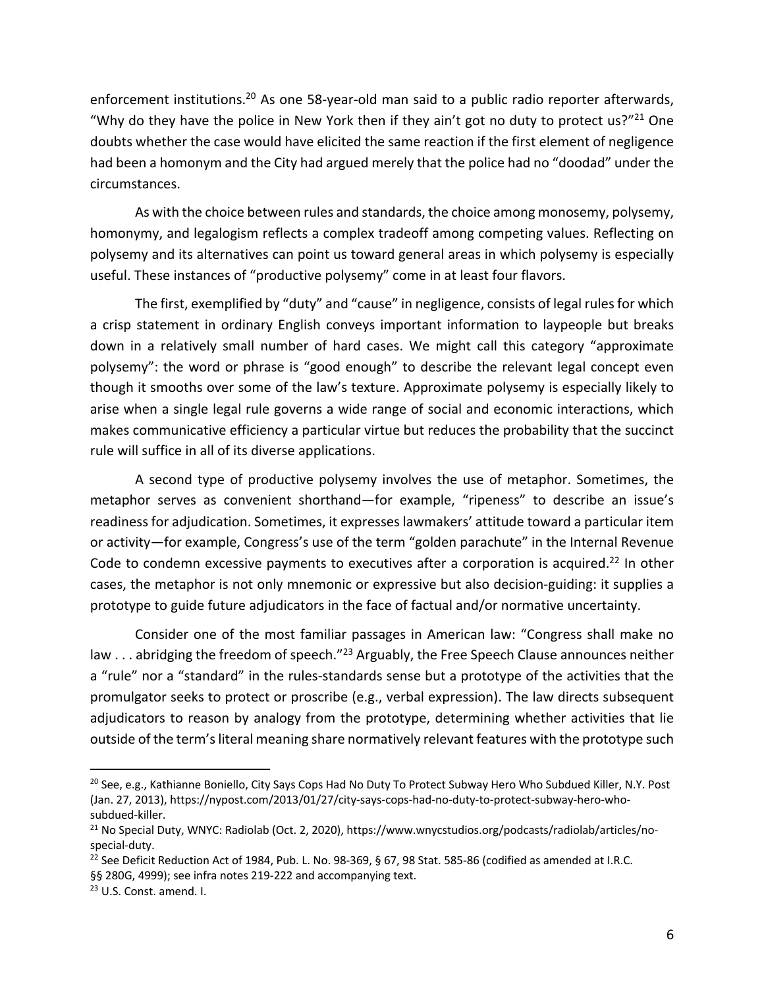enforcement institutions.<sup>20</sup> As one 58-year-old man said to a public radio reporter afterwards, "Why do they have the police in New York then if they ain't got no duty to protect us?"<sup>21</sup> One doubts whether the case would have elicited the same reaction if the first element of negligence had been a homonym and the City had argued merely that the police had no "doodad" under the circumstances.

As with the choice between rules and standards, the choice among monosemy, polysemy, homonymy, and legalogism reflects a complex tradeoff among competing values. Reflecting on polysemy and its alternatives can point us toward general areas in which polysemy is especially useful. These instances of "productive polysemy" come in at least four flavors.

The first, exemplified by "duty" and "cause" in negligence, consists of legal rules for which a crisp statement in ordinary English conveys important information to laypeople but breaks down in a relatively small number of hard cases. We might call this category "approximate polysemy": the word or phrase is "good enough" to describe the relevant legal concept even though it smooths over some of the law's texture. Approximate polysemy is especially likely to arise when a single legal rule governs a wide range of social and economic interactions, which makes communicative efficiency a particular virtue but reduces the probability that the succinct rule will suffice in all of its diverse applications.

A second type of productive polysemy involves the use of metaphor. Sometimes, the metaphor serves as convenient shorthand—for example, "ripeness" to describe an issue's readiness for adjudication. Sometimes, it expresses lawmakers' attitude toward a particular item or activity—for example, Congress's use of the term "golden parachute" in the Internal Revenue Code to condemn excessive payments to executives after a corporation is acquired.<sup>22</sup> In other cases, the metaphor is not only mnemonic or expressive but also decision-guiding: it supplies a prototype to guide future adjudicators in the face of factual and/or normative uncertainty.

Consider one of the most familiar passages in American law: "Congress shall make no law . . . abridging the freedom of speech."<sup>23</sup> Arguably, the Free Speech Clause announces neither a "rule" nor a "standard" in the rules-standards sense but a prototype of the activities that the promulgator seeks to protect or proscribe (e.g., verbal expression). The law directs subsequent adjudicators to reason by analogy from the prototype, determining whether activities that lie outside of the term's literal meaning share normatively relevant features with the prototype such

<sup>&</sup>lt;sup>20</sup> See, e.g., Kathianne Boniello, City Says Cops Had No Duty To Protect Subway Hero Who Subdued Killer, N.Y. Post (Jan. 27, 2013), https://nypost.com/2013/01/27/city-says-cops-had-no-duty-to-protect-subway-hero-whosubdued-killer.<br><sup>21</sup> No Special Duty, WNYC: Radiolab (Oct. 2, 2020), https://www.wnycstudios.org/podcasts/radiolab/articles/no-

special-duty.

<sup>&</sup>lt;sup>22</sup> See Deficit Reduction Act of 1984, Pub. L. No. 98-369, § 67, 98 Stat. 585-86 (codified as amended at I.R.C. §§ 280G, 4999); see infra notes 219-222 and accompanying text.

<sup>&</sup>lt;sup>23</sup> U.S. Const. amend. I.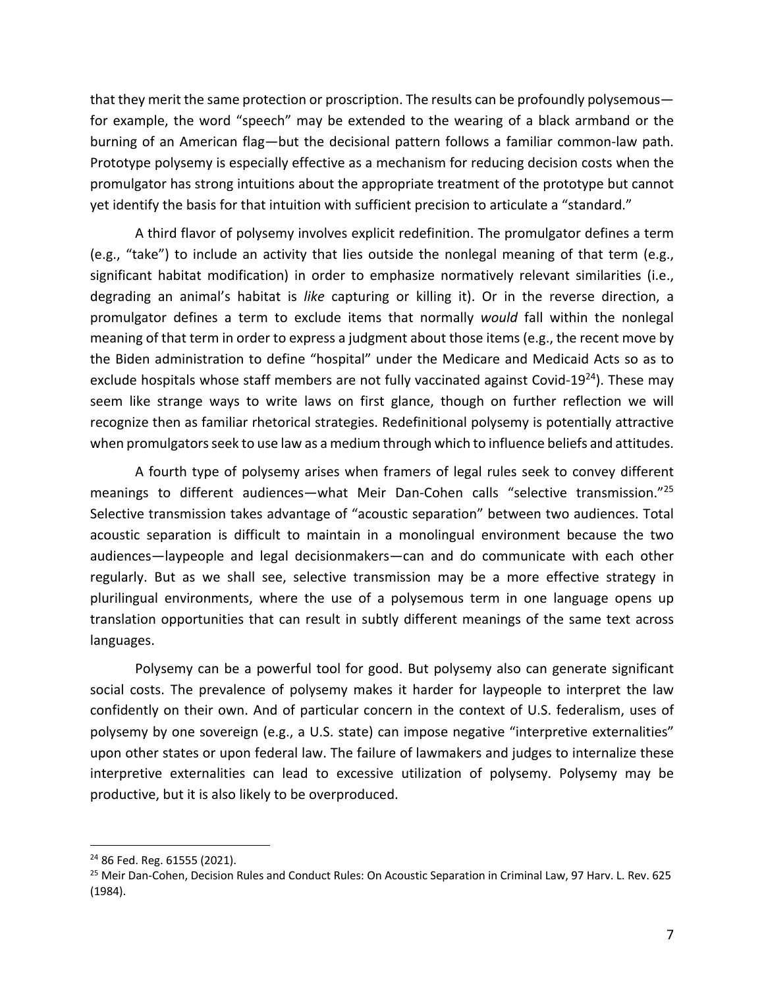that they merit the same protection or proscription. The results can be profoundly polysemous for example, the word "speech" may be extended to the wearing of a black armband or the burning of an American flag—but the decisional pattern follows a familiar common-law path. Prototype polysemy is especially effective as a mechanism for reducing decision costs when the promulgator has strong intuitions about the appropriate treatment of the prototype but cannot yet identify the basis for that intuition with sufficient precision to articulate a "standard."

A third flavor of polysemy involves explicit redefinition. The promulgator defines a term (e.g., "take") to include an activity that lies outside the nonlegal meaning of that term (e.g., significant habitat modification) in order to emphasize normatively relevant similarities (i.e., degrading an animal's habitat is *like* capturing or killing it). Or in the reverse direction, a promulgator defines a term to exclude items that normally *would* fall within the nonlegal meaning of that term in order to express a judgment about those items (e.g., the recent move by the Biden administration to define "hospital" under the Medicare and Medicaid Acts so as to exclude hospitals whose staff members are not fully vaccinated against Covid-19<sup>24</sup>). These may seem like strange ways to write laws on first glance, though on further reflection we will recognize then as familiar rhetorical strategies. Redefinitional polysemy is potentially attractive when promulgators seek to use law as a medium through which to influence beliefs and attitudes.

A fourth type of polysemy arises when framers of legal rules seek to convey different meanings to different audiences—what Meir Dan-Cohen calls "selective transmission."25 Selective transmission takes advantage of "acoustic separation" between two audiences. Total acoustic separation is difficult to maintain in a monolingual environment because the two audiences—laypeople and legal decisionmakers—can and do communicate with each other regularly. But as we shall see, selective transmission may be a more effective strategy in plurilingual environments, where the use of a polysemous term in one language opens up translation opportunities that can result in subtly different meanings of the same text across languages.

Polysemy can be a powerful tool for good. But polysemy also can generate significant social costs. The prevalence of polysemy makes it harder for laypeople to interpret the law confidently on their own. And of particular concern in the context of U.S. federalism, uses of polysemy by one sovereign (e.g., a U.S. state) can impose negative "interpretive externalities" upon other states or upon federal law. The failure of lawmakers and judges to internalize these interpretive externalities can lead to excessive utilization of polysemy. Polysemy may be productive, but it is also likely to be overproduced.

<sup>24</sup> 86 Fed. Reg. 61555 (2021).

<sup>&</sup>lt;sup>25</sup> Meir Dan-Cohen, Decision Rules and Conduct Rules: On Acoustic Separation in Criminal Law, 97 Harv. L. Rev. 625 (1984).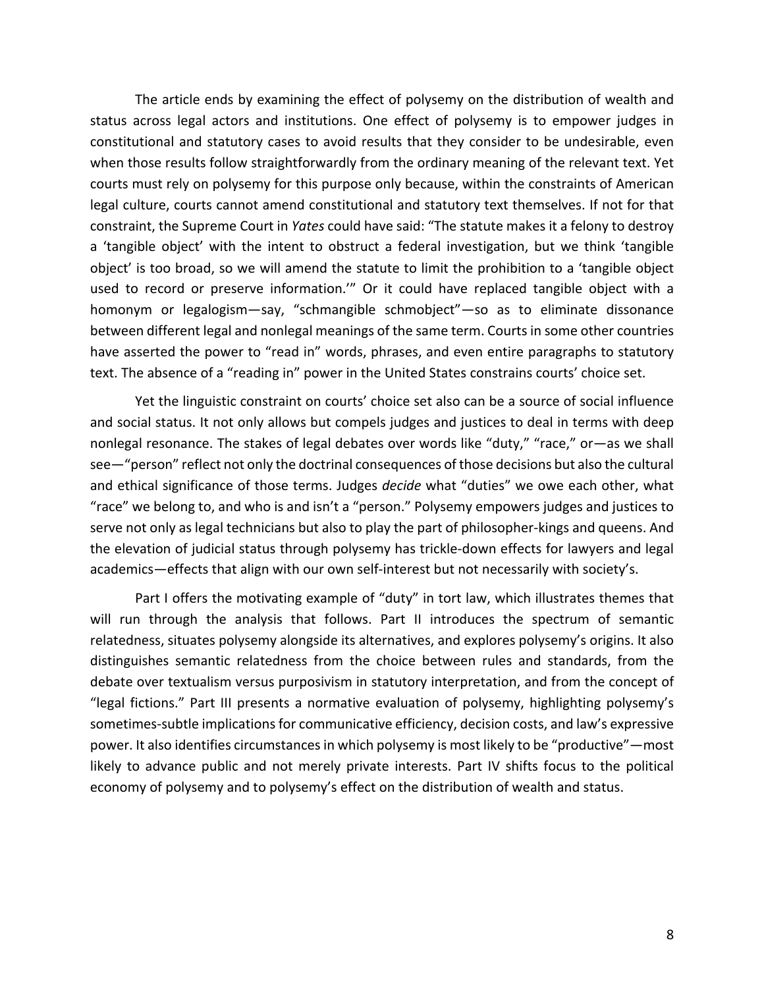The article ends by examining the effect of polysemy on the distribution of wealth and status across legal actors and institutions. One effect of polysemy is to empower judges in constitutional and statutory cases to avoid results that they consider to be undesirable, even when those results follow straightforwardly from the ordinary meaning of the relevant text. Yet courts must rely on polysemy for this purpose only because, within the constraints of American legal culture, courts cannot amend constitutional and statutory text themselves. If not for that constraint, the Supreme Court in *Yates* could have said: "The statute makes it a felony to destroy a 'tangible object' with the intent to obstruct a federal investigation, but we think 'tangible object' is too broad, so we will amend the statute to limit the prohibition to a 'tangible object used to record or preserve information.'" Or it could have replaced tangible object with a homonym or legalogism—say, "schmangible schmobject"—so as to eliminate dissonance between different legal and nonlegal meanings of the same term. Courts in some other countries have asserted the power to "read in" words, phrases, and even entire paragraphs to statutory text. The absence of a "reading in" power in the United States constrains courts' choice set.

Yet the linguistic constraint on courts' choice set also can be a source of social influence and social status. It not only allows but compels judges and justices to deal in terms with deep nonlegal resonance. The stakes of legal debates over words like "duty," "race," or—as we shall see—"person" reflect not only the doctrinal consequences of those decisions but also the cultural and ethical significance of those terms. Judges *decide* what "duties" we owe each other, what "race" we belong to, and who is and isn't a "person." Polysemy empowers judges and justices to serve not only as legal technicians but also to play the part of philosopher-kings and queens. And the elevation of judicial status through polysemy has trickle-down effects for lawyers and legal academics—effects that align with our own self-interest but not necessarily with society's.

Part I offers the motivating example of "duty" in tort law, which illustrates themes that will run through the analysis that follows. Part II introduces the spectrum of semantic relatedness, situates polysemy alongside its alternatives, and explores polysemy's origins. It also distinguishes semantic relatedness from the choice between rules and standards, from the debate over textualism versus purposivism in statutory interpretation, and from the concept of "legal fictions." Part III presents a normative evaluation of polysemy, highlighting polysemy's sometimes-subtle implications for communicative efficiency, decision costs, and law's expressive power. It also identifies circumstances in which polysemy is most likely to be "productive"—most likely to advance public and not merely private interests. Part IV shifts focus to the political economy of polysemy and to polysemy's effect on the distribution of wealth and status.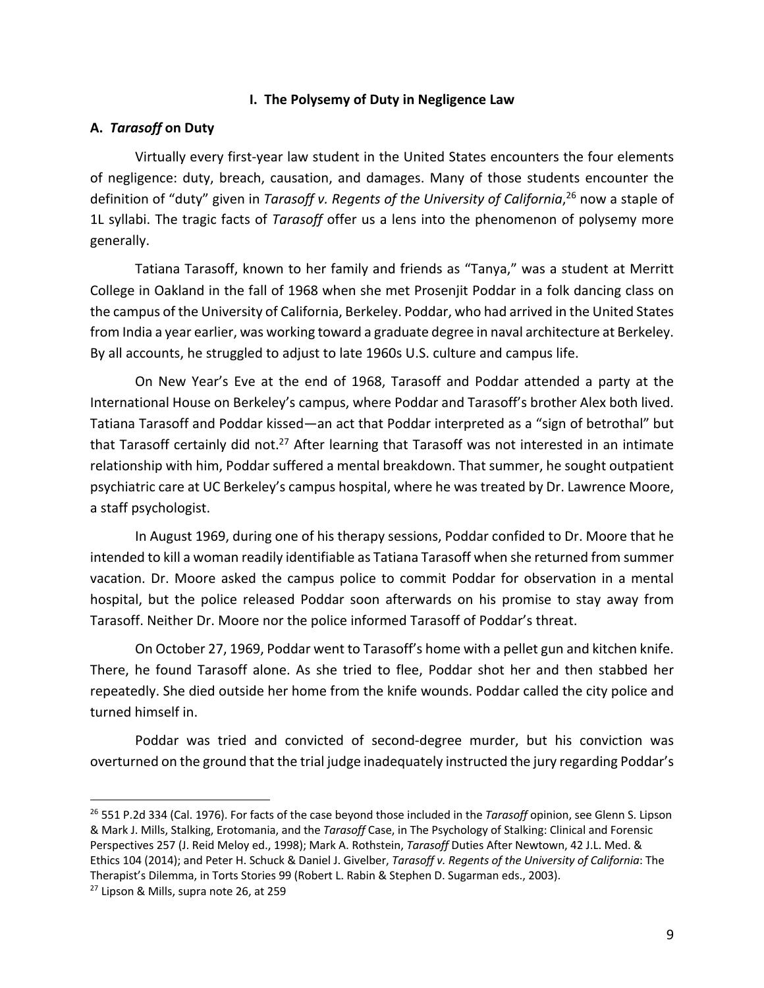### **I. The Polysemy of Duty in Negligence Law**

#### **A.** *Tarasoff* **on Duty**

Virtually every first-year law student in the United States encounters the four elements of negligence: duty, breach, causation, and damages. Many of those students encounter the definition of "duty" given in *Tarasoff v. Regents of the University of California*, <sup>26</sup> now a staple of 1L syllabi. The tragic facts of *Tarasoff* offer us a lens into the phenomenon of polysemy more generally.

Tatiana Tarasoff, known to her family and friends as "Tanya," was a student at Merritt College in Oakland in the fall of 1968 when she met Prosenjit Poddar in a folk dancing class on the campus of the University of California, Berkeley. Poddar, who had arrived in the United States from India a year earlier, was working toward a graduate degree in naval architecture at Berkeley. By all accounts, he struggled to adjust to late 1960s U.S. culture and campus life.

On New Year's Eve at the end of 1968, Tarasoff and Poddar attended a party at the International House on Berkeley's campus, where Poddar and Tarasoff's brother Alex both lived. Tatiana Tarasoff and Poddar kissed—an act that Poddar interpreted as a "sign of betrothal" but that Tarasoff certainly did not.<sup>27</sup> After learning that Tarasoff was not interested in an intimate relationship with him, Poddar suffered a mental breakdown. That summer, he sought outpatient psychiatric care at UC Berkeley's campus hospital, where he was treated by Dr. Lawrence Moore, a staff psychologist.

In August 1969, during one of his therapy sessions, Poddar confided to Dr. Moore that he intended to kill a woman readily identifiable as Tatiana Tarasoff when she returned from summer vacation. Dr. Moore asked the campus police to commit Poddar for observation in a mental hospital, but the police released Poddar soon afterwards on his promise to stay away from Tarasoff. Neither Dr. Moore nor the police informed Tarasoff of Poddar's threat.

On October 27, 1969, Poddar went to Tarasoff's home with a pellet gun and kitchen knife. There, he found Tarasoff alone. As she tried to flee, Poddar shot her and then stabbed her repeatedly. She died outside her home from the knife wounds. Poddar called the city police and turned himself in.

Poddar was tried and convicted of second-degree murder, but his conviction was overturned on the ground that the trial judge inadequately instructed the jury regarding Poddar's

<sup>26</sup> 551 P.2d 334 (Cal. 1976). For facts of the case beyond those included in the *Tarasoff* opinion, see Glenn S. Lipson & Mark J. Mills, Stalking, Erotomania, and the *Tarasoff* Case, in The Psychology of Stalking: Clinical and Forensic Perspectives 257 (J. Reid Meloy ed., 1998); Mark A. Rothstein, *Tarasoff* Duties After Newtown, 42 J.L. Med. & Ethics 104 (2014); and Peter H. Schuck & Daniel J. Givelber, *Tarasoff v. Regents of the University of California*: The Therapist's Dilemma, in Torts Stories 99 (Robert L. Rabin & Stephen D. Sugarman eds., 2003).

<sup>27</sup> Lipson & Mills, supra note 26, at 259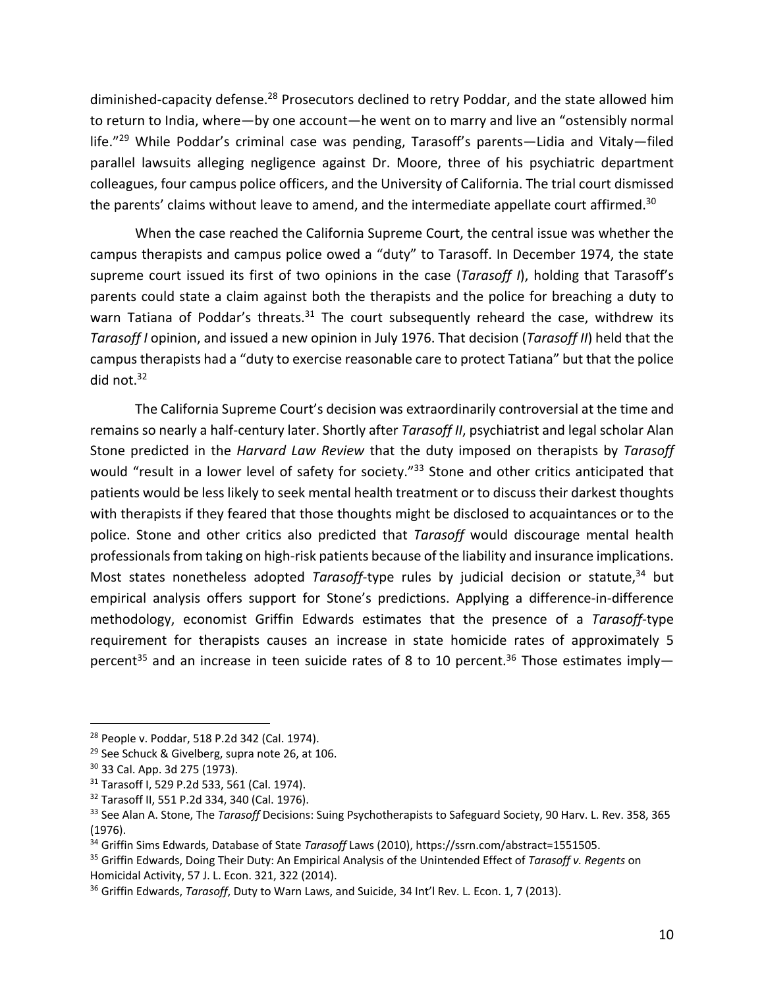diminished-capacity defense.<sup>28</sup> Prosecutors declined to retry Poddar, and the state allowed him to return to India, where—by one account—he went on to marry and live an "ostensibly normal life."<sup>29</sup> While Poddar's criminal case was pending, Tarasoff's parents—Lidia and Vitaly—filed parallel lawsuits alleging negligence against Dr. Moore, three of his psychiatric department colleagues, four campus police officers, and the University of California. The trial court dismissed the parents' claims without leave to amend, and the intermediate appellate court affirmed.<sup>30</sup>

When the case reached the California Supreme Court, the central issue was whether the campus therapists and campus police owed a "duty" to Tarasoff. In December 1974, the state supreme court issued its first of two opinions in the case (*Tarasoff I*), holding that Tarasoff's parents could state a claim against both the therapists and the police for breaching a duty to warn Tatiana of Poddar's threats. $31$  The court subsequently reheard the case, withdrew its *Tarasoff I* opinion, and issued a new opinion in July 1976. That decision (*Tarasoff II*) held that the campus therapists had a "duty to exercise reasonable care to protect Tatiana" but that the police did not.<sup>32</sup>

The California Supreme Court's decision was extraordinarily controversial at the time and remains so nearly a half-century later. Shortly after *Tarasoff II*, psychiatrist and legal scholar Alan Stone predicted in the *Harvard Law Review* that the duty imposed on therapists by *Tarasoff* would "result in a lower level of safety for society."<sup>33</sup> Stone and other critics anticipated that patients would be less likely to seek mental health treatment or to discuss their darkest thoughts with therapists if they feared that those thoughts might be disclosed to acquaintances or to the police. Stone and other critics also predicted that *Tarasoff* would discourage mental health professionals from taking on high-risk patients because of the liability and insurance implications. Most states nonetheless adopted *Tarasoff*-type rules by judicial decision or statute,<sup>34</sup> but empirical analysis offers support for Stone's predictions. Applying a difference-in-difference methodology, economist Griffin Edwards estimates that the presence of a *Tarasoff*-type requirement for therapists causes an increase in state homicide rates of approximately 5 percent<sup>35</sup> and an increase in teen suicide rates of 8 to 10 percent.<sup>36</sup> Those estimates imply-

<sup>28</sup> People v. Poddar, 518 P.2d 342 (Cal. 1974).

<sup>&</sup>lt;sup>29</sup> See Schuck & Givelberg, supra note 26, at 106.

<sup>30</sup> 33 Cal. App. 3d 275 (1973).

<sup>31</sup> Tarasoff I, 529 P.2d 533, 561 (Cal. 1974).

<sup>32</sup> Tarasoff II, 551 P.2d 334, 340 (Cal. 1976).

<sup>33</sup> See Alan A. Stone, The *Tarasoff* Decisions: Suing Psychotherapists to Safeguard Society, 90 Harv. L. Rev. 358, 365 (1976).

<sup>34</sup> Griffin Sims Edwards, Database of State *Tarasoff* Laws (2010), https://ssrn.com/abstract=1551505.

<sup>35</sup> Griffin Edwards, Doing Their Duty: An Empirical Analysis of the Unintended Effect of *Tarasoff v. Regents* on Homicidal Activity, 57 J. L. Econ. 321, 322 (2014).

<sup>36</sup> Griffin Edwards, *Tarasoff*, Duty to Warn Laws, and Suicide, 34 Int'l Rev. L. Econ. 1, 7 (2013).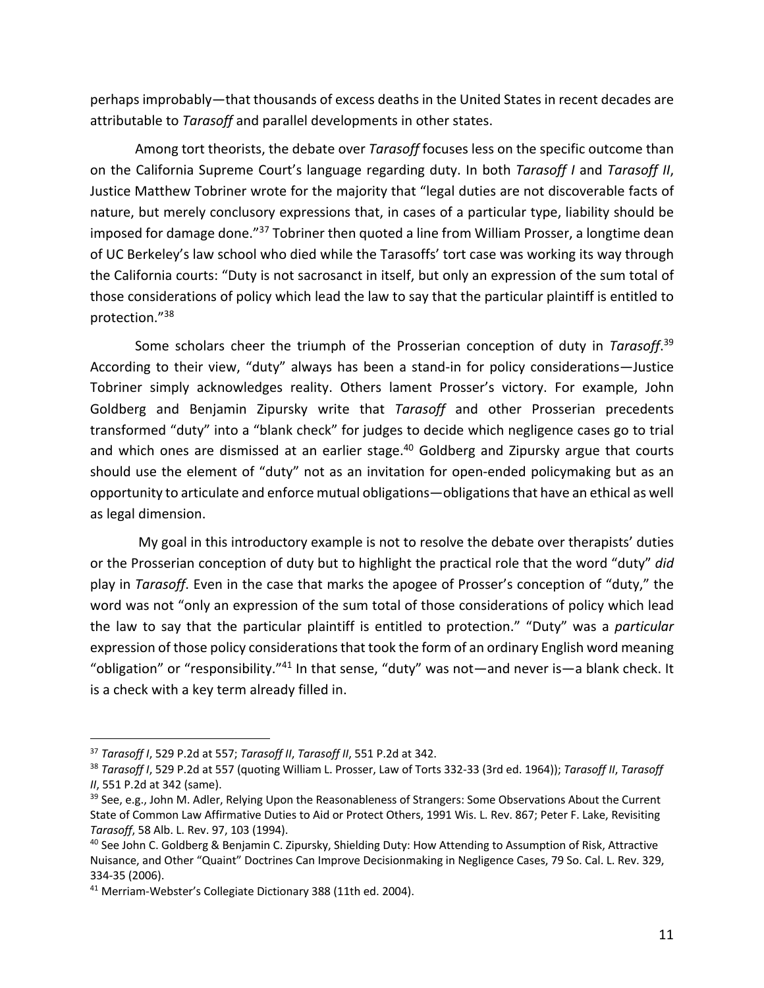perhaps improbably—that thousands of excess deaths in the United States in recent decades are attributable to *Tarasoff* and parallel developments in other states.

Among tort theorists, the debate over *Tarasoff* focuses less on the specific outcome than on the California Supreme Court's language regarding duty. In both *Tarasoff I* and *Tarasoff II*, Justice Matthew Tobriner wrote for the majority that "legal duties are not discoverable facts of nature, but merely conclusory expressions that, in cases of a particular type, liability should be imposed for damage done."<sup>37</sup> Tobriner then quoted a line from William Prosser, a longtime dean of UC Berkeley's law school who died while the Tarasoffs' tort case was working its way through the California courts: "Duty is not sacrosanct in itself, but only an expression of the sum total of those considerations of policy which lead the law to say that the particular plaintiff is entitled to protection."38

Some scholars cheer the triumph of the Prosserian conception of duty in *Tarasoff*. 39 According to their view, "duty" always has been a stand-in for policy considerations—Justice Tobriner simply acknowledges reality. Others lament Prosser's victory. For example, John Goldberg and Benjamin Zipursky write that *Tarasoff* and other Prosserian precedents transformed "duty" into a "blank check" for judges to decide which negligence cases go to trial and which ones are dismissed at an earlier stage. $40$  Goldberg and Zipursky argue that courts should use the element of "duty" not as an invitation for open-ended policymaking but as an opportunity to articulate and enforce mutual obligations—obligations that have an ethical as well as legal dimension.

My goal in this introductory example is not to resolve the debate over therapists' duties or the Prosserian conception of duty but to highlight the practical role that the word "duty" *did* play in *Tarasoff*. Even in the case that marks the apogee of Prosser's conception of "duty," the word was not "only an expression of the sum total of those considerations of policy which lead the law to say that the particular plaintiff is entitled to protection." "Duty" was a *particular* expression of those policy considerations that took the form of an ordinary English word meaning "obligation" or "responsibility."41 In that sense, "duty" was not—and never is—a blank check. It is a check with a key term already filled in.

<sup>37</sup> *Tarasoff I*, 529 P.2d at 557; *Tarasoff II*, *Tarasoff II*, 551 P.2d at 342.

<sup>38</sup> *Tarasoff I*, 529 P.2d at 557 (quoting William L. Prosser, Law of Torts 332-33 (3rd ed. 1964)); *Tarasoff II*, *Tarasoff II*, 551 P.2d at 342 (same).

<sup>&</sup>lt;sup>39</sup> See, e.g., John M. Adler, Relying Upon the Reasonableness of Strangers: Some Observations About the Current State of Common Law Affirmative Duties to Aid or Protect Others, 1991 Wis. L. Rev. 867; Peter F. Lake, Revisiting *Tarasoff*, 58 Alb. L. Rev. 97, 103 (1994).

<sup>40</sup> See John C. Goldberg & Benjamin C. Zipursky, Shielding Duty: How Attending to Assumption of Risk, Attractive Nuisance, and Other "Quaint" Doctrines Can Improve Decisionmaking in Negligence Cases, 79 So. Cal. L. Rev. 329, 334-35 (2006).

<sup>&</sup>lt;sup>41</sup> Merriam-Webster's Collegiate Dictionary 388 (11th ed. 2004).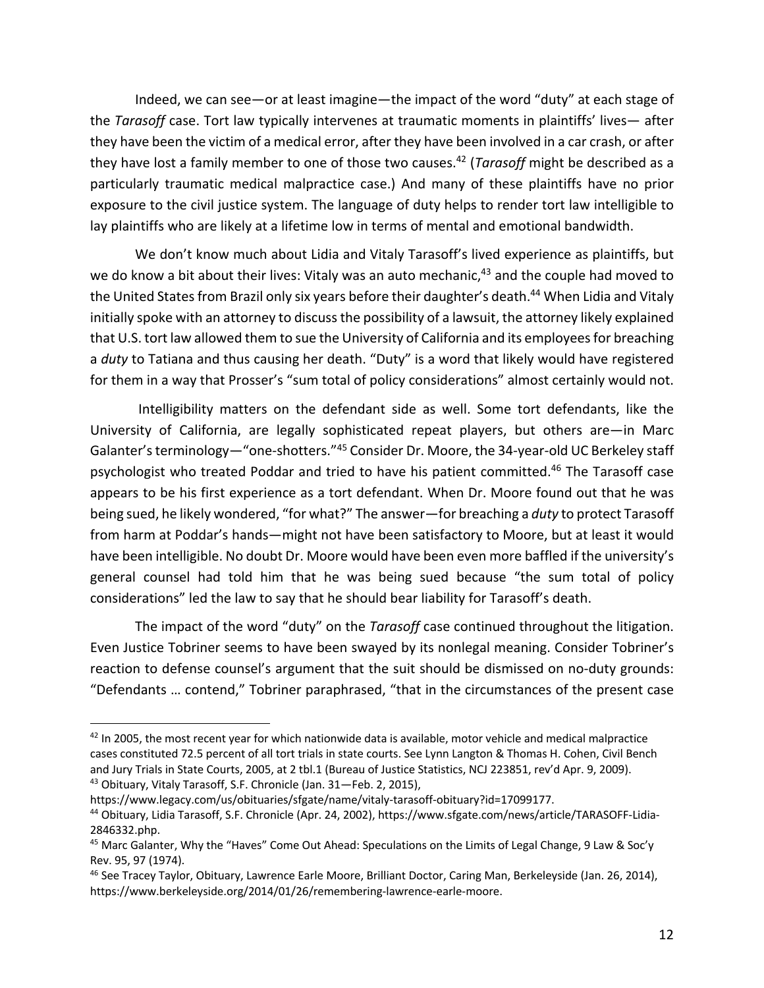Indeed, we can see—or at least imagine—the impact of the word "duty" at each stage of the *Tarasoff* case. Tort law typically intervenes at traumatic moments in plaintiffs' lives— after they have been the victim of a medical error, after they have been involved in a car crash, or after they have lost a family member to one of those two causes.42 (*Tarasoff* might be described as a particularly traumatic medical malpractice case.) And many of these plaintiffs have no prior exposure to the civil justice system. The language of duty helps to render tort law intelligible to lay plaintiffs who are likely at a lifetime low in terms of mental and emotional bandwidth.

We don't know much about Lidia and Vitaly Tarasoff's lived experience as plaintiffs, but we do know a bit about their lives: Vitaly was an auto mechanic,<sup>43</sup> and the couple had moved to the United States from Brazil only six years before their daughter's death.<sup>44</sup> When Lidia and Vitaly initially spoke with an attorney to discuss the possibility of a lawsuit, the attorney likely explained that U.S. tort law allowed them to sue the University of California and its employees for breaching a *duty* to Tatiana and thus causing her death. "Duty" is a word that likely would have registered for them in a way that Prosser's "sum total of policy considerations" almost certainly would not.

Intelligibility matters on the defendant side as well. Some tort defendants, like the University of California, are legally sophisticated repeat players, but others are—in Marc Galanter's terminology—"one-shotters."<sup>45</sup> Consider Dr. Moore, the 34-year-old UC Berkeley staff psychologist who treated Poddar and tried to have his patient committed.<sup>46</sup> The Tarasoff case appears to be his first experience as a tort defendant. When Dr. Moore found out that he was being sued, he likely wondered, "for what?" The answer—for breaching a *duty* to protect Tarasoff from harm at Poddar's hands—might not have been satisfactory to Moore, but at least it would have been intelligible. No doubt Dr. Moore would have been even more baffled if the university's general counsel had told him that he was being sued because "the sum total of policy considerations" led the law to say that he should bear liability for Tarasoff's death.

The impact of the word "duty" on the *Tarasoff* case continued throughout the litigation. Even Justice Tobriner seems to have been swayed by its nonlegal meaning. Consider Tobriner's reaction to defense counsel's argument that the suit should be dismissed on no-duty grounds: "Defendants … contend," Tobriner paraphrased, "that in the circumstances of the present case

 $42$  In 2005, the most recent year for which nationwide data is available, motor vehicle and medical malpractice cases constituted 72.5 percent of all tort trials in state courts. See Lynn Langton & Thomas H. Cohen, Civil Bench and Jury Trials in State Courts, 2005, at 2 tbl.1 (Bureau of Justice Statistics, NCJ 223851, rev'd Apr. 9, 2009).<br><sup>43</sup> Obituary, Vitaly Tarasoff, S.F. Chronicle (Jan. 31—Feb. 2, 2015),

https://www.legacy.com/us/obituaries/sfgate/name/vitaly-tarasoff-obituary?id=17099177.

<sup>44</sup> Obituary, Lidia Tarasoff, S.F. Chronicle (Apr. 24, 2002), https://www.sfgate.com/news/article/TARASOFF-Lidia-2846332.php.

<sup>&</sup>lt;sup>45</sup> Marc Galanter, Why the "Haves" Come Out Ahead: Speculations on the Limits of Legal Change, 9 Law & Soc'y Rev. 95, 97 (1974).

<sup>46</sup> See Tracey Taylor, Obituary, Lawrence Earle Moore, Brilliant Doctor, Caring Man, Berkeleyside (Jan. 26, 2014), https://www.berkeleyside.org/2014/01/26/remembering-lawrence-earle-moore.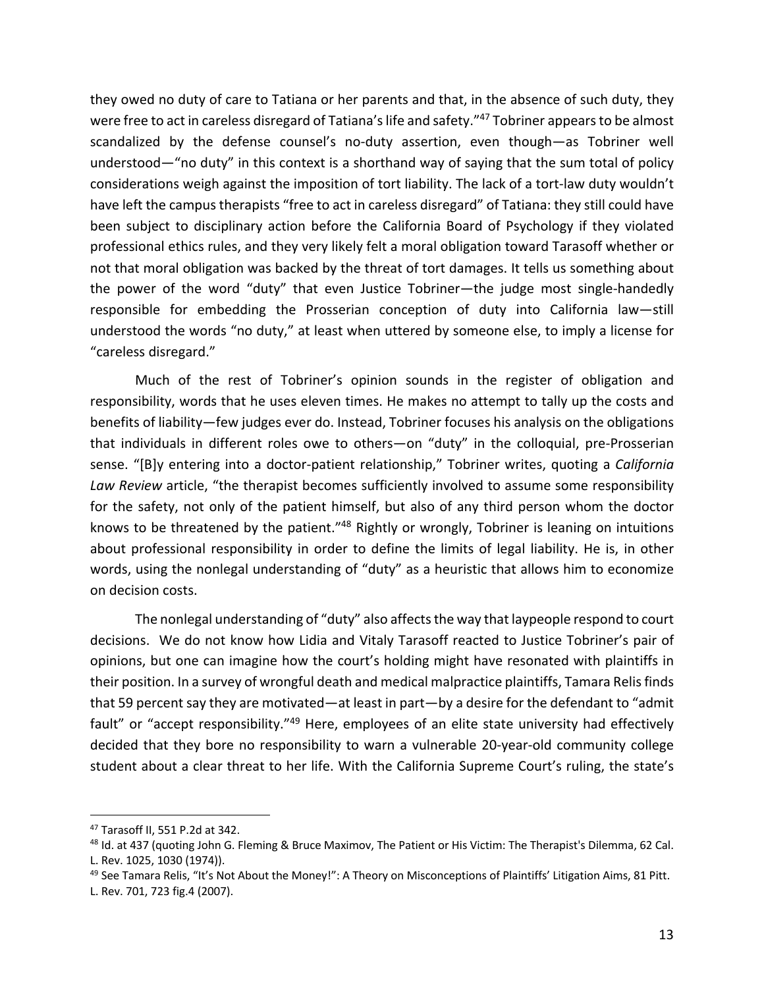they owed no duty of care to Tatiana or her parents and that, in the absence of such duty, they were free to act in careless disregard of Tatiana's life and safety."<sup>47</sup> Tobriner appears to be almost scandalized by the defense counsel's no-duty assertion, even though—as Tobriner well understood—"no duty" in this context is a shorthand way of saying that the sum total of policy considerations weigh against the imposition of tort liability. The lack of a tort-law duty wouldn't have left the campus therapists "free to act in careless disregard" of Tatiana: they still could have been subject to disciplinary action before the California Board of Psychology if they violated professional ethics rules, and they very likely felt a moral obligation toward Tarasoff whether or not that moral obligation was backed by the threat of tort damages. It tells us something about the power of the word "duty" that even Justice Tobriner—the judge most single-handedly responsible for embedding the Prosserian conception of duty into California law—still understood the words "no duty," at least when uttered by someone else, to imply a license for "careless disregard."

Much of the rest of Tobriner's opinion sounds in the register of obligation and responsibility, words that he uses eleven times. He makes no attempt to tally up the costs and benefits of liability—few judges ever do. Instead, Tobriner focuses his analysis on the obligations that individuals in different roles owe to others—on "duty" in the colloquial, pre-Prosserian sense. "[B]y entering into a doctor-patient relationship," Tobriner writes, quoting a *California Law Review* article, "the therapist becomes sufficiently involved to assume some responsibility for the safety, not only of the patient himself, but also of any third person whom the doctor knows to be threatened by the patient."<sup>48</sup> Rightly or wrongly, Tobriner is leaning on intuitions about professional responsibility in order to define the limits of legal liability. He is, in other words, using the nonlegal understanding of "duty" as a heuristic that allows him to economize on decision costs.

The nonlegal understanding of "duty" also affects the way that laypeople respond to court decisions. We do not know how Lidia and Vitaly Tarasoff reacted to Justice Tobriner's pair of opinions, but one can imagine how the court's holding might have resonated with plaintiffs in their position. In a survey of wrongful death and medical malpractice plaintiffs, Tamara Relis finds that 59 percent say they are motivated—at least in part—by a desire for the defendant to "admit fault" or "accept responsibility."<sup>49</sup> Here, employees of an elite state university had effectively decided that they bore no responsibility to warn a vulnerable 20-year-old community college student about a clear threat to her life. With the California Supreme Court's ruling, the state's

<sup>47</sup> Tarasoff II, 551 P.2d at 342.

<sup>48</sup> Id. at 437 (quoting John G. Fleming & Bruce Maximov, The Patient or His Victim: The Therapist's Dilemma, 62 Cal. L. Rev. 1025, 1030 (1974)).

<sup>&</sup>lt;sup>49</sup> See Tamara Relis, "It's Not About the Money!": A Theory on Misconceptions of Plaintiffs' Litigation Aims, 81 Pitt. L. Rev. 701, 723 fig.4 (2007).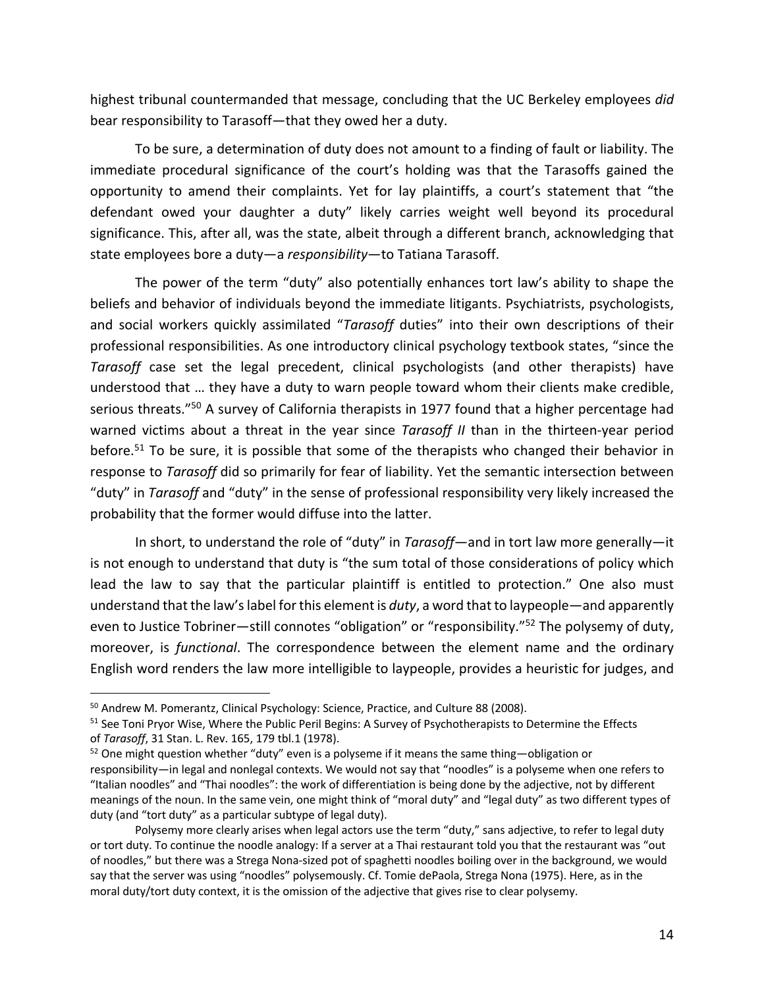highest tribunal countermanded that message, concluding that the UC Berkeley employees *did* bear responsibility to Tarasoff—that they owed her a duty.

To be sure, a determination of duty does not amount to a finding of fault or liability. The immediate procedural significance of the court's holding was that the Tarasoffs gained the opportunity to amend their complaints. Yet for lay plaintiffs, a court's statement that "the defendant owed your daughter a duty" likely carries weight well beyond its procedural significance. This, after all, was the state, albeit through a different branch, acknowledging that state employees bore a duty—a *responsibility*—to Tatiana Tarasoff.

The power of the term "duty" also potentially enhances tort law's ability to shape the beliefs and behavior of individuals beyond the immediate litigants. Psychiatrists, psychologists, and social workers quickly assimilated "*Tarasoff* duties" into their own descriptions of their professional responsibilities. As one introductory clinical psychology textbook states, "since the *Tarasoff* case set the legal precedent, clinical psychologists (and other therapists) have understood that … they have a duty to warn people toward whom their clients make credible, serious threats."<sup>50</sup> A survey of California therapists in 1977 found that a higher percentage had warned victims about a threat in the year since *Tarasoff II* than in the thirteen-year period before.<sup>51</sup> To be sure, it is possible that some of the therapists who changed their behavior in response to *Tarasoff* did so primarily for fear of liability. Yet the semantic intersection between "duty" in *Tarasoff* and "duty" in the sense of professional responsibility very likely increased the probability that the former would diffuse into the latter.

In short, to understand the role of "duty" in *Tarasoff*—and in tort law more generally—it is not enough to understand that duty is "the sum total of those considerations of policy which lead the law to say that the particular plaintiff is entitled to protection." One also must understand that the law's label for this element is *duty*, a word that to laypeople—and apparently even to Justice Tobriner—still connotes "obligation" or "responsibility."<sup>52</sup> The polysemy of duty, moreover, is *functional*. The correspondence between the element name and the ordinary English word renders the law more intelligible to laypeople, provides a heuristic for judges, and

<sup>50</sup> Andrew M. Pomerantz, Clinical Psychology: Science, Practice, and Culture 88 (2008).

<sup>&</sup>lt;sup>51</sup> See Toni Pryor Wise, Where the Public Peril Begins: A Survey of Psychotherapists to Determine the Effects of *Tarasoff*, 31 Stan. L. Rev. 165, 179 tbl.1 (1978).

 $52$  One might question whether "duty" even is a polyseme if it means the same thing—obligation or responsibility—in legal and nonlegal contexts. We would not say that "noodles" is a polyseme when one refers to "Italian noodles" and "Thai noodles": the work of differentiation is being done by the adjective, not by different meanings of the noun. In the same vein, one might think of "moral duty" and "legal duty" as two different types of duty (and "tort duty" as a particular subtype of legal duty).

Polysemy more clearly arises when legal actors use the term "duty," sans adjective, to refer to legal duty or tort duty. To continue the noodle analogy: If a server at a Thai restaurant told you that the restaurant was "out of noodles," but there was a Strega Nona-sized pot of spaghetti noodles boiling over in the background, we would say that the server was using "noodles" polysemously. Cf. Tomie dePaola, Strega Nona (1975). Here, as in the moral duty/tort duty context, it is the omission of the adjective that gives rise to clear polysemy.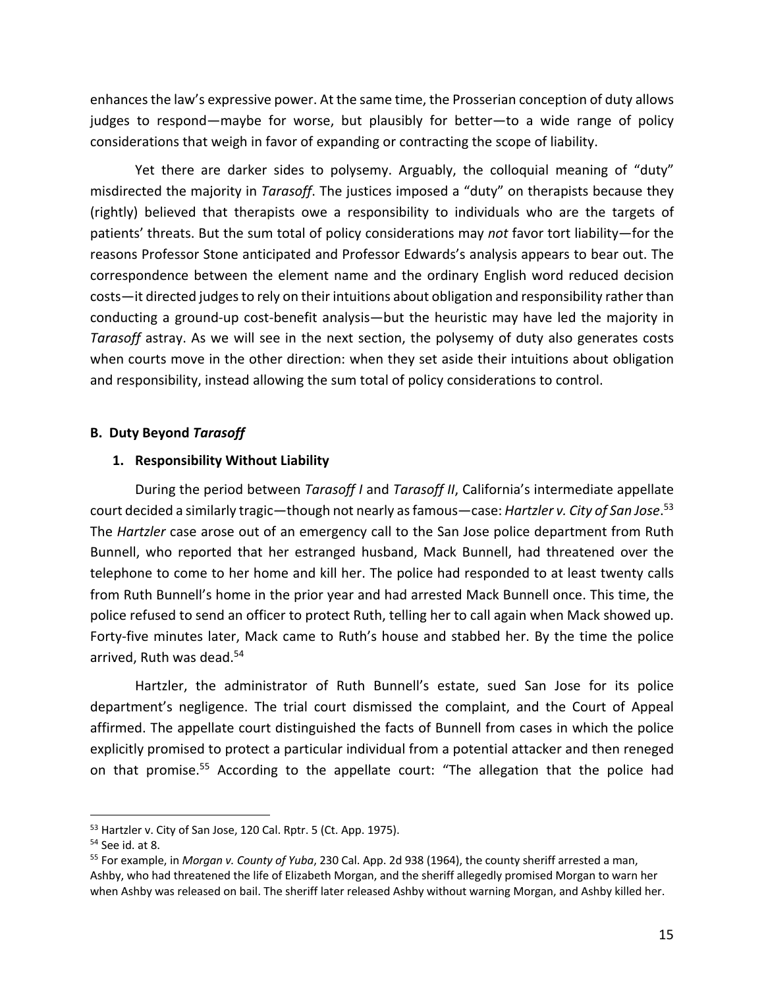enhances the law's expressive power. At the same time, the Prosserian conception of duty allows judges to respond—maybe for worse, but plausibly for better—to a wide range of policy considerations that weigh in favor of expanding or contracting the scope of liability.

Yet there are darker sides to polysemy. Arguably, the colloquial meaning of "duty" misdirected the majority in *Tarasoff*. The justices imposed a "duty" on therapists because they (rightly) believed that therapists owe a responsibility to individuals who are the targets of patients' threats. But the sum total of policy considerations may *not* favor tort liability—for the reasons Professor Stone anticipated and Professor Edwards's analysis appears to bear out. The correspondence between the element name and the ordinary English word reduced decision costs—it directed judges to rely on their intuitions about obligation and responsibility rather than conducting a ground-up cost-benefit analysis—but the heuristic may have led the majority in *Tarasoff* astray. As we will see in the next section, the polysemy of duty also generates costs when courts move in the other direction: when they set aside their intuitions about obligation and responsibility, instead allowing the sum total of policy considerations to control.

## **B. Duty Beyond** *Tarasoff*

# **1. Responsibility Without Liability**

During the period between *Tarasoff I* and *Tarasoff II*, California's intermediate appellate court decided a similarly tragic—though not nearly as famous—case: *Hartzler v. City of San Jose*. 53 The *Hartzler* case arose out of an emergency call to the San Jose police department from Ruth Bunnell, who reported that her estranged husband, Mack Bunnell, had threatened over the telephone to come to her home and kill her. The police had responded to at least twenty calls from Ruth Bunnell's home in the prior year and had arrested Mack Bunnell once. This time, the police refused to send an officer to protect Ruth, telling her to call again when Mack showed up. Forty-five minutes later, Mack came to Ruth's house and stabbed her. By the time the police arrived, Ruth was dead.<sup>54</sup>

Hartzler, the administrator of Ruth Bunnell's estate, sued San Jose for its police department's negligence. The trial court dismissed the complaint, and the Court of Appeal affirmed. The appellate court distinguished the facts of Bunnell from cases in which the police explicitly promised to protect a particular individual from a potential attacker and then reneged on that promise.<sup>55</sup> According to the appellate court: "The allegation that the police had

<sup>&</sup>lt;sup>53</sup> Hartzler v. City of San Jose, 120 Cal. Rptr. 5 (Ct. App. 1975).

<sup>&</sup>lt;sup>54</sup> See id. at 8.<br><sup>55</sup> For example, in *Morgan v. County of Yuba*, 230 Cal. App. 2d 938 (1964), the county sheriff arrested a man, Ashby, who had threatened the life of Elizabeth Morgan, and the sheriff allegedly promised Morgan to warn her when Ashby was released on bail. The sheriff later released Ashby without warning Morgan, and Ashby killed her.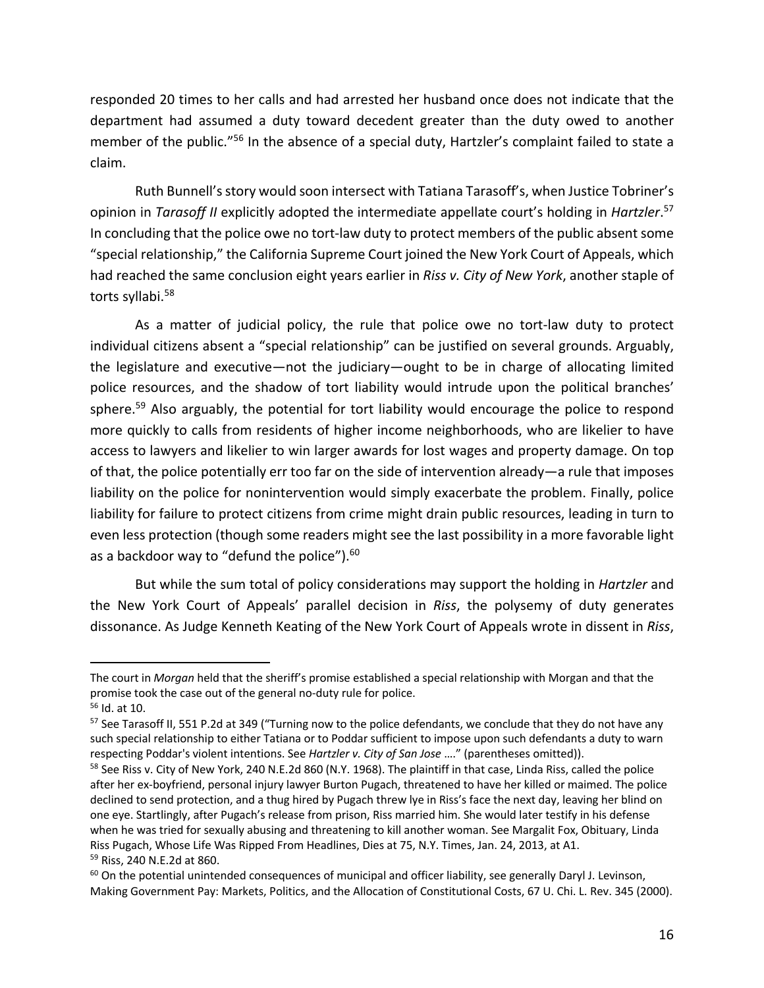responded 20 times to her calls and had arrested her husband once does not indicate that the department had assumed a duty toward decedent greater than the duty owed to another member of the public."56 In the absence of a special duty, Hartzler's complaint failed to state a claim.

Ruth Bunnell's story would soon intersect with Tatiana Tarasoff's, when Justice Tobriner's opinion in *Tarasoff II* explicitly adopted the intermediate appellate court's holding in *Hartzler*. 57 In concluding that the police owe no tort-law duty to protect members of the public absent some "special relationship," the California Supreme Court joined the New York Court of Appeals, which had reached the same conclusion eight years earlier in *Riss v. City of New York*, another staple of torts syllabi.<sup>58</sup>

As a matter of judicial policy, the rule that police owe no tort-law duty to protect individual citizens absent a "special relationship" can be justified on several grounds. Arguably, the legislature and executive—not the judiciary—ought to be in charge of allocating limited police resources, and the shadow of tort liability would intrude upon the political branches' sphere.<sup>59</sup> Also arguably, the potential for tort liability would encourage the police to respond more quickly to calls from residents of higher income neighborhoods, who are likelier to have access to lawyers and likelier to win larger awards for lost wages and property damage. On top of that, the police potentially err too far on the side of intervention already—a rule that imposes liability on the police for nonintervention would simply exacerbate the problem. Finally, police liability for failure to protect citizens from crime might drain public resources, leading in turn to even less protection (though some readers might see the last possibility in a more favorable light as a backdoor way to "defund the police").<sup>60</sup>

But while the sum total of policy considerations may support the holding in *Hartzler* and the New York Court of Appeals' parallel decision in *Riss*, the polysemy of duty generates dissonance. As Judge Kenneth Keating of the New York Court of Appeals wrote in dissent in *Riss*,

The court in *Morgan* held that the sheriff's promise established a special relationship with Morgan and that the promise took the case out of the general no-duty rule for police. 56 Id. at 10.

<sup>57</sup> See Tarasoff II, 551 P.2d at 349 ("Turning now to the police defendants, we conclude that they do not have any such special relationship to either Tatiana or to Poddar sufficient to impose upon such defendants a duty to warn respecting Poddar's violent intentions. See *Hartzler v. City of San Jose* …." (parentheses omitted)).

<sup>&</sup>lt;sup>58</sup> See Riss v. City of New York, 240 N.E.2d 860 (N.Y. 1968). The plaintiff in that case, Linda Riss, called the police after her ex-boyfriend, personal injury lawyer Burton Pugach, threatened to have her killed or maimed. The police declined to send protection, and a thug hired by Pugach threw lye in Riss's face the next day, leaving her blind on one eye. Startlingly, after Pugach's release from prison, Riss married him. She would later testify in his defense when he was tried for sexually abusing and threatening to kill another woman. See Margalit Fox, Obituary, Linda Riss Pugach, Whose Life Was Ripped From Headlines, Dies at 75, N.Y. Times, Jan. 24, 2013, at A1. <sup>59</sup> Riss, 240 N.E.2d at 860.

 $60$  On the potential unintended consequences of municipal and officer liability, see generally Daryl J. Levinson, Making Government Pay: Markets, Politics, and the Allocation of Constitutional Costs, 67 U. Chi. L. Rev. 345 (2000).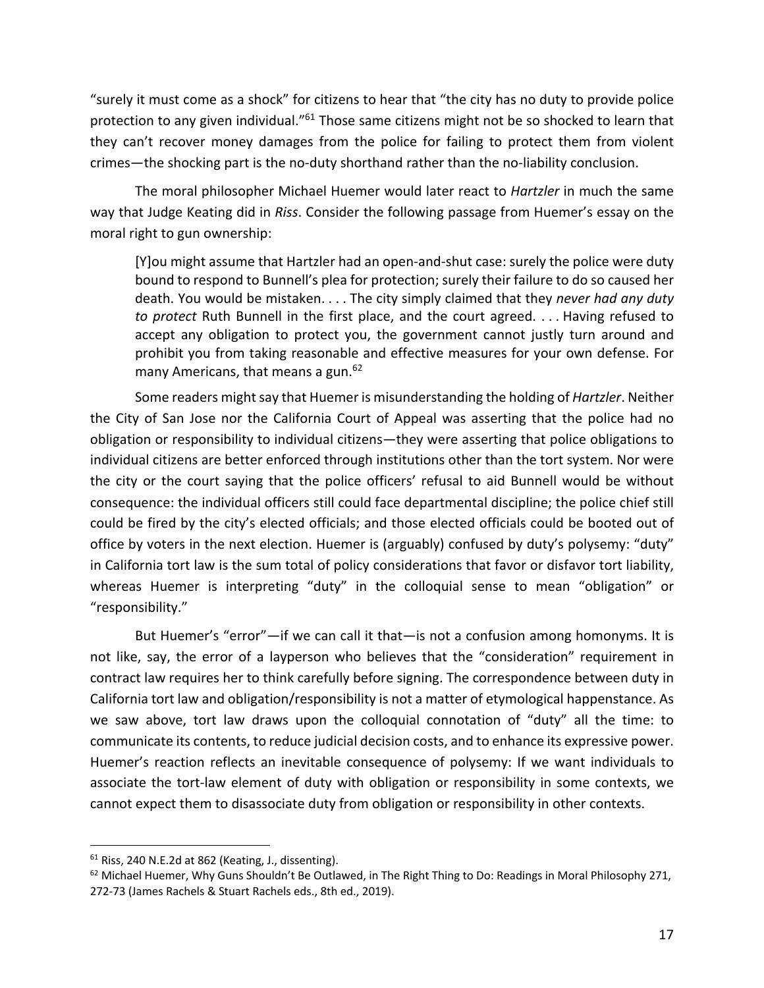"surely it must come as a shock" for citizens to hear that "the city has no duty to provide police protection to any given individual."<sup>61</sup> Those same citizens might not be so shocked to learn that they can't recover money damages from the police for failing to protect them from violent crimes—the shocking part is the no-duty shorthand rather than the no-liability conclusion.

The moral philosopher Michael Huemer would later react to *Hartzler* in much the same way that Judge Keating did in *Riss*. Consider the following passage from Huemer's essay on the moral right to gun ownership:

[Y]ou might assume that Hartzler had an open-and-shut case: surely the police were duty bound to respond to Bunnell's plea for protection; surely their failure to do so caused her death. You would be mistaken. . . . The city simply claimed that they *never had any duty to protect* Ruth Bunnell in the first place, and the court agreed. . . . Having refused to accept any obligation to protect you, the government cannot justly turn around and prohibit you from taking reasonable and effective measures for your own defense. For many Americans, that means a gun.<sup>62</sup>

Some readers might say that Huemer is misunderstanding the holding of *Hartzler*. Neither the City of San Jose nor the California Court of Appeal was asserting that the police had no obligation or responsibility to individual citizens—they were asserting that police obligations to individual citizens are better enforced through institutions other than the tort system. Nor were the city or the court saying that the police officers' refusal to aid Bunnell would be without consequence: the individual officers still could face departmental discipline; the police chief still could be fired by the city's elected officials; and those elected officials could be booted out of office by voters in the next election. Huemer is (arguably) confused by duty's polysemy: "duty" in California tort law is the sum total of policy considerations that favor or disfavor tort liability, whereas Huemer is interpreting "duty" in the colloquial sense to mean "obligation" or "responsibility."

But Huemer's "error"—if we can call it that—is not a confusion among homonyms. It is not like, say, the error of a layperson who believes that the "consideration" requirement in contract law requires her to think carefully before signing. The correspondence between duty in California tort law and obligation/responsibility is not a matter of etymological happenstance. As we saw above, tort law draws upon the colloquial connotation of "duty" all the time: to communicate its contents, to reduce judicial decision costs, and to enhance its expressive power. Huemer's reaction reflects an inevitable consequence of polysemy: If we want individuals to associate the tort-law element of duty with obligation or responsibility in some contexts, we cannot expect them to disassociate duty from obligation or responsibility in other contexts.

<sup>&</sup>lt;sup>61</sup> Riss, 240 N.E.2d at 862 (Keating, J., dissenting).<br><sup>62</sup> Michael Huemer, Why Guns Shouldn't Be Outlawed, in The Right Thing to Do: Readings in Moral Philosophy 271, 272-73 (James Rachels & Stuart Rachels eds., 8th ed., 2019).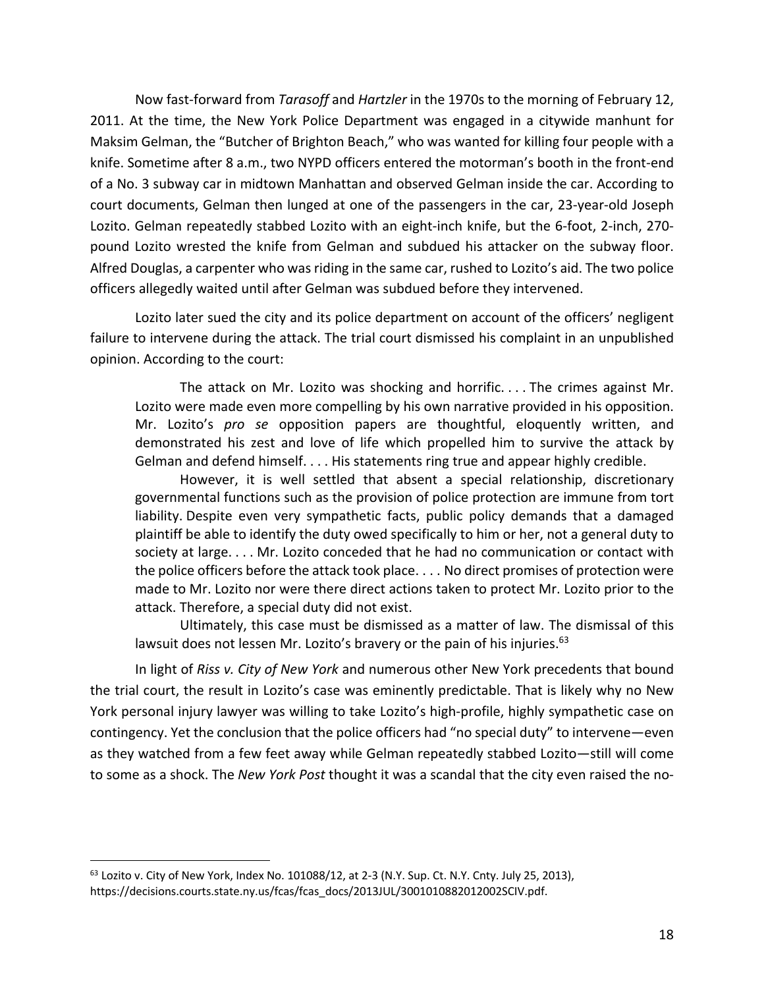Now fast-forward from *Tarasoff* and *Hartzler* in the 1970s to the morning of February 12, 2011. At the time, the New York Police Department was engaged in a citywide manhunt for Maksim Gelman, the "Butcher of Brighton Beach," who was wanted for killing four people with a knife. Sometime after 8 a.m., two NYPD officers entered the motorman's booth in the front-end of a No. 3 subway car in midtown Manhattan and observed Gelman inside the car. According to court documents, Gelman then lunged at one of the passengers in the car, 23-year-old Joseph Lozito. Gelman repeatedly stabbed Lozito with an eight-inch knife, but the 6-foot, 2-inch, 270 pound Lozito wrested the knife from Gelman and subdued his attacker on the subway floor. Alfred Douglas, a carpenter who was riding in the same car, rushed to Lozito's aid. The two police officers allegedly waited until after Gelman was subdued before they intervened.

Lozito later sued the city and its police department on account of the officers' negligent failure to intervene during the attack. The trial court dismissed his complaint in an unpublished opinion. According to the court:

The attack on Mr. Lozito was shocking and horrific. . . . The crimes against Mr. Lozito were made even more compelling by his own narrative provided in his opposition. Mr. Lozito's *pro se* opposition papers are thoughtful, eloquently written, and demonstrated his zest and love of life which propelled him to survive the attack by Gelman and defend himself. . . . His statements ring true and appear highly credible.

However, it is well settled that absent a special relationship, discretionary governmental functions such as the provision of police protection are immune from tort liability. Despite even very sympathetic facts, public policy demands that a damaged plaintiff be able to identify the duty owed specifically to him or her, not a general duty to society at large. . . . Mr. Lozito conceded that he had no communication or contact with the police officers before the attack took place. . . . No direct promises of protection were made to Mr. Lozito nor were there direct actions taken to protect Mr. Lozito prior to the attack. Therefore, a special duty did not exist.

Ultimately, this case must be dismissed as a matter of law. The dismissal of this lawsuit does not lessen Mr. Lozito's bravery or the pain of his injuries.<sup>63</sup>

In light of *Riss v. City of New York* and numerous other New York precedents that bound the trial court, the result in Lozito's case was eminently predictable. That is likely why no New York personal injury lawyer was willing to take Lozito's high-profile, highly sympathetic case on contingency. Yet the conclusion that the police officers had "no special duty" to intervene—even as they watched from a few feet away while Gelman repeatedly stabbed Lozito—still will come to some as a shock. The *New York Post* thought it was a scandal that the city even raised the no-

 $63$  Lozito v. City of New York, Index No. 101088/12, at 2-3 (N.Y. Sup. Ct. N.Y. Cnty. July 25, 2013), https://decisions.courts.state.ny.us/fcas/fcas\_docs/2013JUL/3001010882012002SCIV.pdf.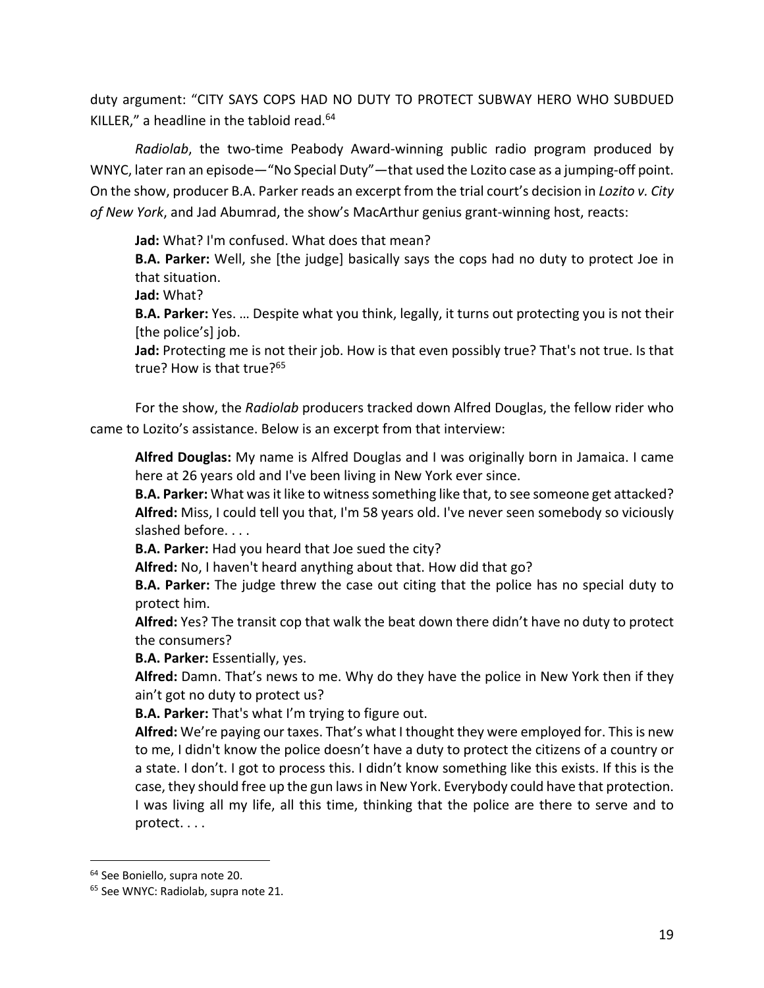duty argument: "CITY SAYS COPS HAD NO DUTY TO PROTECT SUBWAY HERO WHO SUBDUED KILLER," a headline in the tabloid read. $64$ 

*Radiolab*, the two-time Peabody Award-winning public radio program produced by WNYC, later ran an episode—"No Special Duty"—that used the Lozito case as a jumping-off point. On the show, producer B.A. Parker reads an excerpt from the trial court's decision in *Lozito v. City of New York*, and Jad Abumrad, the show's MacArthur genius grant-winning host, reacts:

**Jad:** What? I'm confused. What does that mean?

**B.A. Parker:** Well, she [the judge] basically says the cops had no duty to protect Joe in that situation.

**Jad:** What?

**B.A. Parker:** Yes. … Despite what you think, legally, it turns out protecting you is not their [the police's] job.

**Jad:** Protecting me is not their job. How is that even possibly true? That's not true. Is that true? How is that true?<sup>65</sup>

For the show, the *Radiolab* producers tracked down Alfred Douglas, the fellow rider who came to Lozito's assistance. Below is an excerpt from that interview:

**Alfred Douglas:** My name is Alfred Douglas and I was originally born in Jamaica. I came here at 26 years old and I've been living in New York ever since.

**B.A. Parker:** What was it like to witness something like that, to see someone get attacked? **Alfred:** Miss, I could tell you that, I'm 58 years old. I've never seen somebody so viciously slashed before. . . .

**B.A. Parker:** Had you heard that Joe sued the city?

**Alfred:** No, I haven't heard anything about that. How did that go?

**B.A. Parker:** The judge threw the case out citing that the police has no special duty to protect him.

**Alfred:** Yes? The transit cop that walk the beat down there didn't have no duty to protect the consumers?

**B.A. Parker:** Essentially, yes.

**Alfred:** Damn. That's news to me. Why do they have the police in New York then if they ain't got no duty to protect us?

**B.A. Parker:** That's what I'm trying to figure out.

**Alfred:** We're paying our taxes. That's what I thought they were employed for. This is new to me, I didn't know the police doesn't have a duty to protect the citizens of a country or a state. I don't. I got to process this. I didn't know something like this exists. If this is the case, they should free up the gun laws in New York. Everybody could have that protection. I was living all my life, all this time, thinking that the police are there to serve and to protect. . . .

<sup>64</sup> See Boniello, supra note 20.

<sup>&</sup>lt;sup>65</sup> See WNYC: Radiolab, supra note 21.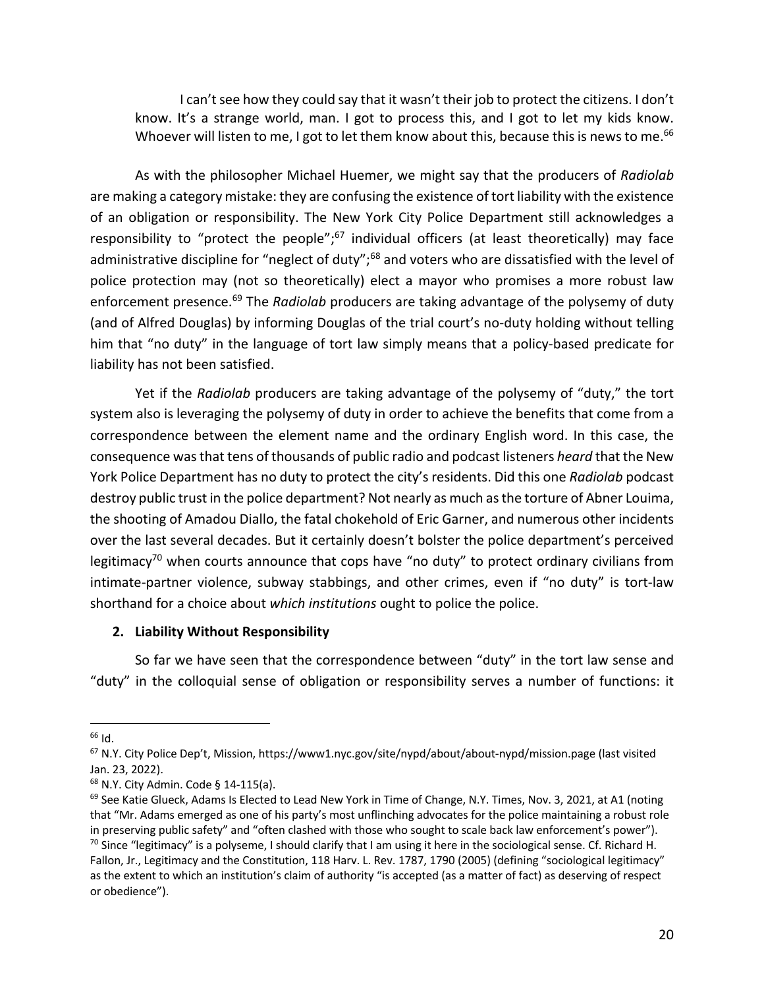I can't see how they could say that it wasn't their job to protect the citizens. I don't know. It's a strange world, man. I got to process this, and I got to let my kids know. Whoever will listen to me, I got to let them know about this, because this is news to me.<sup>66</sup>

As with the philosopher Michael Huemer, we might say that the producers of *Radiolab* are making a category mistake: they are confusing the existence of tort liability with the existence of an obligation or responsibility. The New York City Police Department still acknowledges a responsibility to "protect the people"; $67$  individual officers (at least theoretically) may face administrative discipline for "neglect of duty";<sup>68</sup> and voters who are dissatisfied with the level of police protection may (not so theoretically) elect a mayor who promises a more robust law enforcement presence.69 The *Radiolab* producers are taking advantage of the polysemy of duty (and of Alfred Douglas) by informing Douglas of the trial court's no-duty holding without telling him that "no duty" in the language of tort law simply means that a policy-based predicate for liability has not been satisfied.

Yet if the *Radiolab* producers are taking advantage of the polysemy of "duty," the tort system also is leveraging the polysemy of duty in order to achieve the benefits that come from a correspondence between the element name and the ordinary English word. In this case, the consequence was that tens of thousands of public radio and podcast listeners *heard* that the New York Police Department has no duty to protect the city's residents. Did this one *Radiolab* podcast destroy public trust in the police department? Not nearly as much as the torture of Abner Louima, the shooting of Amadou Diallo, the fatal chokehold of Eric Garner, and numerous other incidents over the last several decades. But it certainly doesn't bolster the police department's perceived legitimacy<sup>70</sup> when courts announce that cops have "no duty" to protect ordinary civilians from intimate-partner violence, subway stabbings, and other crimes, even if "no duty" is tort-law shorthand for a choice about *which institutions* ought to police the police.

#### **2. Liability Without Responsibility**

So far we have seen that the correspondence between "duty" in the tort law sense and "duty" in the colloquial sense of obligation or responsibility serves a number of functions: it

 $66$  Id.

<sup>67</sup> N.Y. City Police Dep't, Mission, https://www1.nyc.gov/site/nypd/about/about-nypd/mission.page (last visited Jan. 23, 2022).

<sup>68</sup> N.Y. City Admin. Code § 14-115(a).

<sup>69</sup> See Katie Glueck, Adams Is Elected to Lead New York in Time of Change, N.Y. Times, Nov. 3, 2021, at A1 (noting that "Mr. Adams emerged as one of his party's most unflinching advocates for the police maintaining a robust role in preserving public safety" and "often clashed with those who sought to scale back law enforcement's power").  $70$  Since "legitimacy" is a polyseme, I should clarify that I am using it here in the sociological sense. Cf. Richard H. Fallon, Jr., Legitimacy and the Constitution, 118 Harv. L. Rev. 1787, 1790 (2005) (defining "sociological legitimacy" as the extent to which an institution's claim of authority "is accepted (as a matter of fact) as deserving of respect or obedience").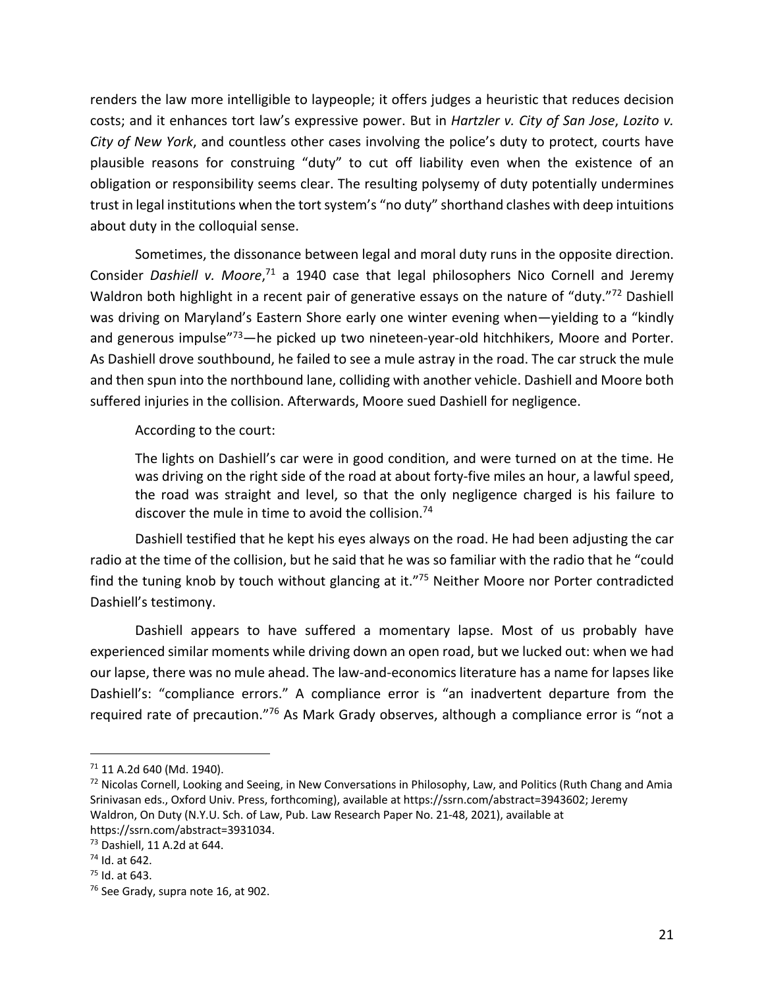renders the law more intelligible to laypeople; it offers judges a heuristic that reduces decision costs; and it enhances tort law's expressive power. But in *Hartzler v. City of San Jose*, *Lozito v. City of New York*, and countless other cases involving the police's duty to protect, courts have plausible reasons for construing "duty" to cut off liability even when the existence of an obligation or responsibility seems clear. The resulting polysemy of duty potentially undermines trust in legal institutions when the tort system's "no duty" shorthand clashes with deep intuitions about duty in the colloquial sense.

Sometimes, the dissonance between legal and moral duty runs in the opposite direction. Consider Dashiell v. Moore,<sup>71</sup> a 1940 case that legal philosophers Nico Cornell and Jeremy Waldron both highlight in a recent pair of generative essays on the nature of "duty."<sup>72</sup> Dashiell was driving on Maryland's Eastern Shore early one winter evening when—yielding to a "kindly and generous impulse"<sup>73</sup>—he picked up two nineteen-year-old hitchhikers, Moore and Porter. As Dashiell drove southbound, he failed to see a mule astray in the road. The car struck the mule and then spun into the northbound lane, colliding with another vehicle. Dashiell and Moore both suffered injuries in the collision. Afterwards, Moore sued Dashiell for negligence.

According to the court:

The lights on Dashiell's car were in good condition, and were turned on at the time. He was driving on the right side of the road at about forty-five miles an hour, a lawful speed, the road was straight and level, so that the only negligence charged is his failure to discover the mule in time to avoid the collision.<sup>74</sup>

Dashiell testified that he kept his eyes always on the road. He had been adjusting the car radio at the time of the collision, but he said that he was so familiar with the radio that he "could find the tuning knob by touch without glancing at it."75 Neither Moore nor Porter contradicted Dashiell's testimony.

Dashiell appears to have suffered a momentary lapse. Most of us probably have experienced similar moments while driving down an open road, but we lucked out: when we had our lapse, there was no mule ahead. The law-and-economics literature has a name for lapses like Dashiell's: "compliance errors." A compliance error is "an inadvertent departure from the required rate of precaution."<sup>76</sup> As Mark Grady observes, although a compliance error is "not a

<sup>71</sup> 11 A.2d 640 (Md. 1940).

<sup>&</sup>lt;sup>72</sup> Nicolas Cornell, Looking and Seeing, in New Conversations in Philosophy, Law, and Politics (Ruth Chang and Amia Srinivasan eds., Oxford Univ. Press, forthcoming), available at https://ssrn.com/abstract=3943602; Jeremy Waldron, On Duty (N.Y.U. Sch. of Law, Pub. Law Research Paper No. 21-48, 2021), available at https://ssrn.com/abstract=3931034.

<sup>73</sup> Dashiell, 11 A.2d at 644.

<sup>74</sup> Id. at 642.

<sup>&</sup>lt;sup>75</sup> Id. at 643.<br><sup>76</sup> See Grady, supra note 16, at 902.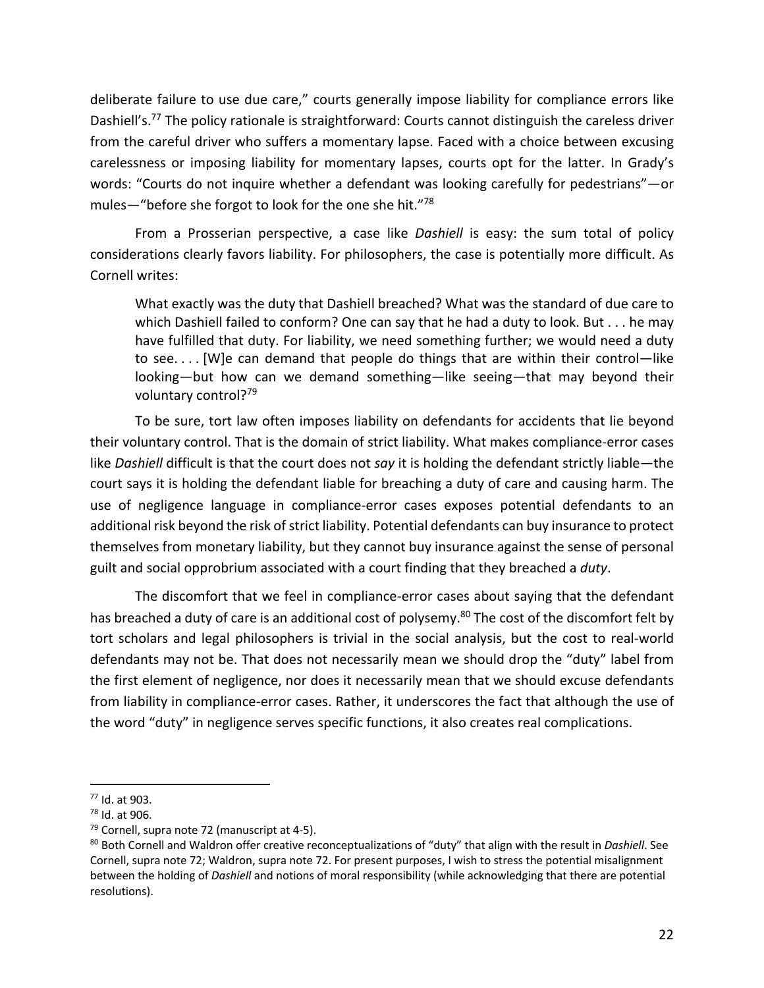deliberate failure to use due care," courts generally impose liability for compliance errors like Dashiell's.<sup>77</sup> The policy rationale is straightforward: Courts cannot distinguish the careless driver from the careful driver who suffers a momentary lapse. Faced with a choice between excusing carelessness or imposing liability for momentary lapses, courts opt for the latter. In Grady's words: "Courts do not inquire whether a defendant was looking carefully for pedestrians"—or mules—"before she forgot to look for the one she hit."78

From a Prosserian perspective, a case like *Dashiell* is easy: the sum total of policy considerations clearly favors liability. For philosophers, the case is potentially more difficult. As Cornell writes:

What exactly was the duty that Dashiell breached? What was the standard of due care to which Dashiell failed to conform? One can say that he had a duty to look. But . . . he may have fulfilled that duty. For liability, we need something further; we would need a duty to see. . . . [W]e can demand that people do things that are within their control—like looking—but how can we demand something—like seeing—that may beyond their voluntary control?<sup>79</sup>

To be sure, tort law often imposes liability on defendants for accidents that lie beyond their voluntary control. That is the domain of strict liability. What makes compliance-error cases like *Dashiell* difficult is that the court does not *say* it is holding the defendant strictly liable—the court says it is holding the defendant liable for breaching a duty of care and causing harm. The use of negligence language in compliance-error cases exposes potential defendants to an additional risk beyond the risk of strict liability. Potential defendants can buy insurance to protect themselves from monetary liability, but they cannot buy insurance against the sense of personal guilt and social opprobrium associated with a court finding that they breached a *duty*.

The discomfort that we feel in compliance-error cases about saying that the defendant has breached a duty of care is an additional cost of polysemy.<sup>80</sup> The cost of the discomfort felt by tort scholars and legal philosophers is trivial in the social analysis, but the cost to real-world defendants may not be. That does not necessarily mean we should drop the "duty" label from the first element of negligence, nor does it necessarily mean that we should excuse defendants from liability in compliance-error cases. Rather, it underscores the fact that although the use of the word "duty" in negligence serves specific functions, it also creates real complications.

<sup>77</sup> Id. at 903.

<sup>78</sup> Id. at 906.

<sup>79</sup> Cornell, supra note 72 (manuscript at 4-5).

<sup>80</sup> Both Cornell and Waldron offer creative reconceptualizations of "duty" that align with the result in *Dashiell*. See Cornell, supra note 72; Waldron, supra note 72. For present purposes, I wish to stress the potential misalignment between the holding of *Dashiell* and notions of moral responsibility (while acknowledging that there are potential resolutions).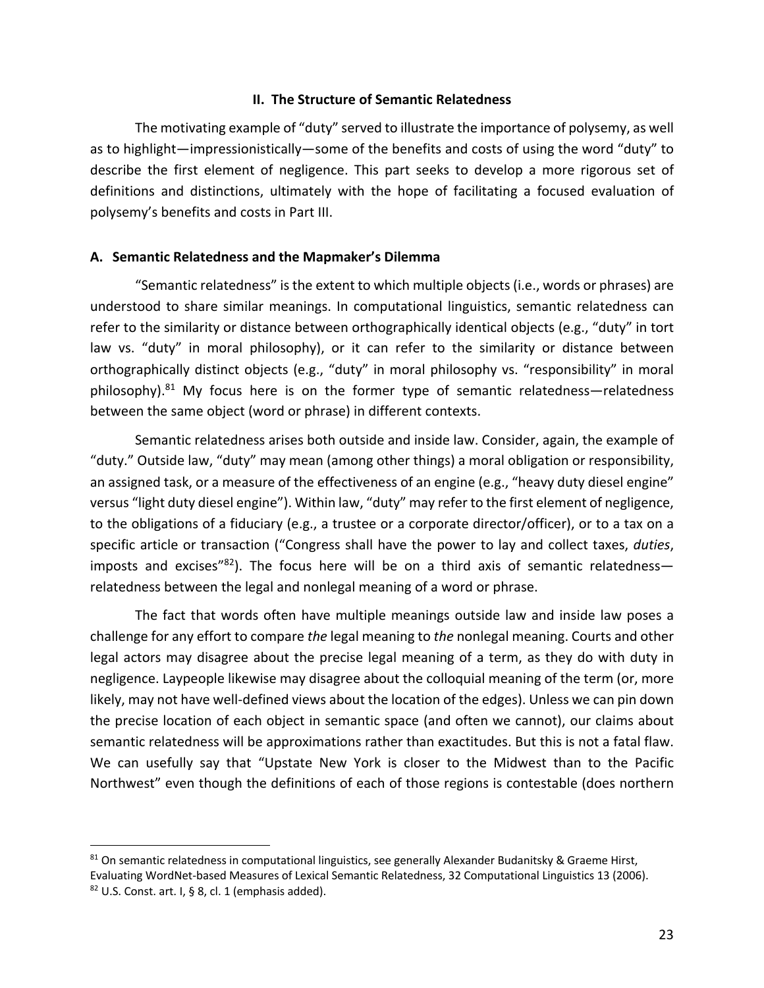#### **II. The Structure of Semantic Relatedness**

The motivating example of "duty" served to illustrate the importance of polysemy, as well as to highlight—impressionistically—some of the benefits and costs of using the word "duty" to describe the first element of negligence. This part seeks to develop a more rigorous set of definitions and distinctions, ultimately with the hope of facilitating a focused evaluation of polysemy's benefits and costs in Part III.

#### **A. Semantic Relatedness and the Mapmaker's Dilemma**

"Semantic relatedness" is the extent to which multiple objects (i.e., words or phrases) are understood to share similar meanings. In computational linguistics, semantic relatedness can refer to the similarity or distance between orthographically identical objects (e.g., "duty" in tort law vs. "duty" in moral philosophy), or it can refer to the similarity or distance between orthographically distinct objects (e.g., "duty" in moral philosophy vs. "responsibility" in moral philosophy).<sup>81</sup> My focus here is on the former type of semantic relatedness—relatedness between the same object (word or phrase) in different contexts.

Semantic relatedness arises both outside and inside law. Consider, again, the example of "duty." Outside law, "duty" may mean (among other things) a moral obligation or responsibility, an assigned task, or a measure of the effectiveness of an engine (e.g., "heavy duty diesel engine" versus "light duty diesel engine"). Within law, "duty" may refer to the first element of negligence, to the obligations of a fiduciary (e.g., a trustee or a corporate director/officer), or to a tax on a specific article or transaction ("Congress shall have the power to lay and collect taxes, *duties*, imposts and excises" $82$ ). The focus here will be on a third axis of semantic relatednessrelatedness between the legal and nonlegal meaning of a word or phrase.

The fact that words often have multiple meanings outside law and inside law poses a challenge for any effort to compare *the* legal meaning to *the* nonlegal meaning. Courts and other legal actors may disagree about the precise legal meaning of a term, as they do with duty in negligence. Laypeople likewise may disagree about the colloquial meaning of the term (or, more likely, may not have well-defined views about the location of the edges). Unless we can pin down the precise location of each object in semantic space (and often we cannot), our claims about semantic relatedness will be approximations rather than exactitudes. But this is not a fatal flaw. We can usefully say that "Upstate New York is closer to the Midwest than to the Pacific Northwest" even though the definitions of each of those regions is contestable (does northern

<sup>81</sup> On semantic relatedness in computational linguistics, see generally Alexander Budanitsky & Graeme Hirst, Evaluating WordNet-based Measures of Lexical Semantic Relatedness, 32 Computational Linguistics 13 (2006).  $82$  U.S. Const. art. I, § 8, cl. 1 (emphasis added).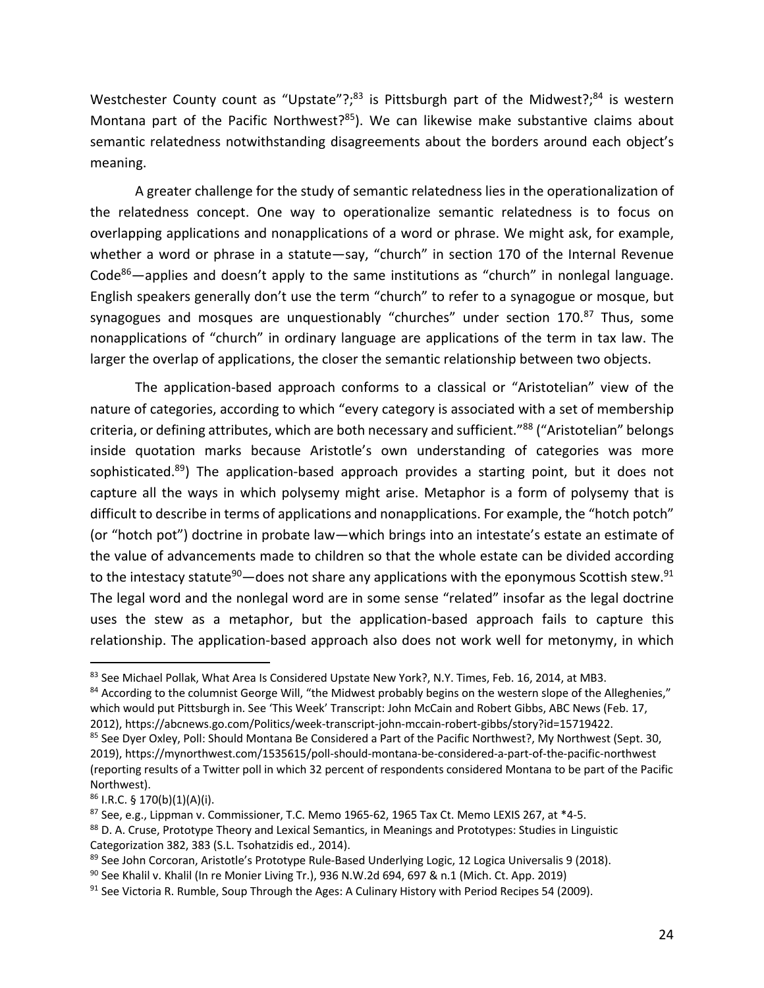Westchester County count as "Upstate"?;<sup>83</sup> is Pittsburgh part of the Midwest?;<sup>84</sup> is western Montana part of the Pacific Northwest?<sup>85</sup>). We can likewise make substantive claims about semantic relatedness notwithstanding disagreements about the borders around each object's meaning.

A greater challenge for the study of semantic relatedness lies in the operationalization of the relatedness concept. One way to operationalize semantic relatedness is to focus on overlapping applications and nonapplications of a word or phrase. We might ask, for example, whether a word or phrase in a statute—say, "church" in section 170 of the Internal Revenue Code<sup>86</sup>—applies and doesn't apply to the same institutions as "church" in nonlegal language. English speakers generally don't use the term "church" to refer to a synagogue or mosque, but synagogues and mosques are unquestionably "churches" under section 170.87 Thus, some nonapplications of "church" in ordinary language are applications of the term in tax law. The larger the overlap of applications, the closer the semantic relationship between two objects.

The application-based approach conforms to a classical or "Aristotelian" view of the nature of categories, according to which "every category is associated with a set of membership criteria, or defining attributes, which are both necessary and sufficient."<sup>88</sup> ("Aristotelian" belongs inside quotation marks because Aristotle's own understanding of categories was more sophisticated.<sup>89</sup>) The application-based approach provides a starting point, but it does not capture all the ways in which polysemy might arise. Metaphor is a form of polysemy that is difficult to describe in terms of applications and nonapplications. For example, the "hotch potch" (or "hotch pot") doctrine in probate law—which brings into an intestate's estate an estimate of the value of advancements made to children so that the whole estate can be divided according to the intestacy statute<sup>90</sup>—does not share any applications with the eponymous Scottish stew.<sup>91</sup> The legal word and the nonlegal word are in some sense "related" insofar as the legal doctrine uses the stew as a metaphor, but the application-based approach fails to capture this relationship. The application-based approach also does not work well for metonymy, in which

<sup>84</sup> According to the columnist George Will, "the Midwest probably begins on the western slope of the Alleghenies," which would put Pittsburgh in. See 'This Week' Transcript: John McCain and Robert Gibbs, ABC News (Feb. 17, 2012), https://abcnews.go.com/Politics/week-transcript-john-mccain-robert-gibbs/story?id=15719422.

<sup>83</sup> See Michael Pollak, What Area Is Considered Upstate New York?, N.Y. Times, Feb. 16, 2014, at MB3.

<sup>&</sup>lt;sup>85</sup> See Dyer Oxley, Poll: Should Montana Be Considered a Part of the Pacific Northwest?, My Northwest (Sept. 30, 2019), https://mynorthwest.com/1535615/poll-should-montana-be-considered-a-part-of-the-pacific-northwest (reporting results of a Twitter poll in which 32 percent of respondents considered Montana to be part of the Pacific Northwest).

 $86$  I.R.C. § 170(b)(1)(A)(i).

 $87$  See, e.g., Lippman v. Commissioner, T.C. Memo 1965-62, 1965 Tax Ct. Memo LEXIS 267, at \*4-5.

<sup>88</sup> D. A. Cruse, Prototype Theory and Lexical Semantics, in Meanings and Prototypes: Studies in Linguistic Categorization 382, 383 (S.L. Tsohatzidis ed., 2014).

<sup>89</sup> See John Corcoran, Aristotle's Prototype Rule-Based Underlying Logic, 12 Logica Universalis 9 (2018).

 $90$  See Khalil v. Khalil (In re Monier Living Tr.), 936 N.W.2d 694, 697 & n.1 (Mich. Ct. App. 2019)

 $91$  See Victoria R. Rumble, Soup Through the Ages: A Culinary History with Period Recipes 54 (2009).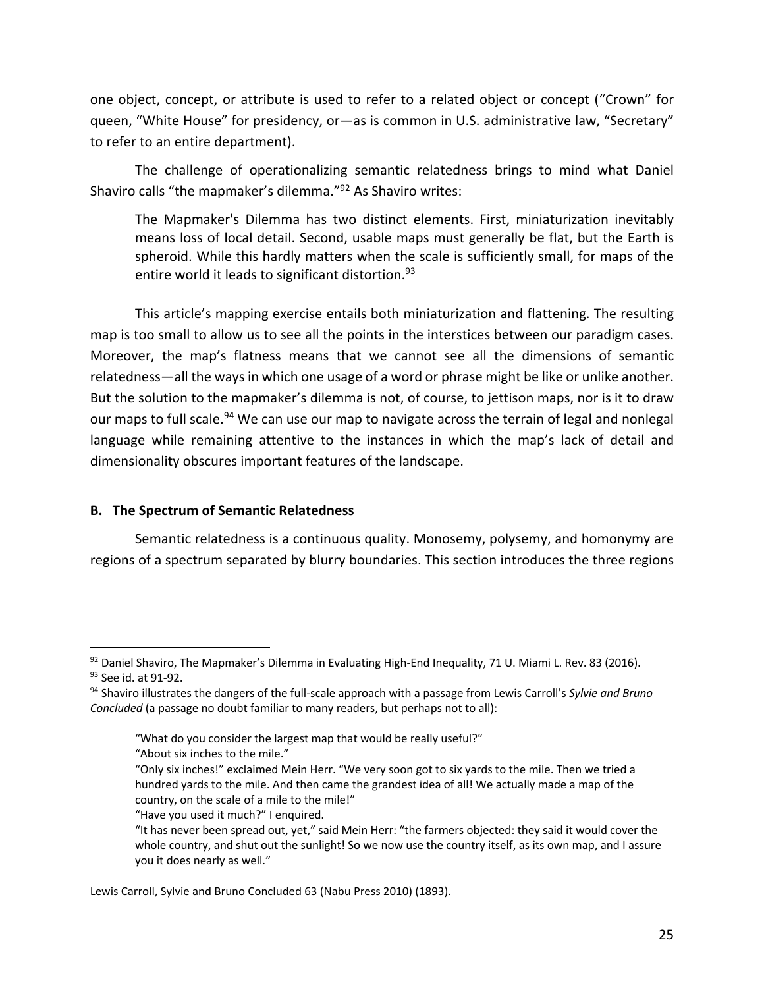one object, concept, or attribute is used to refer to a related object or concept ("Crown" for queen, "White House" for presidency, or—as is common in U.S. administrative law, "Secretary" to refer to an entire department).

The challenge of operationalizing semantic relatedness brings to mind what Daniel Shaviro calls "the mapmaker's dilemma."92 As Shaviro writes:

The Mapmaker's Dilemma has two distinct elements. First, miniaturization inevitably means loss of local detail. Second, usable maps must generally be flat, but the Earth is spheroid. While this hardly matters when the scale is sufficiently small, for maps of the entire world it leads to significant distortion.<sup>93</sup>

This article's mapping exercise entails both miniaturization and flattening. The resulting map is too small to allow us to see all the points in the interstices between our paradigm cases. Moreover, the map's flatness means that we cannot see all the dimensions of semantic relatedness—all the ways in which one usage of a word or phrase might be like or unlike another. But the solution to the mapmaker's dilemma is not, of course, to jettison maps, nor is it to draw our maps to full scale.<sup>94</sup> We can use our map to navigate across the terrain of legal and nonlegal language while remaining attentive to the instances in which the map's lack of detail and dimensionality obscures important features of the landscape.

## **B. The Spectrum of Semantic Relatedness**

Semantic relatedness is a continuous quality. Monosemy, polysemy, and homonymy are regions of a spectrum separated by blurry boundaries. This section introduces the three regions

<sup>92</sup> Daniel Shaviro, The Mapmaker's Dilemma in Evaluating High-End Inequality, 71 U. Miami L. Rev. 83 (2016). <sup>93</sup> See id. at 91-92.<br><sup>94</sup> Shaviro illustrates the dangers of the full-scale approach with a passage from Lewis Carroll's *Sylvie and Bruno* 

*Concluded* (a passage no doubt familiar to many readers, but perhaps not to all):

<sup>&</sup>quot;What do you consider the largest map that would be really useful?"

<sup>&</sup>quot;About six inches to the mile."

<sup>&</sup>quot;Only six inches!" exclaimed Mein Herr. "We very soon got to six yards to the mile. Then we tried a hundred yards to the mile. And then came the grandest idea of all! We actually made a map of the country, on the scale of a mile to the mile!"

<sup>&</sup>quot;Have you used it much?" I enquired.

<sup>&</sup>quot;It has never been spread out, yet," said Mein Herr: "the farmers objected: they said it would cover the whole country, and shut out the sunlight! So we now use the country itself, as its own map, and I assure you it does nearly as well."

Lewis Carroll, Sylvie and Bruno Concluded 63 (Nabu Press 2010) (1893).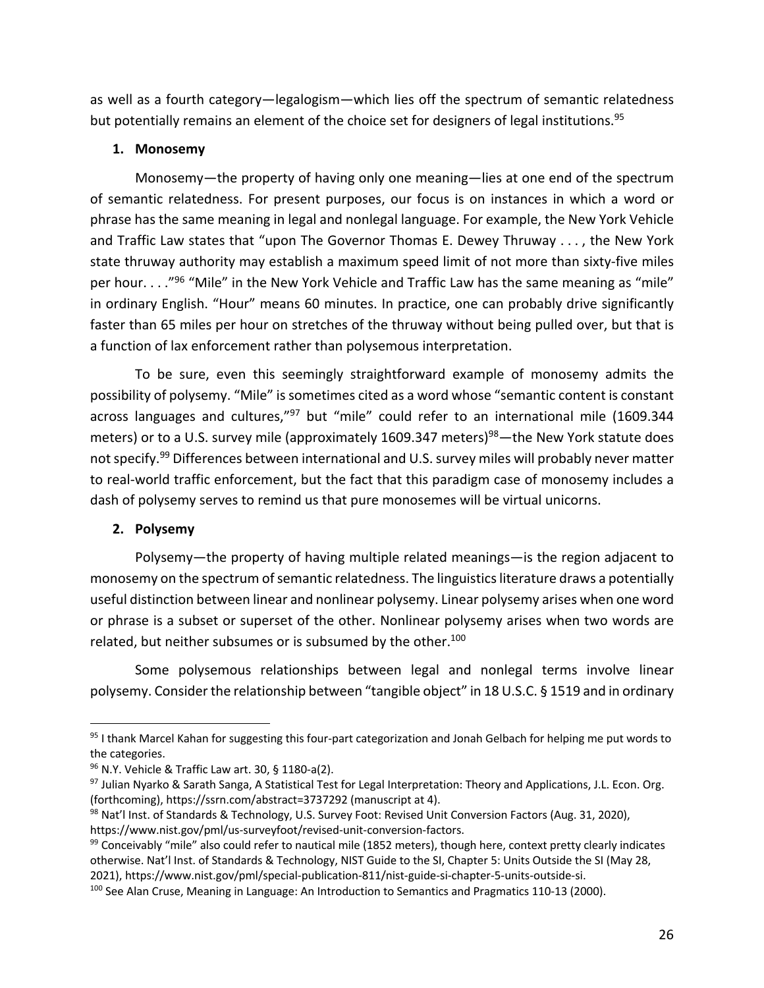as well as a fourth category—legalogism—which lies off the spectrum of semantic relatedness but potentially remains an element of the choice set for designers of legal institutions.<sup>95</sup>

# **1. Monosemy**

Monosemy—the property of having only one meaning—lies at one end of the spectrum of semantic relatedness. For present purposes, our focus is on instances in which a word or phrase has the same meaning in legal and nonlegal language. For example, the New York Vehicle and Traffic Law states that "upon The Governor Thomas E. Dewey Thruway . . . , the New York state thruway authority may establish a maximum speed limit of not more than sixty-five miles per hour. . . ."96 "Mile" in the New York Vehicle and Traffic Law has the same meaning as "mile" in ordinary English. "Hour" means 60 minutes. In practice, one can probably drive significantly faster than 65 miles per hour on stretches of the thruway without being pulled over, but that is a function of lax enforcement rather than polysemous interpretation.

To be sure, even this seemingly straightforward example of monosemy admits the possibility of polysemy. "Mile" is sometimes cited as a word whose "semantic content is constant across languages and cultures,"<sup>97</sup> but "mile" could refer to an international mile (1609.344 meters) or to a U.S. survey mile (approximately 1609.347 meters)<sup>98</sup>—the New York statute does not specify.<sup>99</sup> Differences between international and U.S. survey miles will probably never matter to real-world traffic enforcement, but the fact that this paradigm case of monosemy includes a dash of polysemy serves to remind us that pure monosemes will be virtual unicorns.

# **2. Polysemy**

Polysemy—the property of having multiple related meanings—is the region adjacent to monosemy on the spectrum of semantic relatedness. The linguistics literature draws a potentially useful distinction between linear and nonlinear polysemy. Linear polysemy arises when one word or phrase is a subset or superset of the other. Nonlinear polysemy arises when two words are related, but neither subsumes or is subsumed by the other.<sup>100</sup>

Some polysemous relationships between legal and nonlegal terms involve linear polysemy. Consider the relationship between "tangible object" in 18 U.S.C. § 1519 and in ordinary

<sup>95</sup> I thank Marcel Kahan for suggesting this four-part categorization and Jonah Gelbach for helping me put words to the categories.

<sup>96</sup> N.Y. Vehicle & Traffic Law art. 30, § 1180-a(2).

 $97$  Julian Nyarko & Sarath Sanga, A Statistical Test for Legal Interpretation: Theory and Applications, J.L. Econ. Org. (forthcoming), https://ssrn.com/abstract=3737292 (manuscript at 4).

<sup>98</sup> Nat'l Inst. of Standards & Technology, U.S. Survey Foot: Revised Unit Conversion Factors (Aug. 31, 2020), https://www.nist.gov/pml/us-surveyfoot/revised-unit-conversion-factors.

<sup>99</sup> Conceivably "mile" also could refer to nautical mile (1852 meters), though here, context pretty clearly indicates otherwise. Nat'l Inst. of Standards & Technology, NIST Guide to the SI, Chapter 5: Units Outside the SI (May 28, 2021), https://www.nist.gov/pml/special-publication-811/nist-guide-si-chapter-5-units-outside-si.

<sup>&</sup>lt;sup>100</sup> See Alan Cruse, Meaning in Language: An Introduction to Semantics and Pragmatics 110-13 (2000).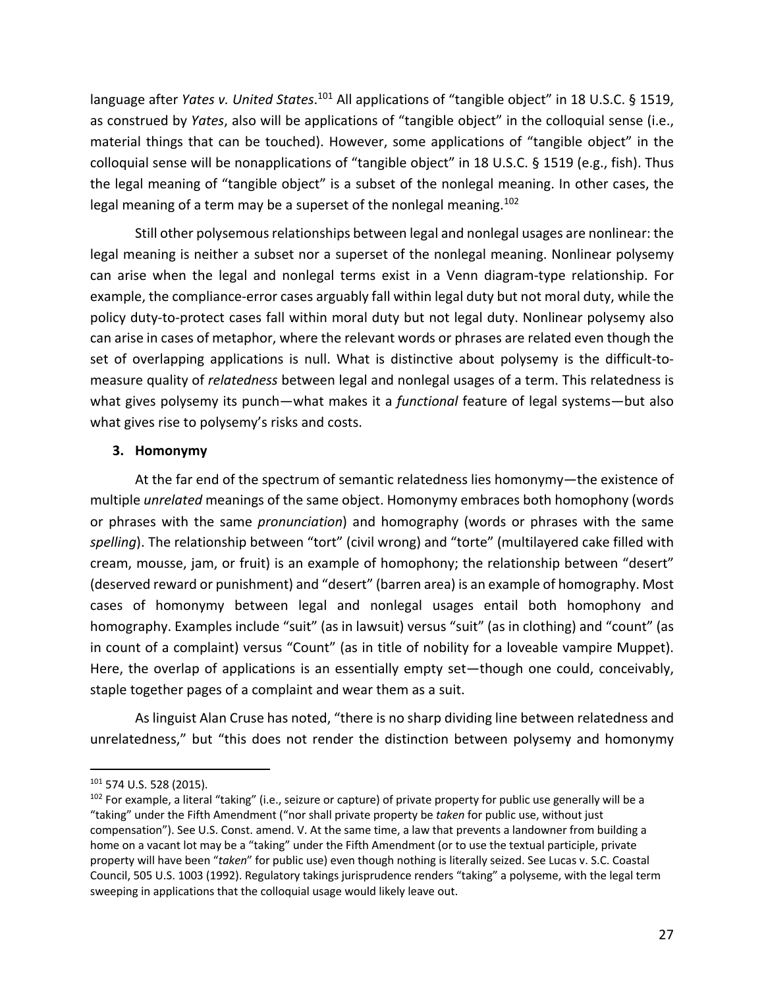language after *Yates v. United States*.<sup>101</sup> All applications of "tangible object" in 18 U.S.C. § 1519, as construed by *Yates*, also will be applications of "tangible object" in the colloquial sense (i.e., material things that can be touched). However, some applications of "tangible object" in the colloquial sense will be nonapplications of "tangible object" in 18 U.S.C. § 1519 (e.g., fish). Thus the legal meaning of "tangible object" is a subset of the nonlegal meaning. In other cases, the legal meaning of a term may be a superset of the nonlegal meaning.<sup>102</sup>

Still other polysemous relationships between legal and nonlegal usages are nonlinear: the legal meaning is neither a subset nor a superset of the nonlegal meaning. Nonlinear polysemy can arise when the legal and nonlegal terms exist in a Venn diagram-type relationship. For example, the compliance-error cases arguably fall within legal duty but not moral duty, while the policy duty-to-protect cases fall within moral duty but not legal duty. Nonlinear polysemy also can arise in cases of metaphor, where the relevant words or phrases are related even though the set of overlapping applications is null. What is distinctive about polysemy is the difficult-tomeasure quality of *relatedness* between legal and nonlegal usages of a term. This relatedness is what gives polysemy its punch—what makes it a *functional* feature of legal systems—but also what gives rise to polysemy's risks and costs.

# **3. Homonymy**

At the far end of the spectrum of semantic relatedness lies homonymy—the existence of multiple *unrelated* meanings of the same object. Homonymy embraces both homophony (words or phrases with the same *pronunciation*) and homography (words or phrases with the same *spelling*). The relationship between "tort" (civil wrong) and "torte" (multilayered cake filled with cream, mousse, jam, or fruit) is an example of homophony; the relationship between "desert" (deserved reward or punishment) and "desert" (barren area) is an example of homography. Most cases of homonymy between legal and nonlegal usages entail both homophony and homography. Examples include "suit" (as in lawsuit) versus "suit" (as in clothing) and "count" (as in count of a complaint) versus "Count" (as in title of nobility for a loveable vampire Muppet). Here, the overlap of applications is an essentially empty set—though one could, conceivably, staple together pages of a complaint and wear them as a suit.

As linguist Alan Cruse has noted, "there is no sharp dividing line between relatedness and unrelatedness," but "this does not render the distinction between polysemy and homonymy

<sup>101</sup> 574 U.S. 528 (2015).

 $102$  For example, a literal "taking" (i.e., seizure or capture) of private property for public use generally will be a "taking" under the Fifth Amendment ("nor shall private property be *taken* for public use, without just compensation"). See U.S. Const. amend. V. At the same time, a law that prevents a landowner from building a home on a vacant lot may be a "taking" under the Fifth Amendment (or to use the textual participle, private property will have been "*taken*" for public use) even though nothing is literally seized. See Lucas v. S.C. Coastal Council, 505 U.S. 1003 (1992). Regulatory takings jurisprudence renders "taking" a polyseme, with the legal term sweeping in applications that the colloquial usage would likely leave out.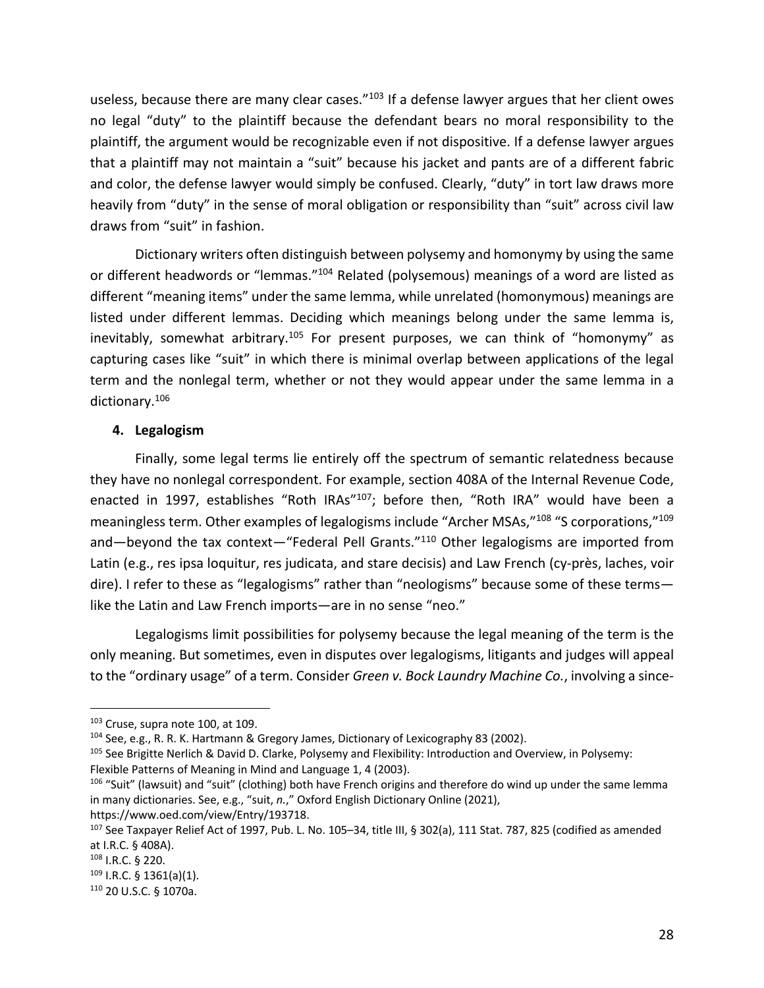useless, because there are many clear cases."<sup>103</sup> If a defense lawyer argues that her client owes no legal "duty" to the plaintiff because the defendant bears no moral responsibility to the plaintiff, the argument would be recognizable even if not dispositive. If a defense lawyer argues that a plaintiff may not maintain a "suit" because his jacket and pants are of a different fabric and color, the defense lawyer would simply be confused. Clearly, "duty" in tort law draws more heavily from "duty" in the sense of moral obligation or responsibility than "suit" across civil law draws from "suit" in fashion.

Dictionary writers often distinguish between polysemy and homonymy by using the same or different headwords or "lemmas."<sup>104</sup> Related (polysemous) meanings of a word are listed as different "meaning items" under the same lemma, while unrelated (homonymous) meanings are listed under different lemmas. Deciding which meanings belong under the same lemma is, inevitably, somewhat arbitrary.<sup>105</sup> For present purposes, we can think of "homonymy" as capturing cases like "suit" in which there is minimal overlap between applications of the legal term and the nonlegal term, whether or not they would appear under the same lemma in a dictionary.106

## **4. Legalogism**

Finally, some legal terms lie entirely off the spectrum of semantic relatedness because they have no nonlegal correspondent. For example, section 408A of the Internal Revenue Code, enacted in 1997, establishes "Roth IRAs"<sup>107</sup>; before then, "Roth IRA" would have been a meaningless term. Other examples of legalogisms include "Archer MSAs,"<sup>108</sup> "S corporations,"<sup>109</sup> and—beyond the tax context—"Federal Pell Grants."<sup>110</sup> Other legalogisms are imported from Latin (e.g., res ipsa loquitur, res judicata, and stare decisis) and Law French (cy-près, laches, voir dire). I refer to these as "legalogisms" rather than "neologisms" because some of these terms like the Latin and Law French imports—are in no sense "neo."

Legalogisms limit possibilities for polysemy because the legal meaning of the term is the only meaning. But sometimes, even in disputes over legalogisms, litigants and judges will appeal to the "ordinary usage" of a term. Consider *Green v. Bock Laundry Machine Co.*, involving a since-

<sup>&</sup>lt;sup>103</sup> Cruse, supra note 100, at 109.

<sup>104</sup> See, e.g., R. R. K. Hartmann & Gregory James, Dictionary of Lexicography 83 (2002).

<sup>105</sup> See Brigitte Nerlich & David D. Clarke, Polysemy and Flexibility: Introduction and Overview, in Polysemy: Flexible Patterns of Meaning in Mind and Language 1, 4 (2003).

<sup>&</sup>lt;sup>106</sup> "Suit" (lawsuit) and "suit" (clothing) both have French origins and therefore do wind up under the same lemma in many dictionaries. See, e.g., "suit, *n.*," Oxford English Dictionary Online (2021),

https://www.oed.com/view/Entry/193718.

<sup>107</sup> See Taxpayer Relief Act of 1997, Pub. L. No. 105-34, title III, § 302(a), 111 Stat. 787, 825 (codified as amended at I.R.C. § 408A).

<sup>108</sup> I.R.C. § 220.

 $109$  I.R.C. § 1361(a)(1).

<sup>110</sup> 20 U.S.C. § 1070a.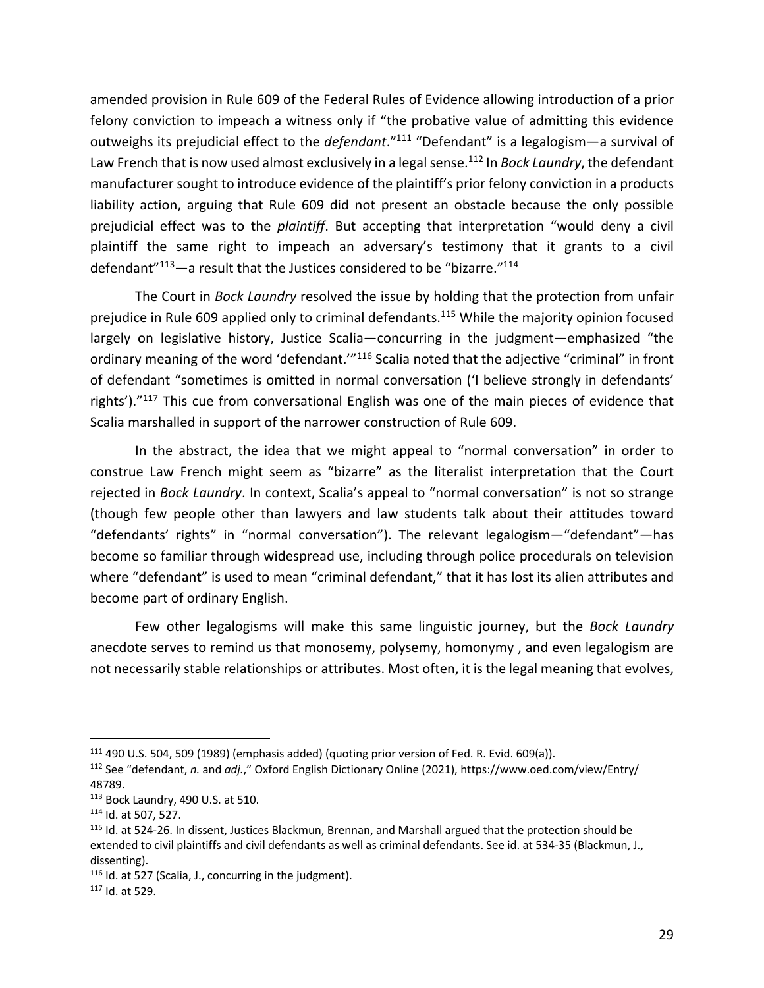amended provision in Rule 609 of the Federal Rules of Evidence allowing introduction of a prior felony conviction to impeach a witness only if "the probative value of admitting this evidence outweighs its prejudicial effect to the *defendant*."111 "Defendant" is a legalogism—a survival of Law French that is now used almost exclusively in a legal sense. <sup>112</sup> In *Bock Laundry*, the defendant manufacturer sought to introduce evidence of the plaintiff's prior felony conviction in a products liability action, arguing that Rule 609 did not present an obstacle because the only possible prejudicial effect was to the *plaintiff*. But accepting that interpretation "would deny a civil plaintiff the same right to impeach an adversary's testimony that it grants to a civil defendant"<sup>113</sup>-a result that the Justices considered to be "bizarre."<sup>114</sup>

The Court in *Bock Laundry* resolved the issue by holding that the protection from unfair prejudice in Rule 609 applied only to criminal defendants.<sup>115</sup> While the majority opinion focused largely on legislative history, Justice Scalia—concurring in the judgment—emphasized "the ordinary meaning of the word 'defendant."<sup>116</sup> Scalia noted that the adjective "criminal" in front of defendant "sometimes is omitted in normal conversation ('I believe strongly in defendants' rights')."<sup>117</sup> This cue from conversational English was one of the main pieces of evidence that Scalia marshalled in support of the narrower construction of Rule 609.

In the abstract, the idea that we might appeal to "normal conversation" in order to construe Law French might seem as "bizarre" as the literalist interpretation that the Court rejected in *Bock Laundry*. In context, Scalia's appeal to "normal conversation" is not so strange (though few people other than lawyers and law students talk about their attitudes toward "defendants' rights" in "normal conversation"). The relevant legalogism—"defendant"—has become so familiar through widespread use, including through police procedurals on television where "defendant" is used to mean "criminal defendant," that it has lost its alien attributes and become part of ordinary English.

Few other legalogisms will make this same linguistic journey, but the *Bock Laundry* anecdote serves to remind us that monosemy, polysemy, homonymy , and even legalogism are not necessarily stable relationships or attributes. Most often, it is the legal meaning that evolves,

 $111$  490 U.S. 504, 509 (1989) (emphasis added) (quoting prior version of Fed. R. Evid. 609(a)).

<sup>112</sup> See "defendant, *n.* and *adj.*," Oxford English Dictionary Online (2021), https://www.oed.com/view/Entry/ 48789.

<sup>113</sup> Bock Laundry, 490 U.S. at 510.

<sup>114</sup> Id. at 507, 527.

<sup>&</sup>lt;sup>115</sup> Id. at 524-26. In dissent, Justices Blackmun, Brennan, and Marshall argued that the protection should be extended to civil plaintiffs and civil defendants as well as criminal defendants. See id. at 534-35 (Blackmun, J., dissenting).

<sup>&</sup>lt;sup>116</sup> Id. at 527 (Scalia, J., concurring in the judgment).

<sup>117</sup> Id. at 529.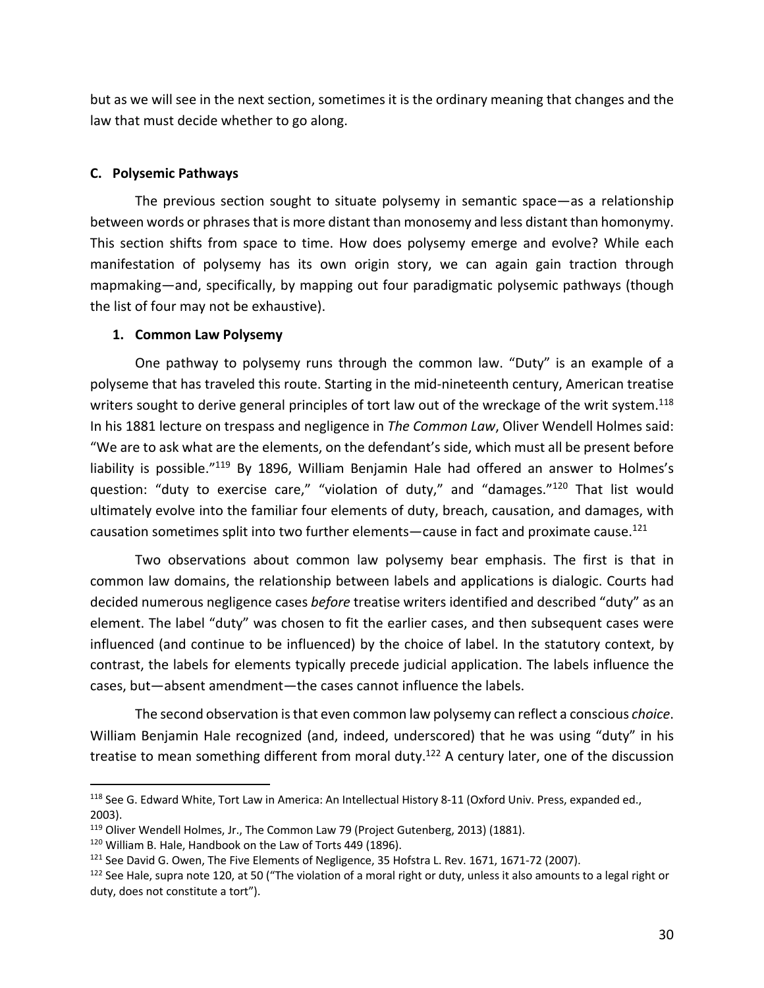but as we will see in the next section, sometimes it is the ordinary meaning that changes and the law that must decide whether to go along.

## **C. Polysemic Pathways**

The previous section sought to situate polysemy in semantic space—as a relationship between words or phrases that is more distant than monosemy and less distant than homonymy. This section shifts from space to time. How does polysemy emerge and evolve? While each manifestation of polysemy has its own origin story, we can again gain traction through mapmaking—and, specifically, by mapping out four paradigmatic polysemic pathways (though the list of four may not be exhaustive).

# **1. Common Law Polysemy**

One pathway to polysemy runs through the common law. "Duty" is an example of a polyseme that has traveled this route. Starting in the mid-nineteenth century, American treatise writers sought to derive general principles of tort law out of the wreckage of the writ system.<sup>118</sup> In his 1881 lecture on trespass and negligence in *The Common Law*, Oliver Wendell Holmes said: "We are to ask what are the elements, on the defendant's side, which must all be present before liability is possible."<sup>119</sup> By 1896, William Benjamin Hale had offered an answer to Holmes's question: "duty to exercise care," "violation of duty," and "damages."120 That list would ultimately evolve into the familiar four elements of duty, breach, causation, and damages, with causation sometimes split into two further elements—cause in fact and proximate cause.<sup>121</sup>

Two observations about common law polysemy bear emphasis. The first is that in common law domains, the relationship between labels and applications is dialogic. Courts had decided numerous negligence cases *before* treatise writers identified and described "duty" as an element. The label "duty" was chosen to fit the earlier cases, and then subsequent cases were influenced (and continue to be influenced) by the choice of label. In the statutory context, by contrast, the labels for elements typically precede judicial application. The labels influence the cases, but—absent amendment—the cases cannot influence the labels.

The second observation is that even common law polysemy can reflect a conscious *choice*. William Benjamin Hale recognized (and, indeed, underscored) that he was using "duty" in his treatise to mean something different from moral duty.<sup>122</sup> A century later, one of the discussion

<sup>&</sup>lt;sup>118</sup> See G. Edward White, Tort Law in America: An Intellectual History 8-11 (Oxford Univ. Press, expanded ed., 2003).

<sup>&</sup>lt;sup>119</sup> Oliver Wendell Holmes, Jr., The Common Law 79 (Project Gutenberg, 2013) (1881).

<sup>&</sup>lt;sup>120</sup> William B. Hale, Handbook on the Law of Torts 449 (1896).

 $121$  See David G. Owen, The Five Elements of Negligence, 35 Hofstra L. Rev. 1671, 1671-72 (2007).

 $122$  See Hale, supra note 120, at 50 ("The violation of a moral right or duty, unless it also amounts to a legal right or duty, does not constitute a tort").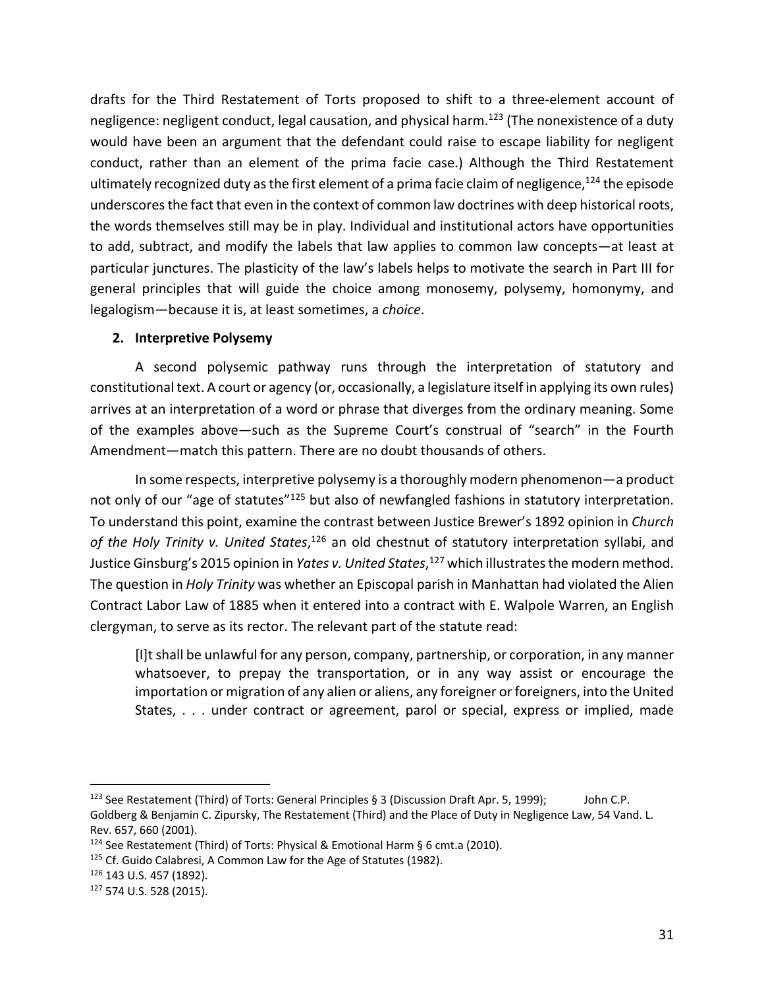drafts for the Third Restatement of Torts proposed to shift to a three-element account of negligence: negligent conduct, legal causation, and physical harm.<sup>123</sup> (The nonexistence of a duty would have been an argument that the defendant could raise to escape liability for negligent conduct, rather than an element of the prima facie case.) Although the Third Restatement ultimately recognized duty as the first element of a prima facie claim of negligence,  $^{124}$  the episode underscores the fact that even in the context of common law doctrines with deep historical roots, the words themselves still may be in play. Individual and institutional actors have opportunities to add, subtract, and modify the labels that law applies to common law concepts—at least at particular junctures. The plasticity of the law's labels helps to motivate the search in Part III for general principles that will guide the choice among monosemy, polysemy, homonymy, and legalogism—because it is, at least sometimes, a *choice*.

# **2. Interpretive Polysemy**

A second polysemic pathway runs through the interpretation of statutory and constitutional text. A court or agency (or, occasionally, a legislature itself in applying its own rules) arrives at an interpretation of a word or phrase that diverges from the ordinary meaning. Some of the examples above—such as the Supreme Court's construal of "search" in the Fourth Amendment—match this pattern. There are no doubt thousands of others.

In some respects, interpretive polysemy is a thoroughly modern phenomenon—a product not only of our "age of statutes"125 but also of newfangled fashions in statutory interpretation. To understand this point, examine the contrast between Justice Brewer's 1892 opinion in *Church of the Holy Trinity v. United States*, <sup>126</sup> an old chestnut of statutory interpretation syllabi, and Justice Ginsburg's 2015 opinion in *Yates v. United States*, <sup>127</sup> which illustrates the modern method. The question in *Holy Trinity* was whether an Episcopal parish in Manhattan had violated the Alien Contract Labor Law of 1885 when it entered into a contract with E. Walpole Warren, an English clergyman, to serve as its rector. The relevant part of the statute read:

[I]t shall be unlawful for any person, company, partnership, or corporation, in any manner whatsoever, to prepay the transportation, or in any way assist or encourage the importation or migration of any alien or aliens, any foreigner or foreigners, into the United States, . . . under contract or agreement, parol or special, express or implied, made

<sup>&</sup>lt;sup>123</sup> See Restatement (Third) of Torts: General Principles § 3 (Discussion Draft Apr. 5, 1999); John C.P. Goldberg & Benjamin C. Zipursky, The Restatement (Third) and the Place of Duty in Negligence Law, 54 Vand. L. Rev. 657, 660 (2001).

<sup>124</sup> See Restatement (Third) of Torts: Physical & Emotional Harm § 6 cmt.a (2010).

<sup>&</sup>lt;sup>125</sup> Cf. Guido Calabresi, A Common Law for the Age of Statutes (1982).

<sup>126</sup> 143 U.S. 457 (1892).

<sup>127</sup> 574 U.S. 528 (2015).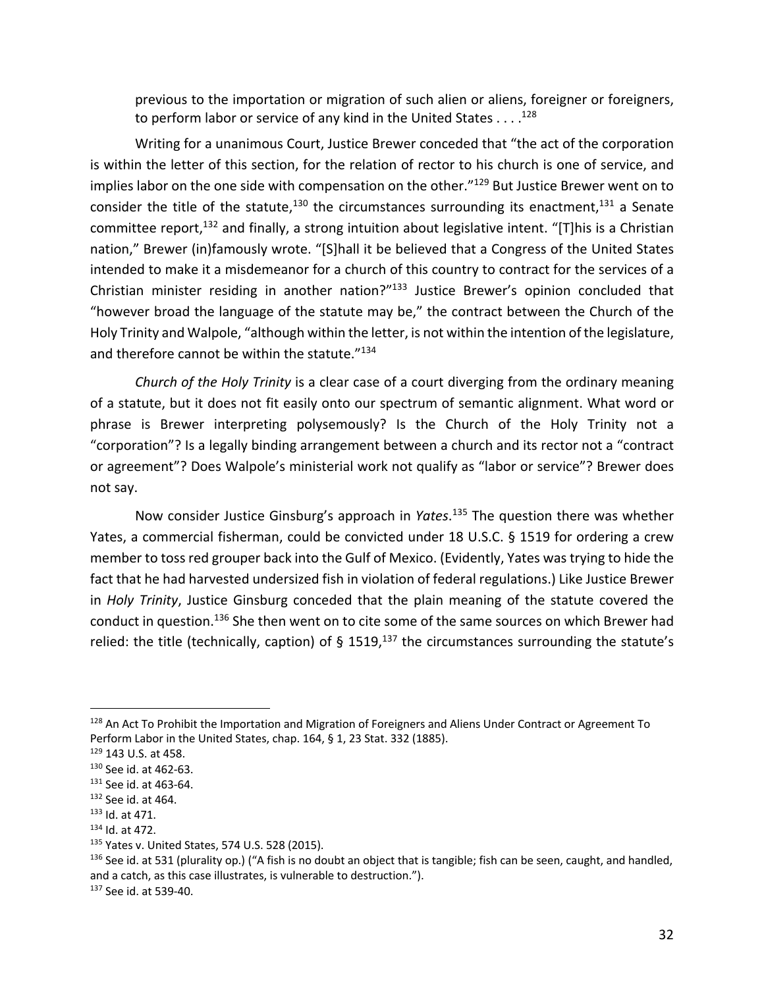previous to the importation or migration of such alien or aliens, foreigner or foreigners, to perform labor or service of any kind in the United States  $\dots$ .<sup>128</sup>

Writing for a unanimous Court, Justice Brewer conceded that "the act of the corporation is within the letter of this section, for the relation of rector to his church is one of service, and implies labor on the one side with compensation on the other."<sup>129</sup> But Justice Brewer went on to consider the title of the statute, $130$  the circumstances surrounding its enactment, $131$  a Senate committee report,<sup>132</sup> and finally, a strong intuition about legislative intent. "[T]his is a Christian nation," Brewer (in)famously wrote. "[S]hall it be believed that a Congress of the United States intended to make it a misdemeanor for a church of this country to contract for the services of a Christian minister residing in another nation?"133 Justice Brewer's opinion concluded that "however broad the language of the statute may be," the contract between the Church of the Holy Trinity and Walpole, "although within the letter, is not within the intention of the legislature, and therefore cannot be within the statute."134

*Church of the Holy Trinity* is a clear case of a court diverging from the ordinary meaning of a statute, but it does not fit easily onto our spectrum of semantic alignment. What word or phrase is Brewer interpreting polysemously? Is the Church of the Holy Trinity not a "corporation"? Is a legally binding arrangement between a church and its rector not a "contract or agreement"? Does Walpole's ministerial work not qualify as "labor or service"? Brewer does not say.

Now consider Justice Ginsburg's approach in *Yates*. <sup>135</sup> The question there was whether Yates, a commercial fisherman, could be convicted under 18 U.S.C. § 1519 for ordering a crew member to toss red grouper back into the Gulf of Mexico. (Evidently, Yates was trying to hide the fact that he had harvested undersized fish in violation of federal regulations.) Like Justice Brewer in *Holy Trinity*, Justice Ginsburg conceded that the plain meaning of the statute covered the conduct in question.<sup>136</sup> She then went on to cite some of the same sources on which Brewer had relied: the title (technically, caption) of § 1519,<sup>137</sup> the circumstances surrounding the statute's

<sup>&</sup>lt;sup>128</sup> An Act To Prohibit the Importation and Migration of Foreigners and Aliens Under Contract or Agreement To Perform Labor in the United States, chap. 164, § 1, 23 Stat. 332 (1885).

<sup>129</sup> 143 U.S. at 458.

<sup>130</sup> See id. at 462-63.

<sup>131</sup> See id. at 463-64.

<sup>132</sup> See id. at 464.

<sup>133</sup> Id. at 471.

<sup>134</sup> Id. at 472.

<sup>135</sup> Yates v. United States, 574 U.S. 528 (2015).

 $136$  See id. at 531 (plurality op.) ("A fish is no doubt an object that is tangible; fish can be seen, caught, and handled, and a catch, as this case illustrates, is vulnerable to destruction.").

<sup>137</sup> See id. at 539-40.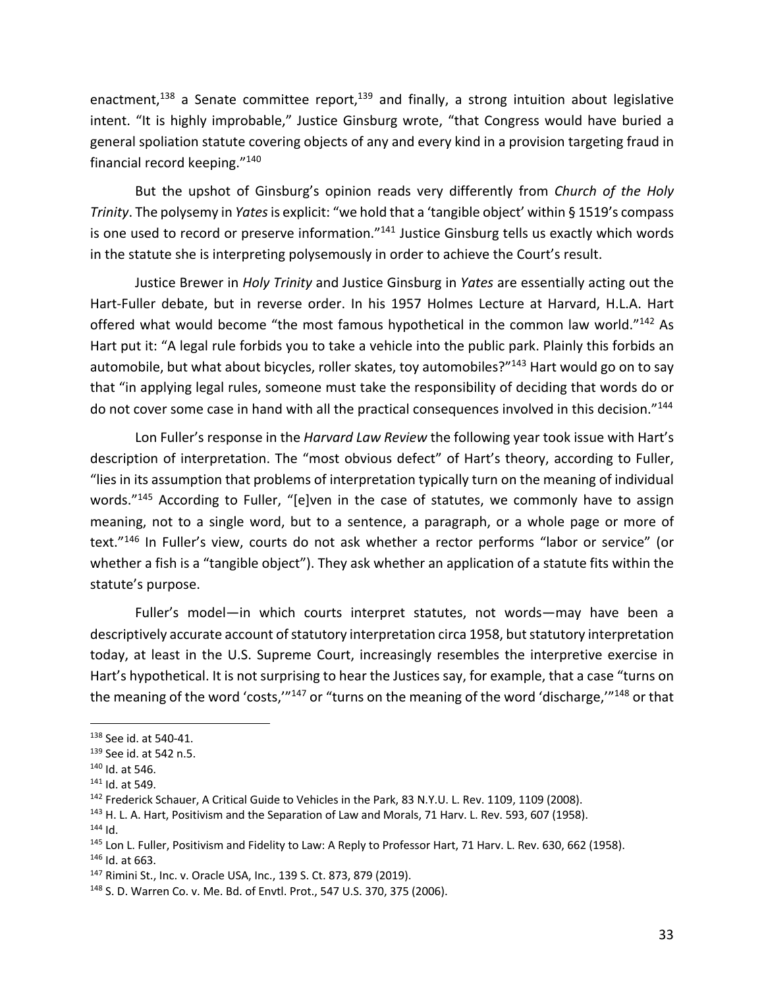enactment,<sup>138</sup> a Senate committee report,<sup>139</sup> and finally, a strong intuition about legislative intent. "It is highly improbable," Justice Ginsburg wrote, "that Congress would have buried a general spoliation statute covering objects of any and every kind in a provision targeting fraud in financial record keeping."140

But the upshot of Ginsburg's opinion reads very differently from *Church of the Holy Trinity*. The polysemy in *Yates* is explicit: "we hold that a 'tangible object' within § 1519's compass is one used to record or preserve information."141 Justice Ginsburg tells us exactly which words in the statute she is interpreting polysemously in order to achieve the Court's result.

Justice Brewer in *Holy Trinity* and Justice Ginsburg in *Yates* are essentially acting out the Hart-Fuller debate, but in reverse order. In his 1957 Holmes Lecture at Harvard, H.L.A. Hart offered what would become "the most famous hypothetical in the common law world."142 As Hart put it: "A legal rule forbids you to take a vehicle into the public park. Plainly this forbids an automobile, but what about bicycles, roller skates, toy automobiles?"<sup>143</sup> Hart would go on to say that "in applying legal rules, someone must take the responsibility of deciding that words do or do not cover some case in hand with all the practical consequences involved in this decision."<sup>144</sup>

Lon Fuller's response in the *Harvard Law Review* the following year took issue with Hart's description of interpretation. The "most obvious defect" of Hart's theory, according to Fuller, "lies in its assumption that problems of interpretation typically turn on the meaning of individual words."<sup>145</sup> According to Fuller, "[e]ven in the case of statutes, we commonly have to assign meaning, not to a single word, but to a sentence, a paragraph, or a whole page or more of text."146 In Fuller's view, courts do not ask whether a rector performs "labor or service" (or whether a fish is a "tangible object"). They ask whether an application of a statute fits within the statute's purpose.

Fuller's model—in which courts interpret statutes, not words—may have been a descriptively accurate account of statutory interpretation circa 1958, but statutory interpretation today, at least in the U.S. Supreme Court, increasingly resembles the interpretive exercise in Hart's hypothetical. It is not surprising to hear the Justices say, for example, that a case "turns on the meaning of the word 'costs,"<sup>147</sup> or "turns on the meaning of the word 'discharge,"<sup>148</sup> or that

 $144$  Id.

<sup>138</sup> See id. at 540-41.

<sup>139</sup> See id. at 542 n.5.

<sup>140</sup> Id. at 546.

<sup>141</sup> Id. at 549.

<sup>&</sup>lt;sup>142</sup> Frederick Schauer, A Critical Guide to Vehicles in the Park, 83 N.Y.U. L. Rev. 1109, 1109 (2008).

<sup>&</sup>lt;sup>143</sup> H. L. A. Hart, Positivism and the Separation of Law and Morals, 71 Harv. L. Rev. 593, 607 (1958).

<sup>&</sup>lt;sup>145</sup> Lon L. Fuller, Positivism and Fidelity to Law: A Reply to Professor Hart, 71 Harv. L. Rev. 630, 662 (1958).

<sup>146</sup> Id. at 663.

<sup>147</sup> Rimini St., Inc. v. Oracle USA, Inc., 139 S. Ct. 873, 879 (2019).

<sup>148</sup> S. D. Warren Co. v. Me. Bd. of Envtl. Prot., 547 U.S. 370, 375 (2006).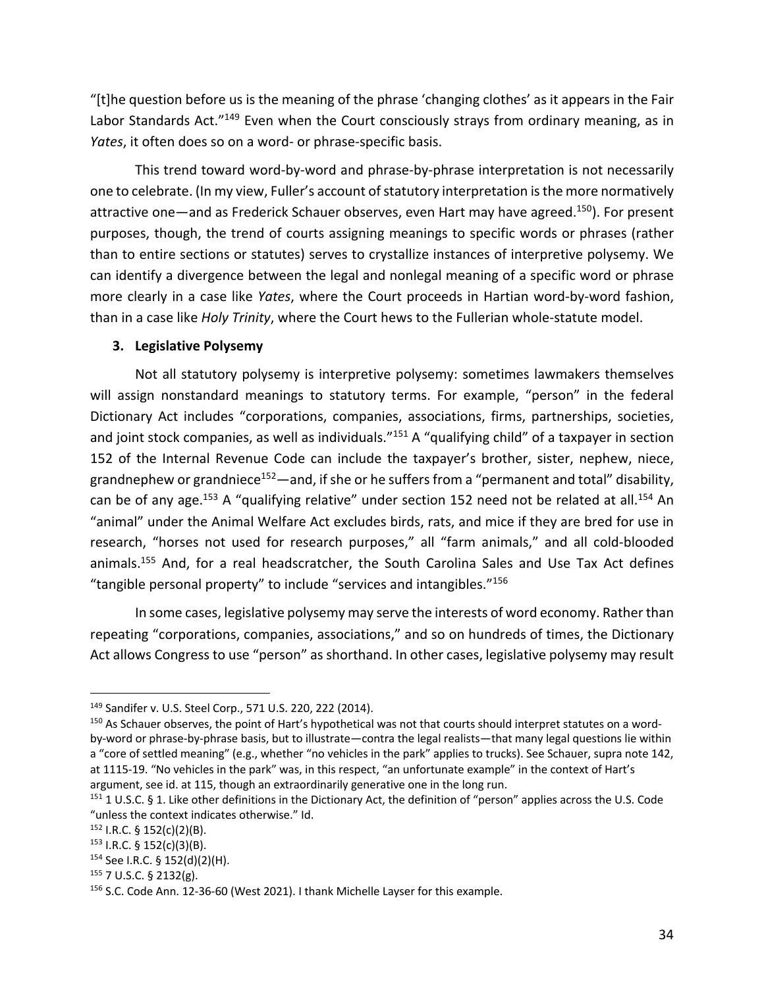"[t]he question before us is the meaning of the phrase 'changing clothes' as it appears in the Fair Labor Standards Act.<sup>"149</sup> Even when the Court consciously strays from ordinary meaning, as in *Yates*, it often does so on a word- or phrase-specific basis.

This trend toward word-by-word and phrase-by-phrase interpretation is not necessarily one to celebrate. (In my view, Fuller's account of statutory interpretation is the more normatively attractive one—and as Frederick Schauer observes, even Hart may have agreed.<sup>150</sup>). For present purposes, though, the trend of courts assigning meanings to specific words or phrases (rather than to entire sections or statutes) serves to crystallize instances of interpretive polysemy. We can identify a divergence between the legal and nonlegal meaning of a specific word or phrase more clearly in a case like *Yates*, where the Court proceeds in Hartian word-by-word fashion, than in a case like *Holy Trinity*, where the Court hews to the Fullerian whole-statute model.

#### **3. Legislative Polysemy**

Not all statutory polysemy is interpretive polysemy: sometimes lawmakers themselves will assign nonstandard meanings to statutory terms. For example, "person" in the federal Dictionary Act includes "corporations, companies, associations, firms, partnerships, societies, and joint stock companies, as well as individuals."<sup>151</sup> A "qualifying child" of a taxpayer in section 152 of the Internal Revenue Code can include the taxpayer's brother, sister, nephew, niece, grandnephew or grandniece<sup>152</sup>—and, if she or he suffers from a "permanent and total" disability, can be of any age.<sup>153</sup> A "qualifying relative" under section 152 need not be related at all.<sup>154</sup> An "animal" under the Animal Welfare Act excludes birds, rats, and mice if they are bred for use in research, "horses not used for research purposes," all "farm animals," and all cold-blooded animals.<sup>155</sup> And, for a real headscratcher, the South Carolina Sales and Use Tax Act defines "tangible personal property" to include "services and intangibles."156

In some cases, legislative polysemy may serve the interests of word economy. Rather than repeating "corporations, companies, associations," and so on hundreds of times, the Dictionary Act allows Congress to use "person" as shorthand. In other cases, legislative polysemy may result

<sup>149</sup> Sandifer v. U.S. Steel Corp., 571 U.S. 220, 222 (2014).

<sup>&</sup>lt;sup>150</sup> As Schauer observes, the point of Hart's hypothetical was not that courts should interpret statutes on a wordby-word or phrase-by-phrase basis, but to illustrate—contra the legal realists—that many legal questions lie within a "core of settled meaning" (e.g., whether "no vehicles in the park" applies to trucks). See Schauer, supra note 142, at 1115-19. "No vehicles in the park" was, in this respect, "an unfortunate example" in the context of Hart's argument, see id. at 115, though an extraordinarily generative one in the long run.

<sup>151 1</sup> U.S.C. § 1. Like other definitions in the Dictionary Act, the definition of "person" applies across the U.S. Code "unless the context indicates otherwise." Id.

 $152$  I.R.C. § 152(c)(2)(B).

 $153$  I.R.C. § 152(c)(3)(B).

<sup>154</sup> See I.R.C. § 152(d)(2)(H).

<sup>155</sup> 7 U.S.C. § 2132(g).

<sup>156</sup> S.C. Code Ann. 12-36-60 (West 2021). I thank Michelle Layser for this example.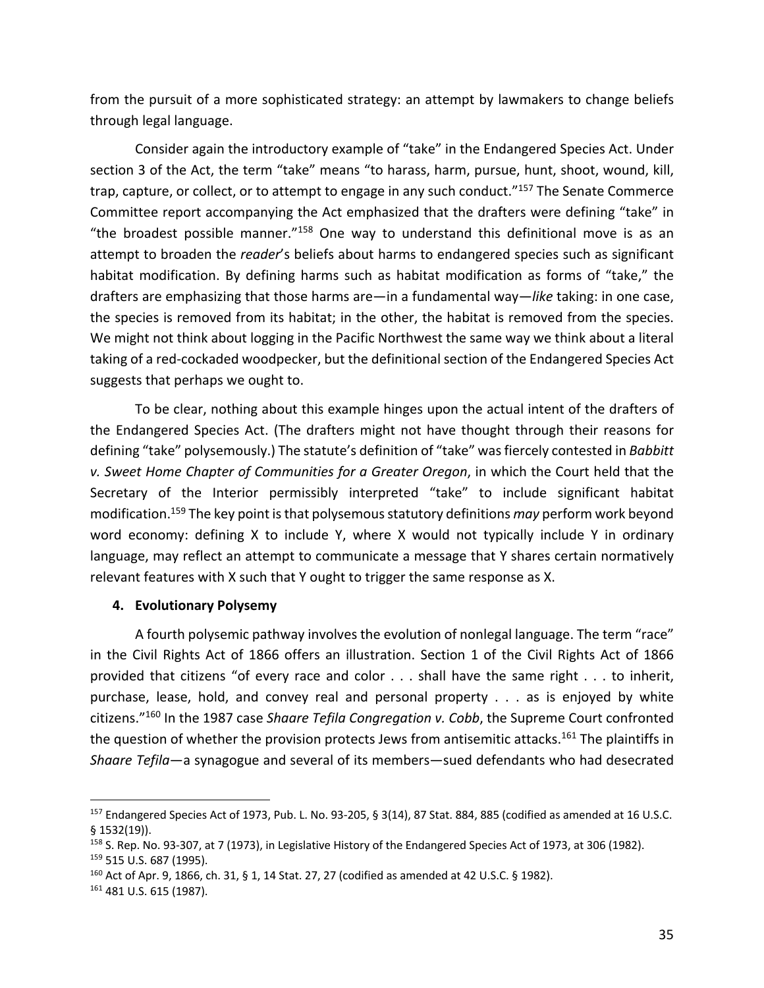from the pursuit of a more sophisticated strategy: an attempt by lawmakers to change beliefs through legal language.

Consider again the introductory example of "take" in the Endangered Species Act. Under section 3 of the Act, the term "take" means "to harass, harm, pursue, hunt, shoot, wound, kill, trap, capture, or collect, or to attempt to engage in any such conduct."<sup>157</sup> The Senate Commerce Committee report accompanying the Act emphasized that the drafters were defining "take" in "the broadest possible manner."<sup>158</sup> One way to understand this definitional move is as an attempt to broaden the *reader*'s beliefs about harms to endangered species such as significant habitat modification. By defining harms such as habitat modification as forms of "take," the drafters are emphasizing that those harms are—in a fundamental way—*like* taking: in one case, the species is removed from its habitat; in the other, the habitat is removed from the species. We might not think about logging in the Pacific Northwest the same way we think about a literal taking of a red-cockaded woodpecker, but the definitional section of the Endangered Species Act suggests that perhaps we ought to.

To be clear, nothing about this example hinges upon the actual intent of the drafters of the Endangered Species Act. (The drafters might not have thought through their reasons for defining "take" polysemously.) The statute's definition of "take" was fiercely contested in *Babbitt v. Sweet Home Chapter of Communities for a Greater Oregon*, in which the Court held that the Secretary of the Interior permissibly interpreted "take" to include significant habitat modification. <sup>159</sup> The key point is that polysemous statutory definitions *may* perform work beyond word economy: defining X to include Y, where X would not typically include Y in ordinary language, may reflect an attempt to communicate a message that Y shares certain normatively relevant features with X such that Y ought to trigger the same response as X.

## **4. Evolutionary Polysemy**

A fourth polysemic pathway involves the evolution of nonlegal language. The term "race" in the Civil Rights Act of 1866 offers an illustration. Section 1 of the Civil Rights Act of 1866 provided that citizens "of every race and color . . . shall have the same right . . . to inherit, purchase, lease, hold, and convey real and personal property . . . as is enjoyed by white citizens."160 In the 1987 case *Shaare Tefila Congregation v. Cobb*, the Supreme Court confronted the question of whether the provision protects Jews from antisemitic attacks.<sup>161</sup> The plaintiffs in *Shaare Tefila*—a synagogue and several of its members—sued defendants who had desecrated

<sup>157</sup> Endangered Species Act of 1973, Pub. L. No. 93-205, § 3(14), 87 Stat. 884, 885 (codified as amended at 16 U.S.C. § 1532(19)).

<sup>&</sup>lt;sup>158</sup> S. Rep. No. 93-307, at 7 (1973), in Legislative History of the Endangered Species Act of 1973, at 306 (1982).

<sup>159</sup> 515 U.S. 687 (1995).

 $160$  Act of Apr. 9, 1866, ch. 31, § 1, 14 Stat. 27, 27 (codified as amended at 42 U.S.C. § 1982).

<sup>161</sup> 481 U.S. 615 (1987).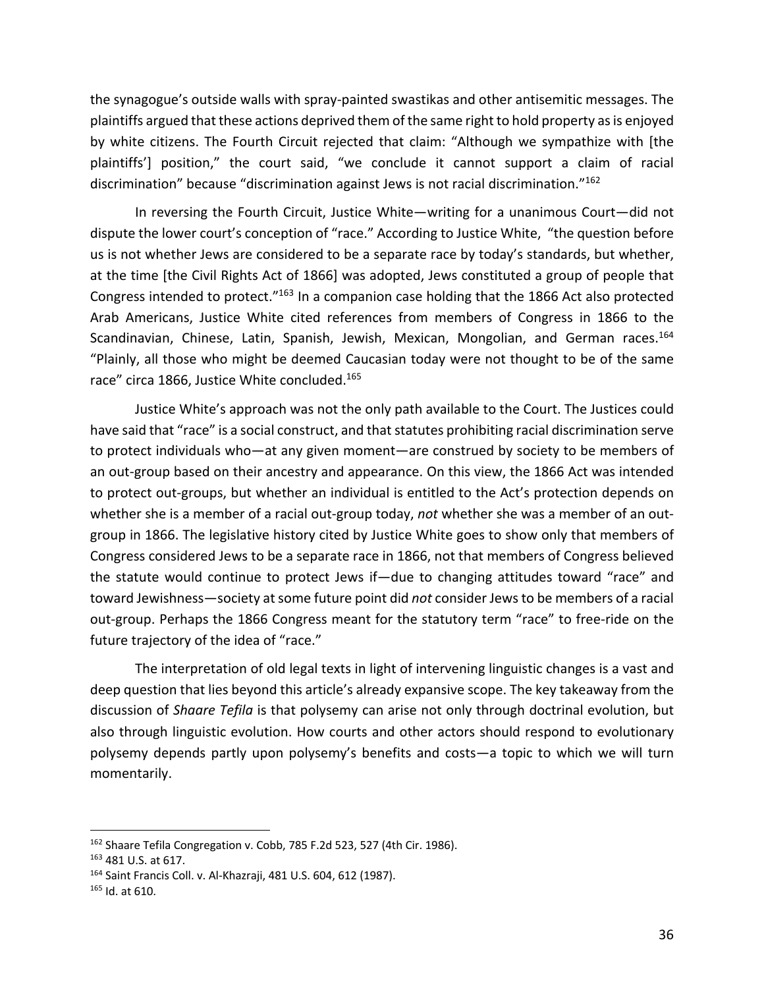the synagogue's outside walls with spray-painted swastikas and other antisemitic messages. The plaintiffs argued that these actions deprived them of the same right to hold property as is enjoyed by white citizens. The Fourth Circuit rejected that claim: "Although we sympathize with [the plaintiffs'] position," the court said, "we conclude it cannot support a claim of racial discrimination" because "discrimination against Jews is not racial discrimination."162

In reversing the Fourth Circuit, Justice White—writing for a unanimous Court—did not dispute the lower court's conception of "race." According to Justice White, "the question before us is not whether Jews are considered to be a separate race by today's standards, but whether, at the time [the Civil Rights Act of 1866] was adopted, Jews constituted a group of people that Congress intended to protect."163 In a companion case holding that the 1866 Act also protected Arab Americans, Justice White cited references from members of Congress in 1866 to the Scandinavian, Chinese, Latin, Spanish, Jewish, Mexican, Mongolian, and German races.<sup>164</sup> "Plainly, all those who might be deemed Caucasian today were not thought to be of the same race" circa 1866, Justice White concluded.<sup>165</sup>

Justice White's approach was not the only path available to the Court. The Justices could have said that "race" is a social construct, and that statutes prohibiting racial discrimination serve to protect individuals who—at any given moment—are construed by society to be members of an out-group based on their ancestry and appearance. On this view, the 1866 Act was intended to protect out-groups, but whether an individual is entitled to the Act's protection depends on whether she is a member of a racial out-group today, *not* whether she was a member of an outgroup in 1866. The legislative history cited by Justice White goes to show only that members of Congress considered Jews to be a separate race in 1866, not that members of Congress believed the statute would continue to protect Jews if—due to changing attitudes toward "race" and toward Jewishness—society at some future point did *not* consider Jews to be members of a racial out-group. Perhaps the 1866 Congress meant for the statutory term "race" to free-ride on the future trajectory of the idea of "race."

The interpretation of old legal texts in light of intervening linguistic changes is a vast and deep question that lies beyond this article's already expansive scope. The key takeaway from the discussion of *Shaare Tefila* is that polysemy can arise not only through doctrinal evolution, but also through linguistic evolution. How courts and other actors should respond to evolutionary polysemy depends partly upon polysemy's benefits and costs—a topic to which we will turn momentarily.

<sup>162</sup> Shaare Tefila Congregation v. Cobb, 785 F.2d 523, 527 (4th Cir. 1986).

<sup>163</sup> 481 U.S. at 617.

<sup>164</sup> Saint Francis Coll. v. Al-Khazraji, 481 U.S. 604, 612 (1987).

 $165$  Id. at 610.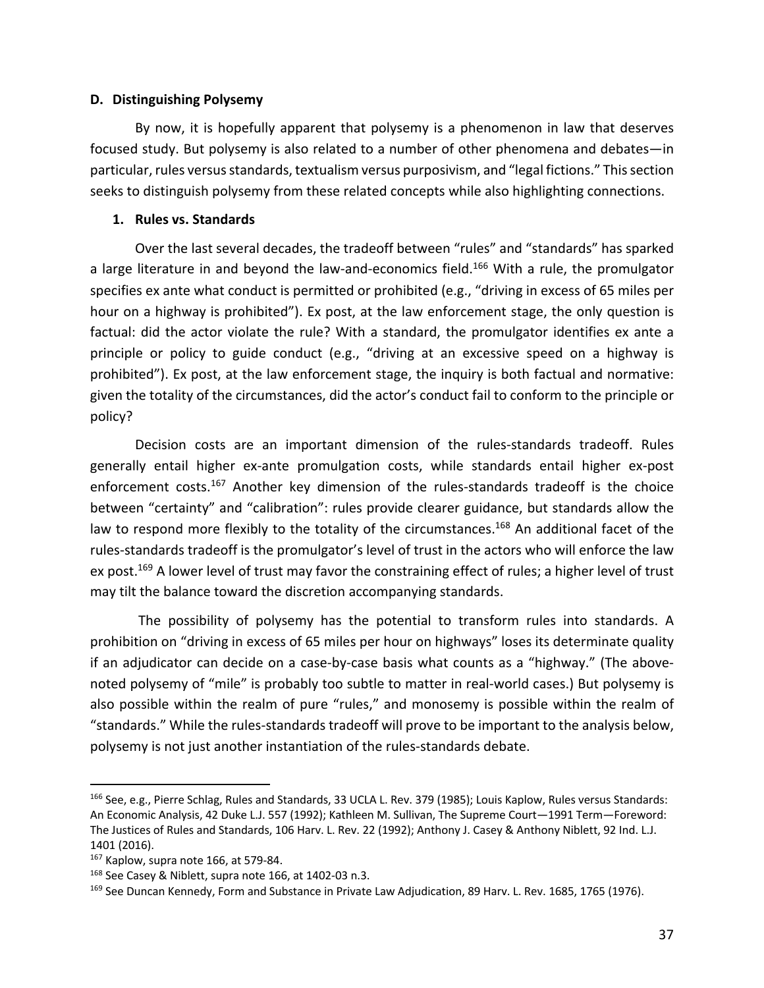### **D. Distinguishing Polysemy**

By now, it is hopefully apparent that polysemy is a phenomenon in law that deserves focused study. But polysemy is also related to a number of other phenomena and debates—in particular, rules versus standards, textualism versus purposivism, and "legal fictions." This section seeks to distinguish polysemy from these related concepts while also highlighting connections.

## **1. Rules vs. Standards**

Over the last several decades, the tradeoff between "rules" and "standards" has sparked a large literature in and beyond the law-and-economics field.<sup>166</sup> With a rule, the promulgator specifies ex ante what conduct is permitted or prohibited (e.g., "driving in excess of 65 miles per hour on a highway is prohibited"). Ex post, at the law enforcement stage, the only question is factual: did the actor violate the rule? With a standard, the promulgator identifies ex ante a principle or policy to guide conduct (e.g., "driving at an excessive speed on a highway is prohibited"). Ex post, at the law enforcement stage, the inquiry is both factual and normative: given the totality of the circumstances, did the actor's conduct fail to conform to the principle or policy?

Decision costs are an important dimension of the rules-standards tradeoff. Rules generally entail higher ex-ante promulgation costs, while standards entail higher ex-post enforcement costs.<sup>167</sup> Another key dimension of the rules-standards tradeoff is the choice between "certainty" and "calibration": rules provide clearer guidance, but standards allow the law to respond more flexibly to the totality of the circumstances.<sup>168</sup> An additional facet of the rules-standards tradeoff is the promulgator's level of trust in the actors who will enforce the law ex post.<sup>169</sup> A lower level of trust may favor the constraining effect of rules; a higher level of trust may tilt the balance toward the discretion accompanying standards.

The possibility of polysemy has the potential to transform rules into standards. A prohibition on "driving in excess of 65 miles per hour on highways" loses its determinate quality if an adjudicator can decide on a case-by-case basis what counts as a "highway." (The abovenoted polysemy of "mile" is probably too subtle to matter in real-world cases.) But polysemy is also possible within the realm of pure "rules," and monosemy is possible within the realm of "standards." While the rules-standards tradeoff will prove to be important to the analysis below, polysemy is not just another instantiation of the rules-standards debate.

<sup>166</sup> See, e.g., Pierre Schlag, Rules and Standards, 33 UCLA L. Rev. 379 (1985); Louis Kaplow, Rules versus Standards: An Economic Analysis, 42 Duke L.J. 557 (1992); Kathleen M. Sullivan, The Supreme Court—1991 Term—Foreword: The Justices of Rules and Standards, 106 Harv. L. Rev. 22 (1992); Anthony J. Casey & Anthony Niblett, 92 Ind. L.J. 1401 (2016).

<sup>167</sup> Kaplow, supra note 166, at 579-84.

<sup>168</sup> See Casey & Niblett, supra note 166, at 1402-03 n.3.

<sup>&</sup>lt;sup>169</sup> See Duncan Kennedy, Form and Substance in Private Law Adjudication, 89 Harv. L. Rev. 1685, 1765 (1976).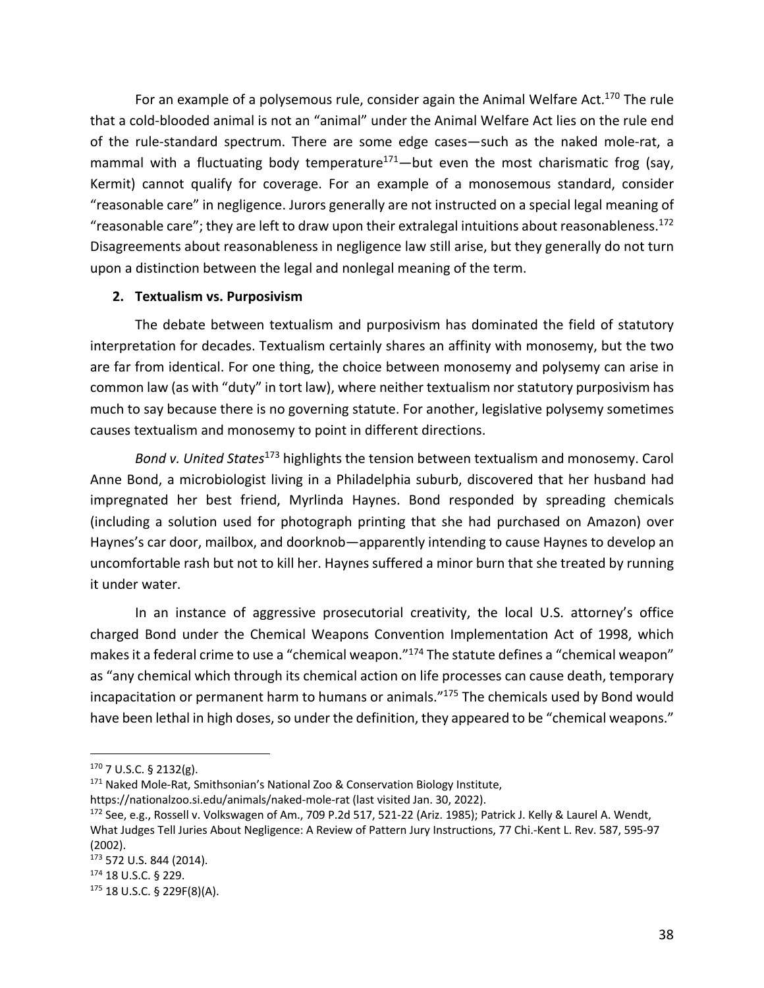For an example of a polysemous rule, consider again the Animal Welfare Act.<sup>170</sup> The rule that a cold-blooded animal is not an "animal" under the Animal Welfare Act lies on the rule end of the rule-standard spectrum. There are some edge cases—such as the naked mole-rat, a mammal with a fluctuating body temperature<sup>171</sup>—but even the most charismatic frog (say, Kermit) cannot qualify for coverage. For an example of a monosemous standard, consider "reasonable care" in negligence. Jurors generally are not instructed on a special legal meaning of "reasonable care"; they are left to draw upon their extralegal intuitions about reasonableness.<sup>172</sup> Disagreements about reasonableness in negligence law still arise, but they generally do not turn upon a distinction between the legal and nonlegal meaning of the term.

### **2. Textualism vs. Purposivism**

The debate between textualism and purposivism has dominated the field of statutory interpretation for decades. Textualism certainly shares an affinity with monosemy, but the two are far from identical. For one thing, the choice between monosemy and polysemy can arise in common law (as with "duty" in tort law), where neither textualism nor statutory purposivism has much to say because there is no governing statute. For another, legislative polysemy sometimes causes textualism and monosemy to point in different directions.

*Bond v. United States*<sup>173</sup> highlights the tension between textualism and monosemy. Carol Anne Bond, a microbiologist living in a Philadelphia suburb, discovered that her husband had impregnated her best friend, Myrlinda Haynes. Bond responded by spreading chemicals (including a solution used for photograph printing that she had purchased on Amazon) over Haynes's car door, mailbox, and doorknob—apparently intending to cause Haynes to develop an uncomfortable rash but not to kill her. Haynes suffered a minor burn that she treated by running it under water.

In an instance of aggressive prosecutorial creativity, the local U.S. attorney's office charged Bond under the Chemical Weapons Convention Implementation Act of 1998, which makes it a federal crime to use a "chemical weapon."<sup>174</sup> The statute defines a "chemical weapon" as "any chemical which through its chemical action on life processes can cause death, temporary incapacitation or permanent harm to humans or animals."<sup>175</sup> The chemicals used by Bond would have been lethal in high doses, so under the definition, they appeared to be "chemical weapons."

<sup>170</sup> 7 U.S.C. § 2132(g).

 $171$  Naked Mole-Rat, Smithsonian's National Zoo & Conservation Biology Institute,

https://nationalzoo.si.edu/animals/naked-mole-rat (last visited Jan. 30, 2022).

<sup>&</sup>lt;sup>172</sup> See, e.g., Rossell v. Volkswagen of Am., 709 P.2d 517, 521-22 (Ariz. 1985); Patrick J. Kelly & Laurel A. Wendt,

What Judges Tell Juries About Negligence: A Review of Pattern Jury Instructions, 77 Chi.-Kent L. Rev. 587, 595-97 (2002).

<sup>173</sup> 572 U.S. 844 (2014).

<sup>174</sup> 18 U.S.C. § 229.

<sup>175</sup> 18 U.S.C. § 229F(8)(A).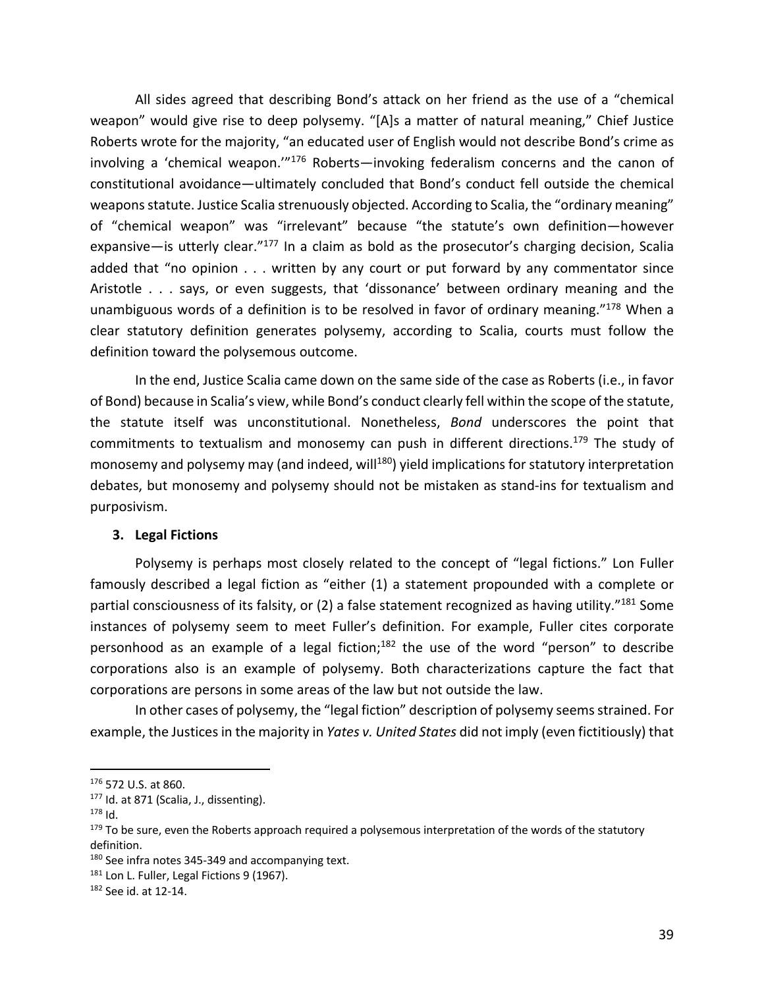All sides agreed that describing Bond's attack on her friend as the use of a "chemical weapon" would give rise to deep polysemy. "[A]s a matter of natural meaning," Chief Justice Roberts wrote for the majority, "an educated user of English would not describe Bond's crime as involving a 'chemical weapon.'"176 Roberts—invoking federalism concerns and the canon of constitutional avoidance—ultimately concluded that Bond's conduct fell outside the chemical weapons statute. Justice Scalia strenuously objected. According to Scalia, the "ordinary meaning" of "chemical weapon" was "irrelevant" because "the statute's own definition—however expansive—is utterly clear."<sup>177</sup> In a claim as bold as the prosecutor's charging decision, Scalia added that "no opinion . . . written by any court or put forward by any commentator since Aristotle . . . says, or even suggests, that 'dissonance' between ordinary meaning and the unambiguous words of a definition is to be resolved in favor of ordinary meaning."178 When a clear statutory definition generates polysemy, according to Scalia, courts must follow the definition toward the polysemous outcome.

In the end, Justice Scalia came down on the same side of the case as Roberts (i.e., in favor of Bond) because in Scalia's view, while Bond's conduct clearly fell within the scope of the statute, the statute itself was unconstitutional. Nonetheless, *Bond* underscores the point that commitments to textualism and monosemy can push in different directions.179 The study of monosemy and polysemy may (and indeed, will<sup>180</sup>) yield implications for statutory interpretation debates, but monosemy and polysemy should not be mistaken as stand-ins for textualism and purposivism.

### **3. Legal Fictions**

Polysemy is perhaps most closely related to the concept of "legal fictions." Lon Fuller famously described a legal fiction as "either (1) a statement propounded with a complete or partial consciousness of its falsity, or (2) a false statement recognized as having utility."181 Some instances of polysemy seem to meet Fuller's definition. For example, Fuller cites corporate personhood as an example of a legal fiction;<sup>182</sup> the use of the word "person" to describe corporations also is an example of polysemy. Both characterizations capture the fact that corporations are persons in some areas of the law but not outside the law.

In other cases of polysemy, the "legal fiction" description of polysemy seems strained. For example, the Justicesin the majority in *Yates v. United States* did not imply (even fictitiously) that

<sup>176</sup> 572 U.S. at 860.

<sup>&</sup>lt;sup>177</sup> Id. at 871 (Scalia, J., dissenting).

<sup>178</sup> Id.

<sup>&</sup>lt;sup>179</sup> To be sure, even the Roberts approach required a polysemous interpretation of the words of the statutory definition.

<sup>&</sup>lt;sup>180</sup> See infra notes 345-349 and accompanying text.

<sup>&</sup>lt;sup>181</sup> Lon L. Fuller, Legal Fictions 9 (1967).

<sup>182</sup> See id. at 12-14.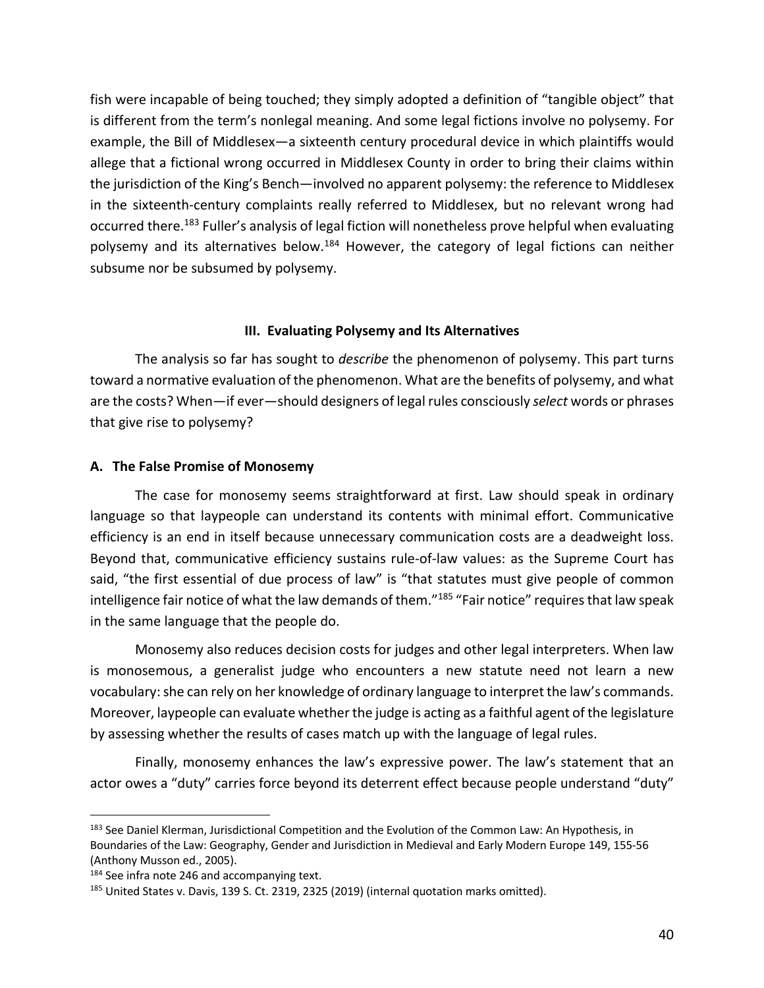fish were incapable of being touched; they simply adopted a definition of "tangible object" that is different from the term's nonlegal meaning. And some legal fictions involve no polysemy. For example, the Bill of Middlesex—a sixteenth century procedural device in which plaintiffs would allege that a fictional wrong occurred in Middlesex County in order to bring their claims within the jurisdiction of the King's Bench—involved no apparent polysemy: the reference to Middlesex in the sixteenth-century complaints really referred to Middlesex, but no relevant wrong had occurred there.<sup>183</sup> Fuller's analysis of legal fiction will nonetheless prove helpful when evaluating polysemy and its alternatives below.<sup>184</sup> However, the category of legal fictions can neither subsume nor be subsumed by polysemy.

### **III. Evaluating Polysemy and Its Alternatives**

The analysis so far has sought to *describe* the phenomenon of polysemy. This part turns toward a normative evaluation of the phenomenon. What are the benefits of polysemy, and what are the costs? When—if ever—should designers of legal rules consciously *select* words or phrases that give rise to polysemy?

### **A. The False Promise of Monosemy**

The case for monosemy seems straightforward at first. Law should speak in ordinary language so that laypeople can understand its contents with minimal effort. Communicative efficiency is an end in itself because unnecessary communication costs are a deadweight loss. Beyond that, communicative efficiency sustains rule-of-law values: as the Supreme Court has said, "the first essential of due process of law" is "that statutes must give people of common intelligence fair notice of what the law demands of them."<sup>185</sup> "Fair notice" requires that law speak in the same language that the people do.

Monosemy also reduces decision costs for judges and other legal interpreters. When law is monosemous, a generalist judge who encounters a new statute need not learn a new vocabulary: she can rely on her knowledge of ordinary language to interpret the law's commands. Moreover, laypeople can evaluate whether the judge is acting as a faithful agent of the legislature by assessing whether the results of cases match up with the language of legal rules.

Finally, monosemy enhances the law's expressive power. The law's statement that an actor owes a "duty" carries force beyond its deterrent effect because people understand "duty"

<sup>&</sup>lt;sup>183</sup> See Daniel Klerman, Jurisdictional Competition and the Evolution of the Common Law: An Hypothesis, in Boundaries of the Law: Geography, Gender and Jurisdiction in Medieval and Early Modern Europe 149, 155-56 (Anthony Musson ed., 2005).

<sup>&</sup>lt;sup>184</sup> See infra note 246 and accompanying text.

<sup>&</sup>lt;sup>185</sup> United States v. Davis, 139 S. Ct. 2319, 2325 (2019) (internal quotation marks omitted).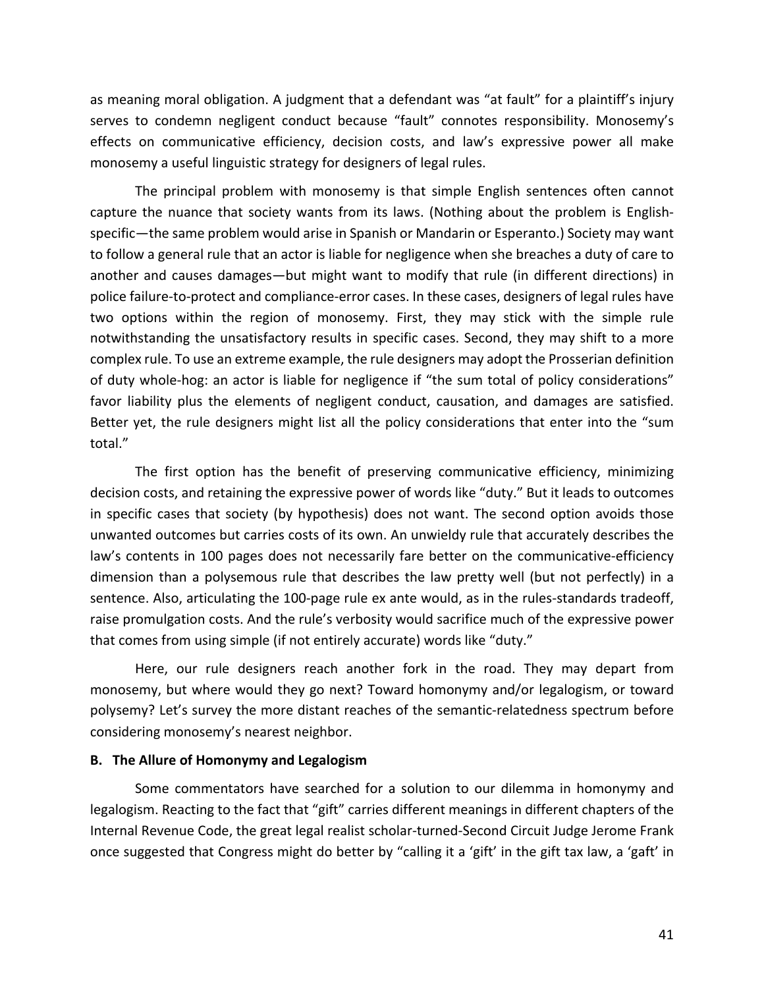as meaning moral obligation. A judgment that a defendant was "at fault" for a plaintiff's injury serves to condemn negligent conduct because "fault" connotes responsibility. Monosemy's effects on communicative efficiency, decision costs, and law's expressive power all make monosemy a useful linguistic strategy for designers of legal rules.

The principal problem with monosemy is that simple English sentences often cannot capture the nuance that society wants from its laws. (Nothing about the problem is Englishspecific—the same problem would arise in Spanish or Mandarin or Esperanto.) Society may want to follow a general rule that an actor is liable for negligence when she breaches a duty of care to another and causes damages—but might want to modify that rule (in different directions) in police failure-to-protect and compliance-error cases. In these cases, designers of legal rules have two options within the region of monosemy. First, they may stick with the simple rule notwithstanding the unsatisfactory results in specific cases. Second, they may shift to a more complex rule. To use an extreme example, the rule designers may adopt the Prosserian definition of duty whole-hog: an actor is liable for negligence if "the sum total of policy considerations" favor liability plus the elements of negligent conduct, causation, and damages are satisfied. Better yet, the rule designers might list all the policy considerations that enter into the "sum total."

The first option has the benefit of preserving communicative efficiency, minimizing decision costs, and retaining the expressive power of words like "duty." But it leads to outcomes in specific cases that society (by hypothesis) does not want. The second option avoids those unwanted outcomes but carries costs of its own. An unwieldy rule that accurately describes the law's contents in 100 pages does not necessarily fare better on the communicative-efficiency dimension than a polysemous rule that describes the law pretty well (but not perfectly) in a sentence. Also, articulating the 100-page rule ex ante would, as in the rules-standards tradeoff, raise promulgation costs. And the rule's verbosity would sacrifice much of the expressive power that comes from using simple (if not entirely accurate) words like "duty."

Here, our rule designers reach another fork in the road. They may depart from monosemy, but where would they go next? Toward homonymy and/or legalogism, or toward polysemy? Let's survey the more distant reaches of the semantic-relatedness spectrum before considering monosemy's nearest neighbor.

#### **B. The Allure of Homonymy and Legalogism**

Some commentators have searched for a solution to our dilemma in homonymy and legalogism. Reacting to the fact that "gift" carries different meanings in different chapters of the Internal Revenue Code, the great legal realist scholar-turned-Second Circuit Judge Jerome Frank once suggested that Congress might do better by "calling it a 'gift' in the gift tax law, a 'gaft' in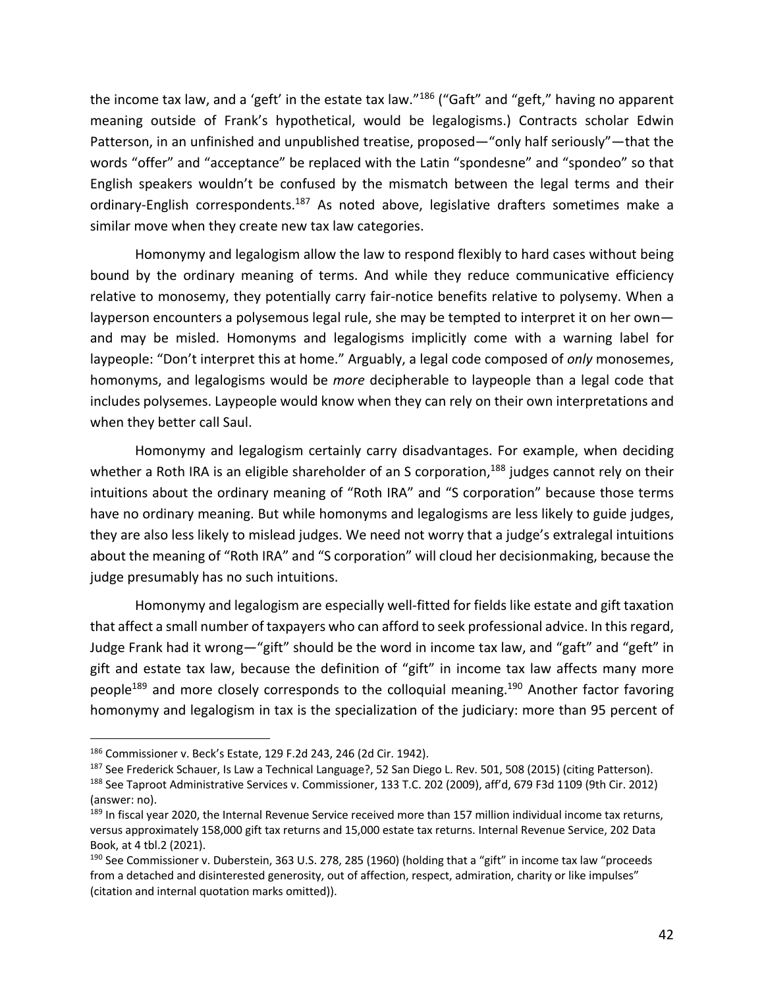the income tax law, and a 'geft' in the estate tax law."186 ("Gaft" and "geft," having no apparent meaning outside of Frank's hypothetical, would be legalogisms.) Contracts scholar Edwin Patterson, in an unfinished and unpublished treatise, proposed—"only half seriously"—that the words "offer" and "acceptance" be replaced with the Latin "spondesne" and "spondeo" so that English speakers wouldn't be confused by the mismatch between the legal terms and their ordinary-English correspondents.<sup>187</sup> As noted above, legislative drafters sometimes make a similar move when they create new tax law categories.

Homonymy and legalogism allow the law to respond flexibly to hard cases without being bound by the ordinary meaning of terms. And while they reduce communicative efficiency relative to monosemy, they potentially carry fair-notice benefits relative to polysemy. When a layperson encounters a polysemous legal rule, she may be tempted to interpret it on her own and may be misled. Homonyms and legalogisms implicitly come with a warning label for laypeople: "Don't interpret this at home." Arguably, a legal code composed of *only* monosemes, homonyms, and legalogisms would be *more* decipherable to laypeople than a legal code that includes polysemes. Laypeople would know when they can rely on their own interpretations and when they better call Saul.

Homonymy and legalogism certainly carry disadvantages. For example, when deciding whether a Roth IRA is an eligible shareholder of an S corporation,<sup>188</sup> judges cannot rely on their intuitions about the ordinary meaning of "Roth IRA" and "S corporation" because those terms have no ordinary meaning. But while homonyms and legalogisms are less likely to guide judges, they are also less likely to mislead judges. We need not worry that a judge's extralegal intuitions about the meaning of "Roth IRA" and "S corporation" will cloud her decisionmaking, because the judge presumably has no such intuitions.

Homonymy and legalogism are especially well-fitted for fields like estate and gift taxation that affect a small number of taxpayers who can afford to seek professional advice. In this regard, Judge Frank had it wrong—"gift" should be the word in income tax law, and "gaft" and "geft" in gift and estate tax law, because the definition of "gift" in income tax law affects many more people<sup>189</sup> and more closely corresponds to the colloquial meaning.<sup>190</sup> Another factor favoring homonymy and legalogism in tax is the specialization of the judiciary: more than 95 percent of

<sup>186</sup> Commissioner v. Beck's Estate, 129 F.2d 243, 246 (2d Cir. 1942).

<sup>&</sup>lt;sup>187</sup> See Frederick Schauer, Is Law a Technical Language?, 52 San Diego L. Rev. 501, 508 (2015) (citing Patterson). <sup>188</sup> See Taproot Administrative Services v. Commissioner, 133 T.C. 202 (2009), aff'd, 679 F3d 1109 (9th Cir. 2012) (answer: no).

<sup>&</sup>lt;sup>189</sup> In fiscal year 2020, the Internal Revenue Service received more than 157 million individual income tax returns, versus approximately 158,000 gift tax returns and 15,000 estate tax returns. Internal Revenue Service, 202 Data Book, at 4 tbl.2 (2021).

<sup>&</sup>lt;sup>190</sup> See Commissioner v. Duberstein, 363 U.S. 278, 285 (1960) (holding that a "gift" in income tax law "proceeds from a detached and disinterested generosity, out of affection, respect, admiration, charity or like impulses" (citation and internal quotation marks omitted)).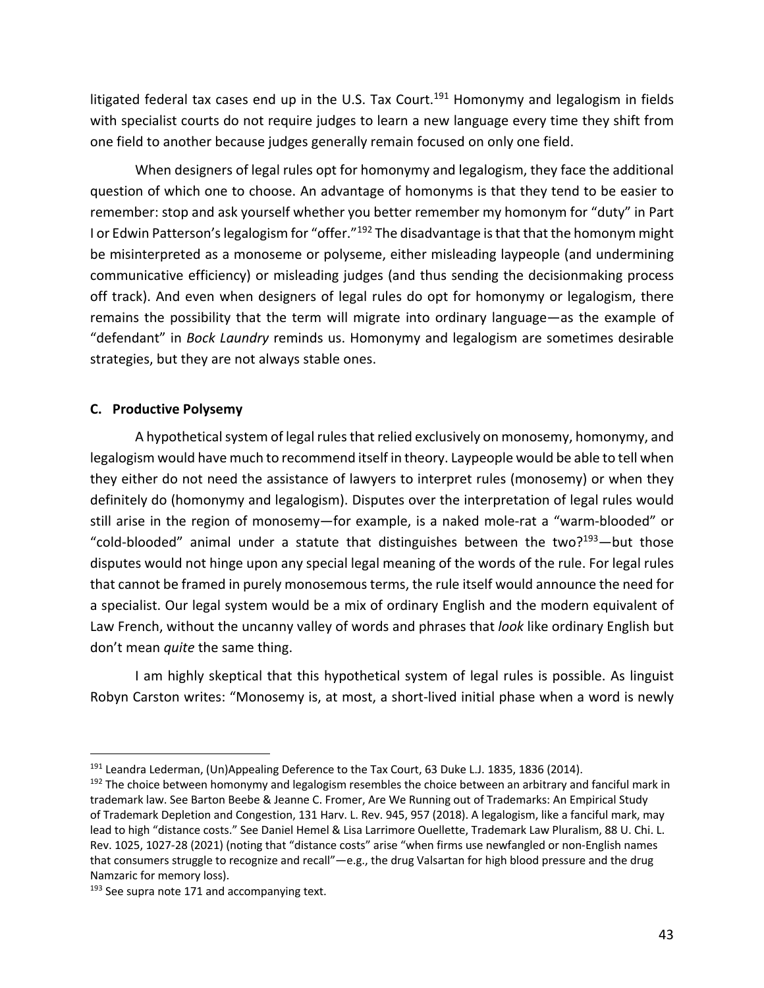litigated federal tax cases end up in the U.S. Tax Court.<sup>191</sup> Homonymy and legalogism in fields with specialist courts do not require judges to learn a new language every time they shift from one field to another because judges generally remain focused on only one field.

When designers of legal rules opt for homonymy and legalogism, they face the additional question of which one to choose. An advantage of homonyms is that they tend to be easier to remember: stop and ask yourself whether you better remember my homonym for "duty" in Part I or Edwin Patterson's legalogism for "offer."192 The disadvantage is that that the homonym might be misinterpreted as a monoseme or polyseme, either misleading laypeople (and undermining communicative efficiency) or misleading judges (and thus sending the decisionmaking process off track). And even when designers of legal rules do opt for homonymy or legalogism, there remains the possibility that the term will migrate into ordinary language—as the example of "defendant" in *Bock Laundry* reminds us. Homonymy and legalogism are sometimes desirable strategies, but they are not always stable ones.

# **C. Productive Polysemy**

A hypothetical system of legal rules that relied exclusively on monosemy, homonymy, and legalogism would have much to recommend itself in theory. Laypeople would be able to tell when they either do not need the assistance of lawyers to interpret rules (monosemy) or when they definitely do (homonymy and legalogism). Disputes over the interpretation of legal rules would still arise in the region of monosemy—for example, is a naked mole-rat a "warm-blooded" or "cold-blooded" animal under a statute that distinguishes between the two? $193$ —but those disputes would not hinge upon any special legal meaning of the words of the rule. For legal rules that cannot be framed in purely monosemous terms, the rule itself would announce the need for a specialist. Our legal system would be a mix of ordinary English and the modern equivalent of Law French, without the uncanny valley of words and phrases that *look* like ordinary English but don't mean *quite* the same thing.

I am highly skeptical that this hypothetical system of legal rules is possible. As linguist Robyn Carston writes: "Monosemy is, at most, a short-lived initial phase when a word is newly

<sup>&</sup>lt;sup>191</sup> Leandra Lederman, (Un)Appealing Deference to the Tax Court, 63 Duke L.J. 1835, 1836 (2014).<br><sup>192</sup> The choice between homonymy and legalogism resembles the choice between an arbitrary and fanciful mark in

trademark law. See Barton Beebe & Jeanne C. Fromer, Are We Running out of Trademarks: An Empirical Study of Trademark Depletion and Congestion, 131 Harv. L. Rev. 945, 957 (2018). A legalogism, like a fanciful mark, may lead to high "distance costs." See Daniel Hemel & Lisa Larrimore Ouellette, Trademark Law Pluralism, 88 U. Chi. L. Rev. 1025, 1027-28 (2021) (noting that "distance costs" arise "when firms use newfangled or non-English names that consumers struggle to recognize and recall"—e.g., the drug Valsartan for high blood pressure and the drug Namzaric for memory loss).

 $193$  See supra note 171 and accompanying text.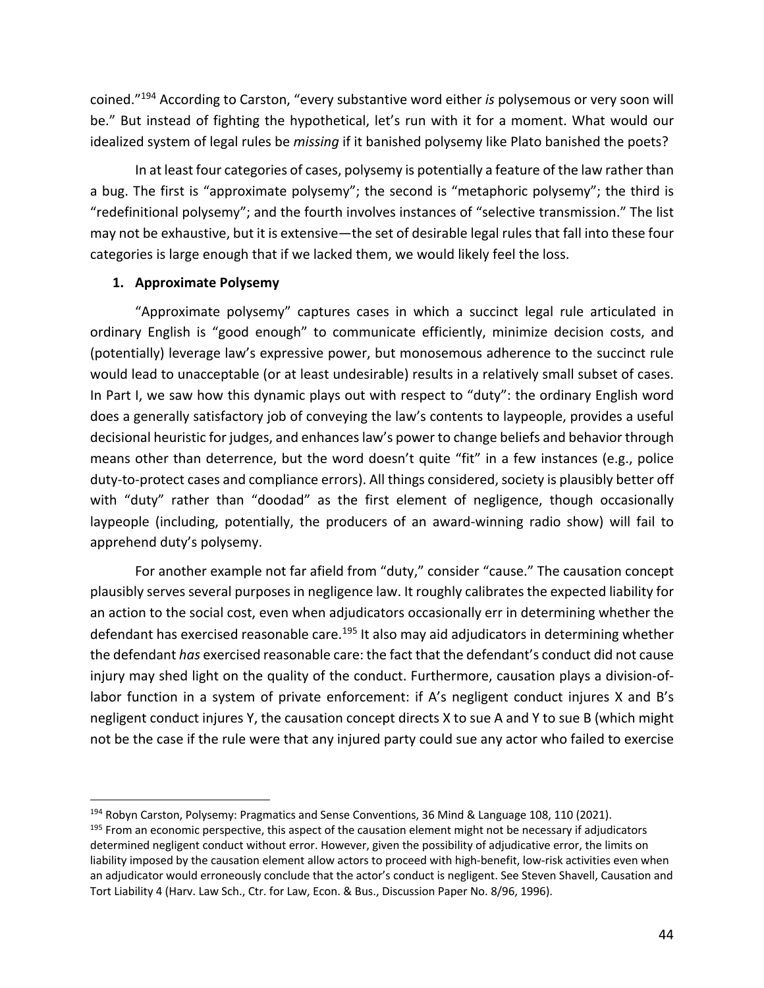coined."194 According to Carston, "every substantive word either *is* polysemous or very soon will be." But instead of fighting the hypothetical, let's run with it for a moment. What would our idealized system of legal rules be *missing* if it banished polysemy like Plato banished the poets?

In at least four categories of cases, polysemy is potentially a feature of the law rather than a bug. The first is "approximate polysemy"; the second is "metaphoric polysemy"; the third is "redefinitional polysemy"; and the fourth involves instances of "selective transmission." The list may not be exhaustive, but it is extensive—the set of desirable legal rules that fall into these four categories is large enough that if we lacked them, we would likely feel the loss.

## **1. Approximate Polysemy**

"Approximate polysemy" captures cases in which a succinct legal rule articulated in ordinary English is "good enough" to communicate efficiently, minimize decision costs, and (potentially) leverage law's expressive power, but monosemous adherence to the succinct rule would lead to unacceptable (or at least undesirable) results in a relatively small subset of cases. In Part I, we saw how this dynamic plays out with respect to "duty": the ordinary English word does a generally satisfactory job of conveying the law's contents to laypeople, provides a useful decisional heuristic for judges, and enhances law's power to change beliefs and behavior through means other than deterrence, but the word doesn't quite "fit" in a few instances (e.g., police duty-to-protect cases and compliance errors). All things considered, society is plausibly better off with "duty" rather than "doodad" as the first element of negligence, though occasionally laypeople (including, potentially, the producers of an award-winning radio show) will fail to apprehend duty's polysemy.

For another example not far afield from "duty," consider "cause." The causation concept plausibly serves several purposes in negligence law. It roughly calibrates the expected liability for an action to the social cost, even when adjudicators occasionally err in determining whether the defendant has exercised reasonable care.<sup>195</sup> It also may aid adjudicators in determining whether the defendant *has* exercised reasonable care: the fact that the defendant's conduct did not cause injury may shed light on the quality of the conduct. Furthermore, causation plays a division-oflabor function in a system of private enforcement: if A's negligent conduct injures X and B's negligent conduct injures Y, the causation concept directs X to sue A and Y to sue B (which might not be the case if the rule were that any injured party could sue any actor who failed to exercise

<sup>&</sup>lt;sup>194</sup> Robyn Carston, Polysemy: Pragmatics and Sense Conventions, 36 Mind & Language 108, 110 (2021).

<sup>&</sup>lt;sup>195</sup> From an economic perspective, this aspect of the causation element might not be necessary if adjudicators determined negligent conduct without error. However, given the possibility of adjudicative error, the limits on liability imposed by the causation element allow actors to proceed with high-benefit, low-risk activities even when an adjudicator would erroneously conclude that the actor's conduct is negligent. See Steven Shavell, Causation and Tort Liability 4 (Harv. Law Sch., Ctr. for Law, Econ. & Bus., Discussion Paper No. 8/96, 1996).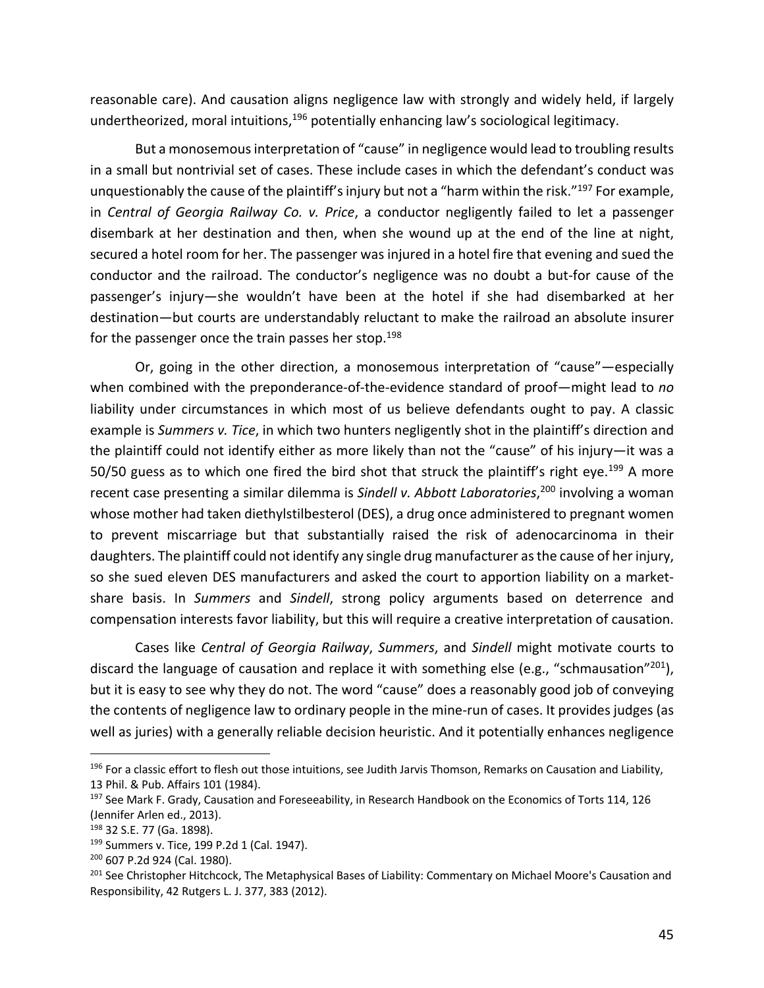reasonable care). And causation aligns negligence law with strongly and widely held, if largely undertheorized, moral intuitions,<sup>196</sup> potentially enhancing law's sociological legitimacy.

But a monosemous interpretation of "cause" in negligence would lead to troubling results in a small but nontrivial set of cases. These include cases in which the defendant's conduct was unquestionably the cause of the plaintiff's injury but not a "harm within the risk."<sup>197</sup> For example, in *Central of Georgia Railway Co. v. Price*, a conductor negligently failed to let a passenger disembark at her destination and then, when she wound up at the end of the line at night, secured a hotel room for her. The passenger was injured in a hotel fire that evening and sued the conductor and the railroad. The conductor's negligence was no doubt a but-for cause of the passenger's injury—she wouldn't have been at the hotel if she had disembarked at her destination—but courts are understandably reluctant to make the railroad an absolute insurer for the passenger once the train passes her stop.<sup>198</sup>

Or, going in the other direction, a monosemous interpretation of "cause"—especially when combined with the preponderance-of-the-evidence standard of proof—might lead to *no* liability under circumstances in which most of us believe defendants ought to pay. A classic example is *Summers v. Tice*, in which two hunters negligently shot in the plaintiff's direction and the plaintiff could not identify either as more likely than not the "cause" of his injury—it was a 50/50 guess as to which one fired the bird shot that struck the plaintiff's right eye.<sup>199</sup> A more recent case presenting a similar dilemma is *Sindell v. Abbott Laboratories*, <sup>200</sup> involving a woman whose mother had taken diethylstilbesterol (DES), a drug once administered to pregnant women to prevent miscarriage but that substantially raised the risk of adenocarcinoma in their daughters. The plaintiff could not identify any single drug manufacturer as the cause of her injury, so she sued eleven DES manufacturers and asked the court to apportion liability on a marketshare basis. In *Summers* and *Sindell*, strong policy arguments based on deterrence and compensation interests favor liability, but this will require a creative interpretation of causation.

Cases like *Central of Georgia Railway*, *Summers*, and *Sindell* might motivate courts to discard the language of causation and replace it with something else (e.g., "schmausation"<sup>201</sup>), but it is easy to see why they do not. The word "cause" does a reasonably good job of conveying the contents of negligence law to ordinary people in the mine-run of cases. It provides judges (as well as juries) with a generally reliable decision heuristic. And it potentially enhances negligence

<sup>&</sup>lt;sup>196</sup> For a classic effort to flesh out those intuitions, see Judith Jarvis Thomson, Remarks on Causation and Liability, 13 Phil. & Pub. Affairs 101 (1984).

<sup>&</sup>lt;sup>197</sup> See Mark F. Grady, Causation and Foreseeability, in Research Handbook on the Economics of Torts 114, 126 (Jennifer Arlen ed., 2013).

<sup>198</sup> 32 S.E. 77 (Ga. 1898).

<sup>199</sup> Summers v. Tice, 199 P.2d 1 (Cal. 1947).

<sup>200</sup> 607 P.2d 924 (Cal. 1980).

<sup>&</sup>lt;sup>201</sup> See Christopher Hitchcock, The Metaphysical Bases of Liability: Commentary on Michael Moore's Causation and Responsibility, 42 Rutgers L. J. 377, 383 (2012).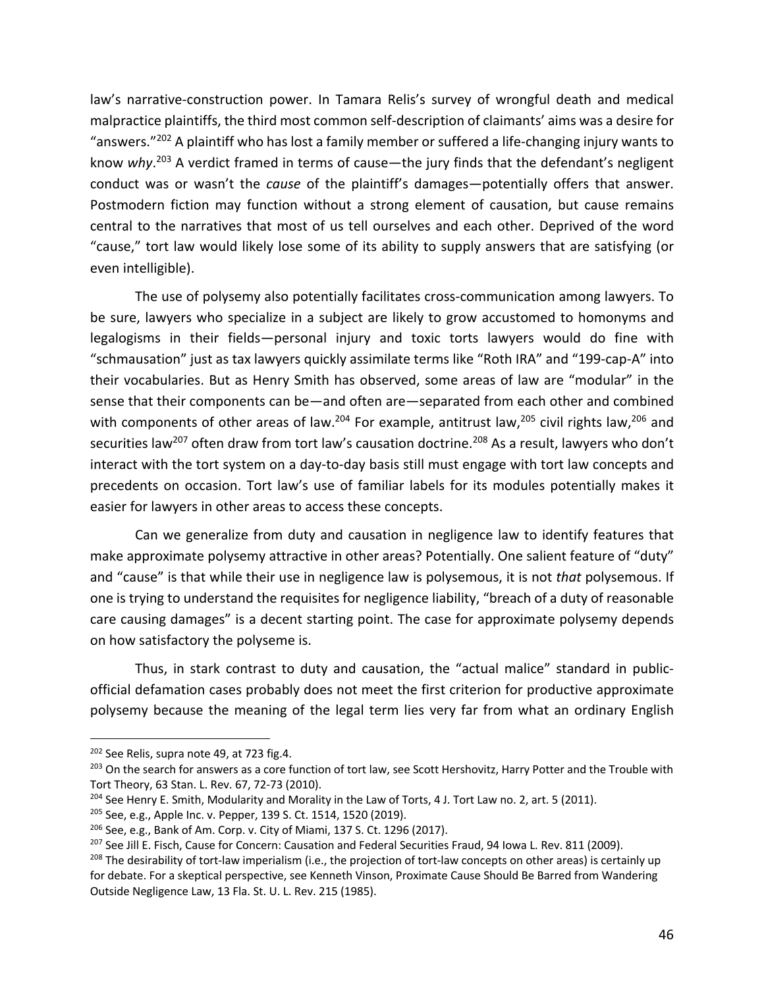law's narrative-construction power. In Tamara Relis's survey of wrongful death and medical malpractice plaintiffs, the third most common self-description of claimants' aims was a desire for "answers." $^{202}$  A plaintiff who has lost a family member or suffered a life-changing injury wants to know *why*. <sup>203</sup> A verdict framed in terms of cause—the jury finds that the defendant's negligent conduct was or wasn't the *cause* of the plaintiff's damages—potentially offers that answer. Postmodern fiction may function without a strong element of causation, but cause remains central to the narratives that most of us tell ourselves and each other. Deprived of the word "cause," tort law would likely lose some of its ability to supply answers that are satisfying (or even intelligible).

The use of polysemy also potentially facilitates cross-communication among lawyers. To be sure, lawyers who specialize in a subject are likely to grow accustomed to homonyms and legalogisms in their fields—personal injury and toxic torts lawyers would do fine with "schmausation" just as tax lawyers quickly assimilate terms like "Roth IRA" and "199-cap-A" into their vocabularies. But as Henry Smith has observed, some areas of law are "modular" in the sense that their components can be—and often are—separated from each other and combined with components of other areas of law.<sup>204</sup> For example, antitrust law,<sup>205</sup> civil rights law,<sup>206</sup> and securities law<sup>207</sup> often draw from tort law's causation doctrine.<sup>208</sup> As a result, lawyers who don't interact with the tort system on a day-to-day basis still must engage with tort law concepts and precedents on occasion. Tort law's use of familiar labels for its modules potentially makes it easier for lawyers in other areas to access these concepts.

Can we generalize from duty and causation in negligence law to identify features that make approximate polysemy attractive in other areas? Potentially. One salient feature of "duty" and "cause" is that while their use in negligence law is polysemous, it is not *that* polysemous. If one is trying to understand the requisites for negligence liability, "breach of a duty of reasonable care causing damages" is a decent starting point. The case for approximate polysemy depends on how satisfactory the polyseme is.

Thus, in stark contrast to duty and causation, the "actual malice" standard in publicofficial defamation cases probably does not meet the first criterion for productive approximate polysemy because the meaning of the legal term lies very far from what an ordinary English

<sup>&</sup>lt;sup>202</sup> See Relis, supra note 49, at 723 fig.4.

<sup>&</sup>lt;sup>203</sup> On the search for answers as a core function of tort law, see Scott Hershovitz, Harry Potter and the Trouble with Tort Theory, 63 Stan. L. Rev. 67, 72-73 (2010).

<sup>&</sup>lt;sup>204</sup> See Henry E. Smith, Modularity and Morality in the Law of Torts, 4 J. Tort Law no. 2, art. 5 (2011).

<sup>205</sup> See, e.g., Apple Inc. v. Pepper, 139 S. Ct. 1514, 1520 (2019).

<sup>206</sup> See, e.g., Bank of Am. Corp. v. City of Miami, 137 S. Ct. 1296 (2017).

<sup>&</sup>lt;sup>207</sup> See Jill E. Fisch, Cause for Concern: Causation and Federal Securities Fraud, 94 Iowa L. Rev. 811 (2009).

<sup>&</sup>lt;sup>208</sup> The desirability of tort-law imperialism (i.e., the projection of tort-law concepts on other areas) is certainly up for debate. For a skeptical perspective, see Kenneth Vinson, Proximate Cause Should Be Barred from Wandering Outside Negligence Law, 13 Fla. St. U. L. Rev. 215 (1985).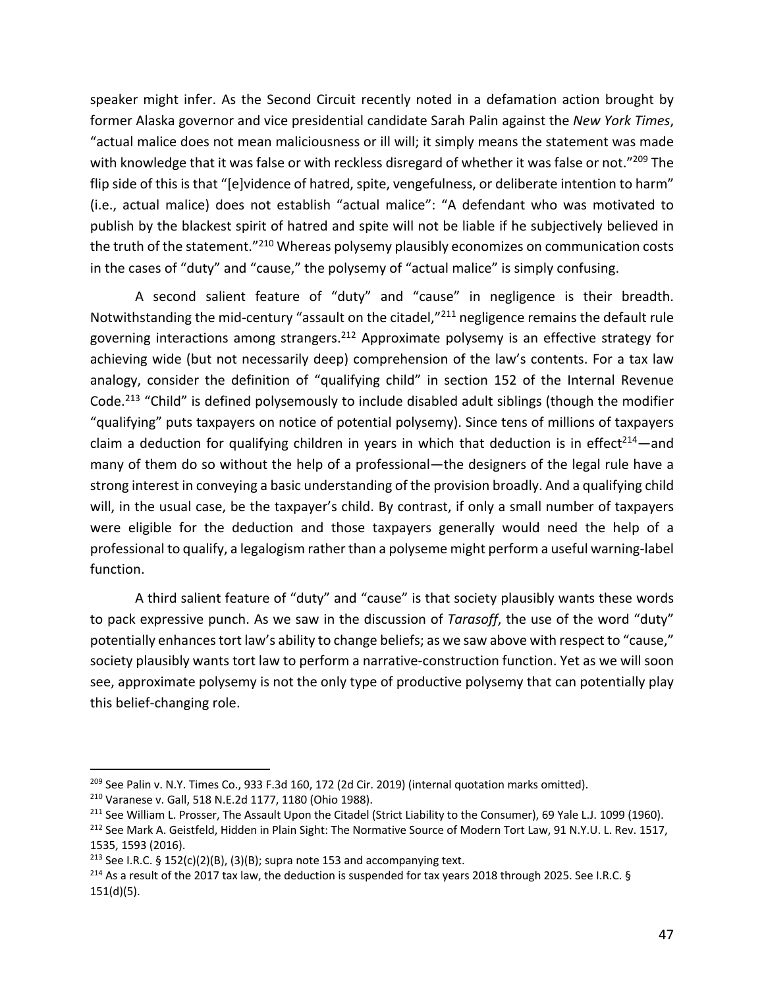speaker might infer. As the Second Circuit recently noted in a defamation action brought by former Alaska governor and vice presidential candidate Sarah Palin against the *New York Times*, "actual malice does not mean maliciousness or ill will; it simply means the statement was made with knowledge that it was false or with reckless disregard of whether it was false or not."<sup>209</sup> The flip side of this is that "[e]vidence of hatred, spite, vengefulness, or deliberate intention to harm" (i.e., actual malice) does not establish "actual malice": "A defendant who was motivated to publish by the blackest spirit of hatred and spite will not be liable if he subjectively believed in the truth of the statement."<sup>210</sup> Whereas polysemy plausibly economizes on communication costs in the cases of "duty" and "cause," the polysemy of "actual malice" is simply confusing.

A second salient feature of "duty" and "cause" in negligence is their breadth. Notwithstanding the mid-century "assault on the citadel,"211 negligence remains the default rule governing interactions among strangers.<sup>212</sup> Approximate polysemy is an effective strategy for achieving wide (but not necessarily deep) comprehension of the law's contents. For a tax law analogy, consider the definition of "qualifying child" in section 152 of the Internal Revenue Code.<sup>213</sup> "Child" is defined polysemously to include disabled adult siblings (though the modifier "qualifying" puts taxpayers on notice of potential polysemy). Since tens of millions of taxpayers claim a deduction for qualifying children in years in which that deduction is in effect<sup>214</sup>—and many of them do so without the help of a professional—the designers of the legal rule have a strong interest in conveying a basic understanding of the provision broadly. And a qualifying child will, in the usual case, be the taxpayer's child. By contrast, if only a small number of taxpayers were eligible for the deduction and those taxpayers generally would need the help of a professional to qualify, a legalogism rather than a polyseme might perform a useful warning-label function.

A third salient feature of "duty" and "cause" is that society plausibly wants these words to pack expressive punch. As we saw in the discussion of *Tarasoff*, the use of the word "duty" potentially enhances tort law's ability to change beliefs; as we saw above with respect to "cause," society plausibly wants tort law to perform a narrative-construction function. Yet as we will soon see, approximate polysemy is not the only type of productive polysemy that can potentially play this belief-changing role.

 $^{209}$  See Palin v. N.Y. Times Co., 933 F.3d 160, 172 (2d Cir. 2019) (internal quotation marks omitted).

<sup>210</sup> Varanese v. Gall, 518 N.E.2d 1177, 1180 (Ohio 1988).

<sup>&</sup>lt;sup>211</sup> See William L. Prosser, The Assault Upon the Citadel (Strict Liability to the Consumer), 69 Yale L.J. 1099 (1960).

<sup>&</sup>lt;sup>212</sup> See Mark A. Geistfeld, Hidden in Plain Sight: The Normative Source of Modern Tort Law, 91 N.Y.U. L. Rev. 1517, 1535, 1593 (2016).

<sup>&</sup>lt;sup>213</sup> See I.R.C. § 152(c)(2)(B), (3)(B); supra note 153 and accompanying text.

 $^{214}$  As a result of the 2017 tax law, the deduction is suspended for tax years 2018 through 2025. See I.R.C. § 151(d)(5).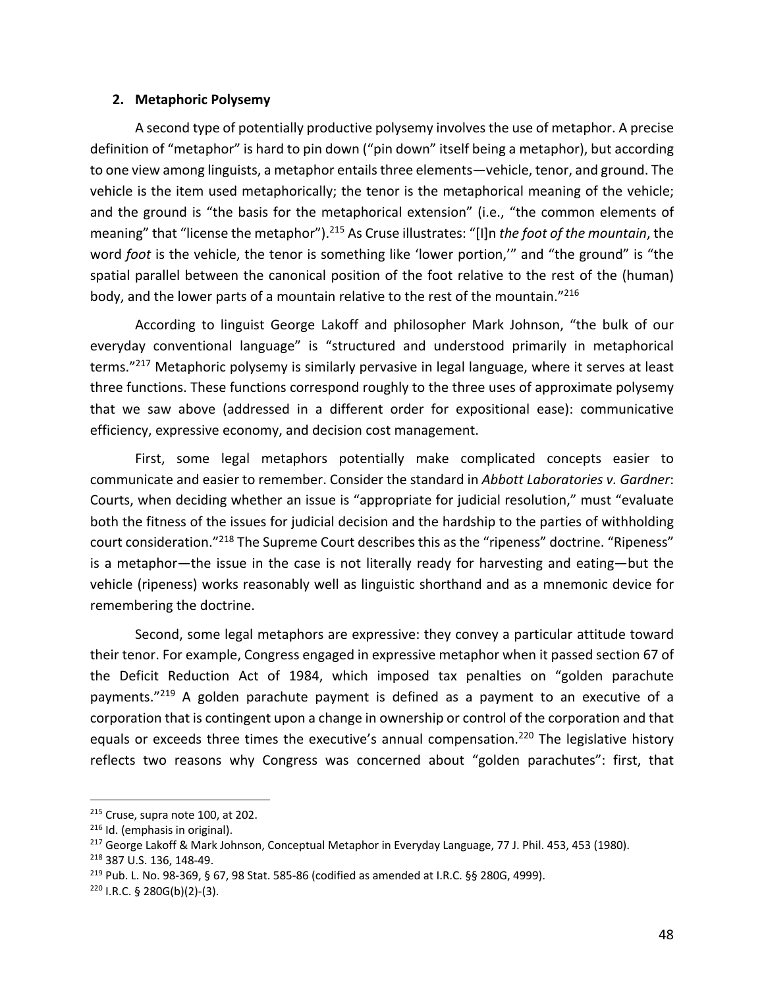### **2. Metaphoric Polysemy**

A second type of potentially productive polysemy involves the use of metaphor. A precise definition of "metaphor" is hard to pin down ("pin down" itself being a metaphor), but according to one view among linguists, a metaphor entails three elements—vehicle, tenor, and ground. The vehicle is the item used metaphorically; the tenor is the metaphorical meaning of the vehicle; and the ground is "the basis for the metaphorical extension" (i.e., "the common elements of meaning" that "license the metaphor").215 As Cruse illustrates: "[I]n *the foot of the mountain*, the word *foot* is the vehicle, the tenor is something like 'lower portion,'" and "the ground" is "the spatial parallel between the canonical position of the foot relative to the rest of the (human) body, and the lower parts of a mountain relative to the rest of the mountain."216

According to linguist George Lakoff and philosopher Mark Johnson, "the bulk of our everyday conventional language" is "structured and understood primarily in metaphorical terms."217 Metaphoric polysemy is similarly pervasive in legal language, where it serves at least three functions. These functions correspond roughly to the three uses of approximate polysemy that we saw above (addressed in a different order for expositional ease): communicative efficiency, expressive economy, and decision cost management.

First, some legal metaphors potentially make complicated concepts easier to communicate and easier to remember. Consider the standard in *Abbott Laboratories v. Gardner*: Courts, when deciding whether an issue is "appropriate for judicial resolution," must "evaluate both the fitness of the issues for judicial decision and the hardship to the parties of withholding court consideration."218 The Supreme Court describes this as the "ripeness" doctrine. "Ripeness" is a metaphor—the issue in the case is not literally ready for harvesting and eating—but the vehicle (ripeness) works reasonably well as linguistic shorthand and as a mnemonic device for remembering the doctrine.

Second, some legal metaphors are expressive: they convey a particular attitude toward their tenor. For example, Congress engaged in expressive metaphor when it passed section 67 of the Deficit Reduction Act of 1984, which imposed tax penalties on "golden parachute payments."<sup>219</sup> A golden parachute payment is defined as a payment to an executive of a corporation that is contingent upon a change in ownership or control of the corporation and that equals or exceeds three times the executive's annual compensation.<sup>220</sup> The legislative history reflects two reasons why Congress was concerned about "golden parachutes": first, that

 $215$  Cruse, supra note 100, at 202.

<sup>216</sup> Id. (emphasis in original).

<sup>&</sup>lt;sup>217</sup> George Lakoff & Mark Johnson, Conceptual Metaphor in Everyday Language, 77 J. Phil. 453, 453 (1980).

<sup>218</sup> 387 U.S. 136, 148-49.

 $^{219}$  Pub. L. No. 98-369, § 67, 98 Stat. 585-86 (codified as amended at I.R.C. §§ 280G, 4999).

 $220$  I.R.C. § 280G(b)(2)-(3).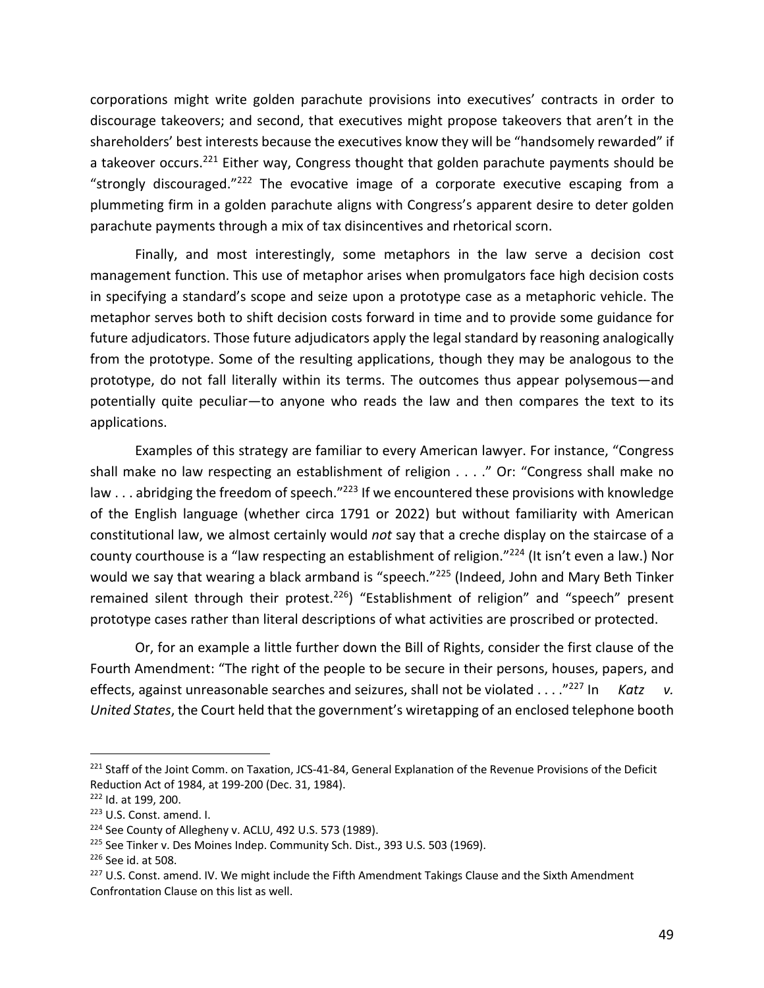corporations might write golden parachute provisions into executives' contracts in order to discourage takeovers; and second, that executives might propose takeovers that aren't in the shareholders' best interests because the executives know they will be "handsomely rewarded" if a takeover occurs.221 Either way, Congress thought that golden parachute payments should be "strongly discouraged." $222$  The evocative image of a corporate executive escaping from a plummeting firm in a golden parachute aligns with Congress's apparent desire to deter golden parachute payments through a mix of tax disincentives and rhetorical scorn.

Finally, and most interestingly, some metaphors in the law serve a decision cost management function. This use of metaphor arises when promulgators face high decision costs in specifying a standard's scope and seize upon a prototype case as a metaphoric vehicle. The metaphor serves both to shift decision costs forward in time and to provide some guidance for future adjudicators. Those future adjudicators apply the legal standard by reasoning analogically from the prototype. Some of the resulting applications, though they may be analogous to the prototype, do not fall literally within its terms. The outcomes thus appear polysemous—and potentially quite peculiar—to anyone who reads the law and then compares the text to its applications.

Examples of this strategy are familiar to every American lawyer. For instance, "Congress shall make no law respecting an establishment of religion . . . ." Or: "Congress shall make no law  $\dots$  abridging the freedom of speech."<sup>223</sup> If we encountered these provisions with knowledge of the English language (whether circa 1791 or 2022) but without familiarity with American constitutional law, we almost certainly would *not* say that a creche display on the staircase of a county courthouse is a "law respecting an establishment of religion."<sup>224</sup> (It isn't even a law.) Nor would we say that wearing a black armband is "speech."<sup>225</sup> (Indeed, John and Mary Beth Tinker remained silent through their protest.<sup>226</sup>) "Establishment of religion" and "speech" present prototype cases rather than literal descriptions of what activities are proscribed or protected.

Or, for an example a little further down the Bill of Rights, consider the first clause of the Fourth Amendment: "The right of the people to be secure in their persons, houses, papers, and effects, against unreasonable searches and seizures, shall not be violated . . . .<sup>"227</sup> In *Katz v. United States*, the Court held that the government's wiretapping of an enclosed telephone booth

<sup>&</sup>lt;sup>221</sup> Staff of the Joint Comm. on Taxation, JCS-41-84, General Explanation of the Revenue Provisions of the Deficit Reduction Act of 1984, at 199-200 (Dec. 31, 1984).

<sup>222</sup> Id. at 199, 200.

<sup>223</sup> U.S. Const. amend. I.

<sup>&</sup>lt;sup>224</sup> See County of Allegheny v. ACLU, 492 U.S. 573 (1989).

<sup>&</sup>lt;sup>225</sup> See Tinker v. Des Moines Indep. Community Sch. Dist., 393 U.S. 503 (1969).

<sup>226</sup> See id. at 508.

<sup>&</sup>lt;sup>227</sup> U.S. Const. amend. IV. We might include the Fifth Amendment Takings Clause and the Sixth Amendment Confrontation Clause on this list as well.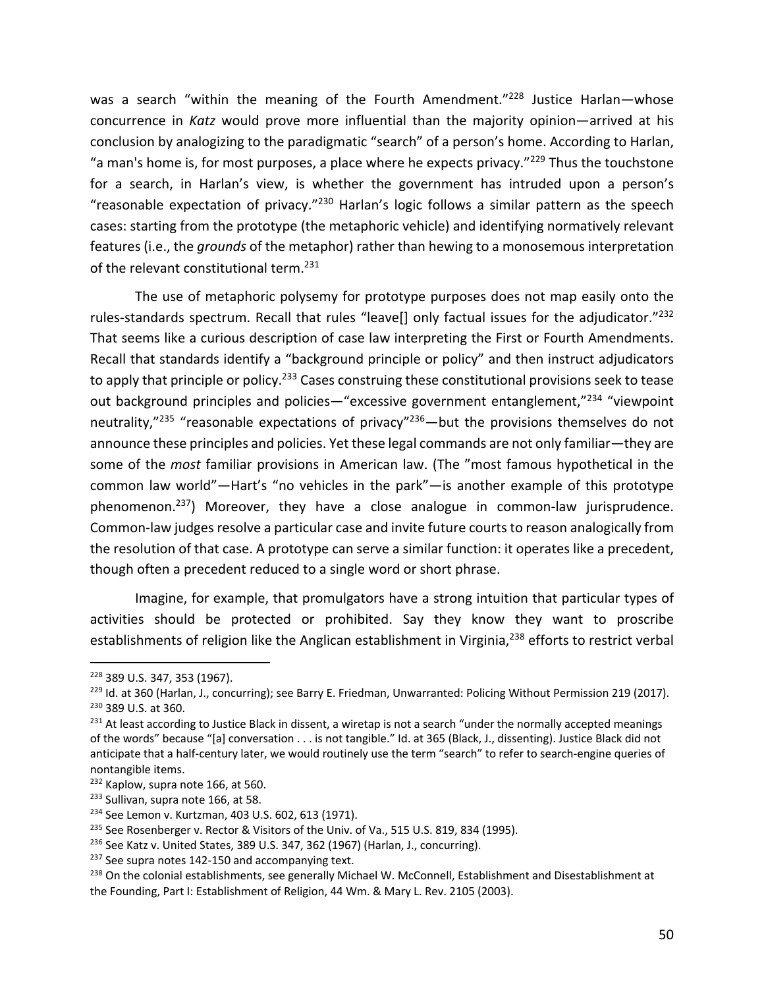was a search "within the meaning of the Fourth Amendment."<sup>228</sup> Justice Harlan-whose concurrence in *Katz* would prove more influential than the majority opinion—arrived at his conclusion by analogizing to the paradigmatic "search" of a person's home. According to Harlan, "a man's home is, for most purposes, a place where he expects privacy." $^{229}$  Thus the touchstone for a search, in Harlan's view, is whether the government has intruded upon a person's "reasonable expectation of privacy."<sup>230</sup> Harlan's logic follows a similar pattern as the speech cases: starting from the prototype (the metaphoric vehicle) and identifying normatively relevant features (i.e., the *grounds* of the metaphor) rather than hewing to a monosemous interpretation of the relevant constitutional term.<sup>231</sup>

The use of metaphoric polysemy for prototype purposes does not map easily onto the rules-standards spectrum. Recall that rules "leave[] only factual issues for the adjudicator."<sup>232</sup> That seems like a curious description of case law interpreting the First or Fourth Amendments. Recall that standards identify a "background principle or policy" and then instruct adjudicators to apply that principle or policy.<sup>233</sup> Cases construing these constitutional provisions seek to tease out background principles and policies—"excessive government entanglement,"<sup>234</sup> "viewpoint neutrality,"<sup>235</sup> "reasonable expectations of privacy"<sup>236</sup> — but the provisions themselves do not announce these principles and policies. Yet these legal commands are not only familiar—they are some of the *most* familiar provisions in American law. (The "most famous hypothetical in the common law world"—Hart's "no vehicles in the park"—is another example of this prototype phenomenon.<sup>237</sup>) Moreover, they have a close analogue in common-law jurisprudence. Common-law judges resolve a particular case and invite future courts to reason analogically from the resolution of that case. A prototype can serve a similar function: it operates like a precedent, though often a precedent reduced to a single word or short phrase.

Imagine, for example, that promulgators have a strong intuition that particular types of activities should be protected or prohibited. Say they know they want to proscribe establishments of religion like the Anglican establishment in Virginia,<sup>238</sup> efforts to restrict verbal

<sup>228</sup> 389 U.S. 347, 353 (1967).

<sup>&</sup>lt;sup>229</sup> Id. at 360 (Harlan, J., concurring); see Barry E. Friedman, Unwarranted: Policing Without Permission 219 (2017). <sup>230</sup> 389 U.S. at 360.

 $^{231}$  At least according to Justice Black in dissent, a wiretap is not a search "under the normally accepted meanings of the words" because "[a] conversation . . . is not tangible." Id. at 365 (Black, J., dissenting). Justice Black did not anticipate that a half-century later, we would routinely use the term "search" to refer to search-engine queries of nontangible items.

<sup>&</sup>lt;sup>232</sup> Kaplow, supra note 166, at 560.

<sup>&</sup>lt;sup>233</sup> Sullivan, supra note 166, at 58.

<sup>234</sup> See Lemon v. Kurtzman, 403 U.S. 602, 613 (1971).

<sup>&</sup>lt;sup>235</sup> See Rosenberger v. Rector & Visitors of the Univ. of Va., 515 U.S. 819, 834 (1995).

 $236$  See Katz v. United States, 389 U.S. 347, 362 (1967) (Harlan, J., concurring).

<sup>&</sup>lt;sup>237</sup> See supra notes 142-150 and accompanying text.

<sup>&</sup>lt;sup>238</sup> On the colonial establishments, see generally Michael W. McConnell, Establishment and Disestablishment at the Founding, Part I: Establishment of Religion, 44 Wm. & Mary L. Rev. 2105 (2003).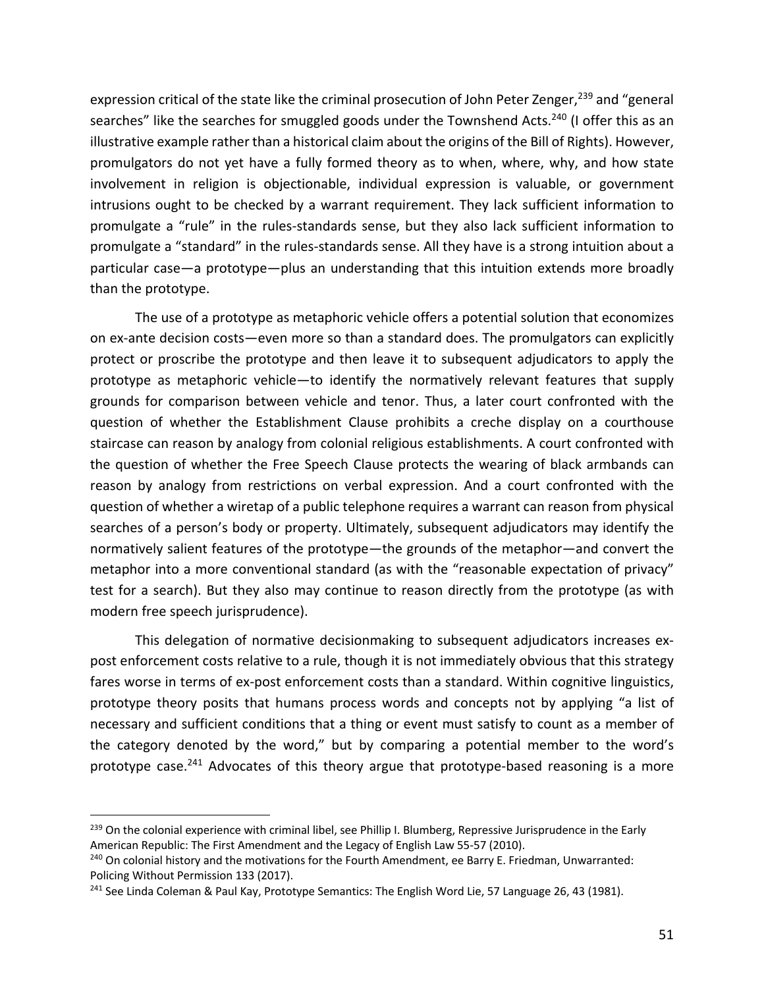expression critical of the state like the criminal prosecution of John Peter Zenger,<sup>239</sup> and "general searches" like the searches for smuggled goods under the Townshend Acts.<sup>240</sup> (I offer this as an illustrative example rather than a historical claim about the origins of the Bill of Rights). However, promulgators do not yet have a fully formed theory as to when, where, why, and how state involvement in religion is objectionable, individual expression is valuable, or government intrusions ought to be checked by a warrant requirement. They lack sufficient information to promulgate a "rule" in the rules-standards sense, but they also lack sufficient information to promulgate a "standard" in the rules-standards sense. All they have is a strong intuition about a particular case—a prototype—plus an understanding that this intuition extends more broadly than the prototype.

The use of a prototype as metaphoric vehicle offers a potential solution that economizes on ex-ante decision costs—even more so than a standard does. The promulgators can explicitly protect or proscribe the prototype and then leave it to subsequent adjudicators to apply the prototype as metaphoric vehicle—to identify the normatively relevant features that supply grounds for comparison between vehicle and tenor. Thus, a later court confronted with the question of whether the Establishment Clause prohibits a creche display on a courthouse staircase can reason by analogy from colonial religious establishments. A court confronted with the question of whether the Free Speech Clause protects the wearing of black armbands can reason by analogy from restrictions on verbal expression. And a court confronted with the question of whether a wiretap of a public telephone requires a warrant can reason from physical searches of a person's body or property. Ultimately, subsequent adjudicators may identify the normatively salient features of the prototype—the grounds of the metaphor—and convert the metaphor into a more conventional standard (as with the "reasonable expectation of privacy" test for a search). But they also may continue to reason directly from the prototype (as with modern free speech jurisprudence).

This delegation of normative decisionmaking to subsequent adjudicators increases expost enforcement costs relative to a rule, though it is not immediately obvious that this strategy fares worse in terms of ex-post enforcement costs than a standard. Within cognitive linguistics, prototype theory posits that humans process words and concepts not by applying "a list of necessary and sufficient conditions that a thing or event must satisfy to count as a member of the category denoted by the word," but by comparing a potential member to the word's prototype case.<sup>241</sup> Advocates of this theory argue that prototype-based reasoning is a more

<sup>&</sup>lt;sup>239</sup> On the colonial experience with criminal libel, see Phillip I. Blumberg, Repressive Jurisprudence in the Early American Republic: The First Amendment and the Legacy of English Law 55-57 (2010).

<sup>&</sup>lt;sup>240</sup> On colonial history and the motivations for the Fourth Amendment, ee Barry E. Friedman, Unwarranted: Policing Without Permission 133 (2017).

<sup>&</sup>lt;sup>241</sup> See Linda Coleman & Paul Kay, Prototype Semantics: The English Word Lie, 57 Language 26, 43 (1981).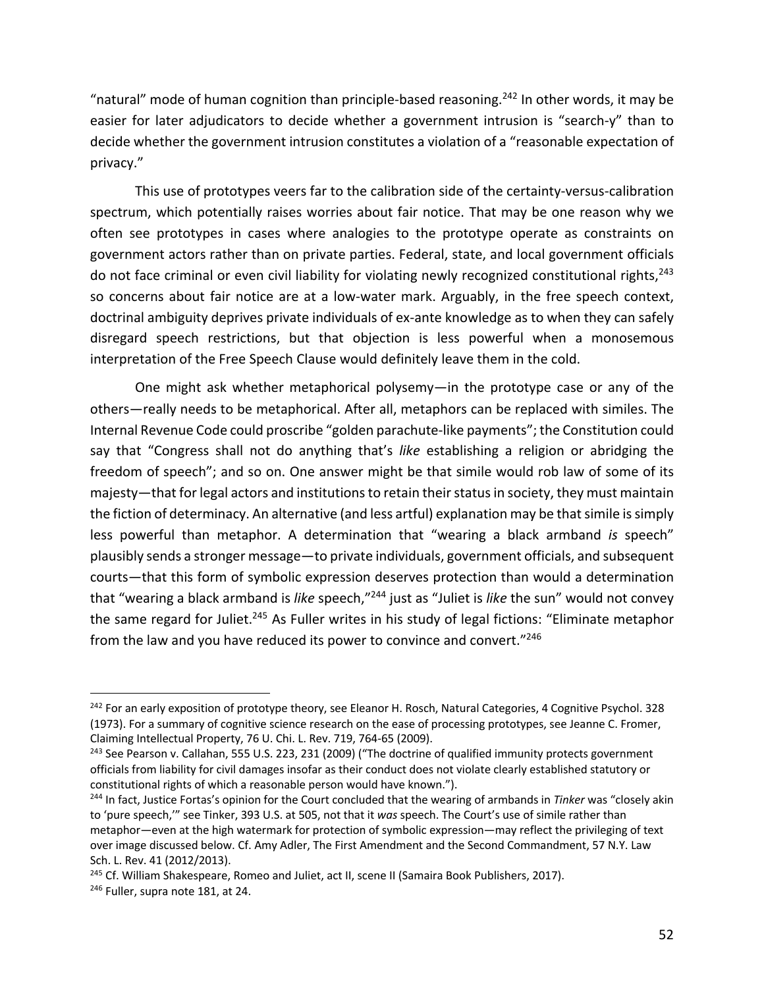"natural" mode of human cognition than principle-based reasoning.<sup>242</sup> In other words, it may be easier for later adjudicators to decide whether a government intrusion is "search-y" than to decide whether the government intrusion constitutes a violation of a "reasonable expectation of privacy."

This use of prototypes veers far to the calibration side of the certainty-versus-calibration spectrum, which potentially raises worries about fair notice. That may be one reason why we often see prototypes in cases where analogies to the prototype operate as constraints on government actors rather than on private parties. Federal, state, and local government officials do not face criminal or even civil liability for violating newly recognized constitutional rights,<sup>243</sup> so concerns about fair notice are at a low-water mark. Arguably, in the free speech context, doctrinal ambiguity deprives private individuals of ex-ante knowledge as to when they can safely disregard speech restrictions, but that objection is less powerful when a monosemous interpretation of the Free Speech Clause would definitely leave them in the cold.

One might ask whether metaphorical polysemy—in the prototype case or any of the others—really needs to be metaphorical. After all, metaphors can be replaced with similes. The Internal Revenue Code could proscribe "golden parachute-like payments"; the Constitution could say that "Congress shall not do anything that's *like* establishing a religion or abridging the freedom of speech"; and so on. One answer might be that simile would rob law of some of its majesty—that for legal actors and institutions to retain their status in society, they must maintain the fiction of determinacy. An alternative (and less artful) explanation may be that simile is simply less powerful than metaphor. A determination that "wearing a black armband *is* speech" plausibly sends a stronger message—to private individuals, government officials, and subsequent courts—that this form of symbolic expression deserves protection than would a determination that "wearing a black armband is *like* speech,"244 just as "Juliet is *like* the sun" would not convey the same regard for Juliet.<sup>245</sup> As Fuller writes in his study of legal fictions: "Eliminate metaphor from the law and you have reduced its power to convince and convert."246

<sup>&</sup>lt;sup>242</sup> For an early exposition of prototype theory, see Eleanor H. Rosch, Natural Categories, 4 Cognitive Psychol. 328 (1973). For a summary of cognitive science research on the ease of processing prototypes, see Jeanne C. Fromer, Claiming Intellectual Property, 76 U. Chi. L. Rev. 719, 764-65 (2009).

<sup>&</sup>lt;sup>243</sup> See Pearson v. Callahan, 555 U.S. 223, 231 (2009) ("The doctrine of qualified immunity protects government officials from liability for civil damages insofar as their conduct does not violate clearly established statutory or constitutional rights of which a reasonable person would have known.").

<sup>244</sup> In fact, Justice Fortas's opinion for the Court concluded that the wearing of armbands in *Tinker* was "closely akin to 'pure speech,'" see Tinker, 393 U.S. at 505, not that it *was* speech. The Court's use of simile rather than metaphor—even at the high watermark for protection of symbolic expression—may reflect the privileging of text over image discussed below. Cf. Amy Adler, The First Amendment and the Second Commandment, 57 N.Y. Law Sch. L. Rev. 41 (2012/2013).

<sup>&</sup>lt;sup>245</sup> Cf. William Shakespeare, Romeo and Juliet, act II, scene II (Samaira Book Publishers, 2017).

<sup>&</sup>lt;sup>246</sup> Fuller, supra note 181, at 24.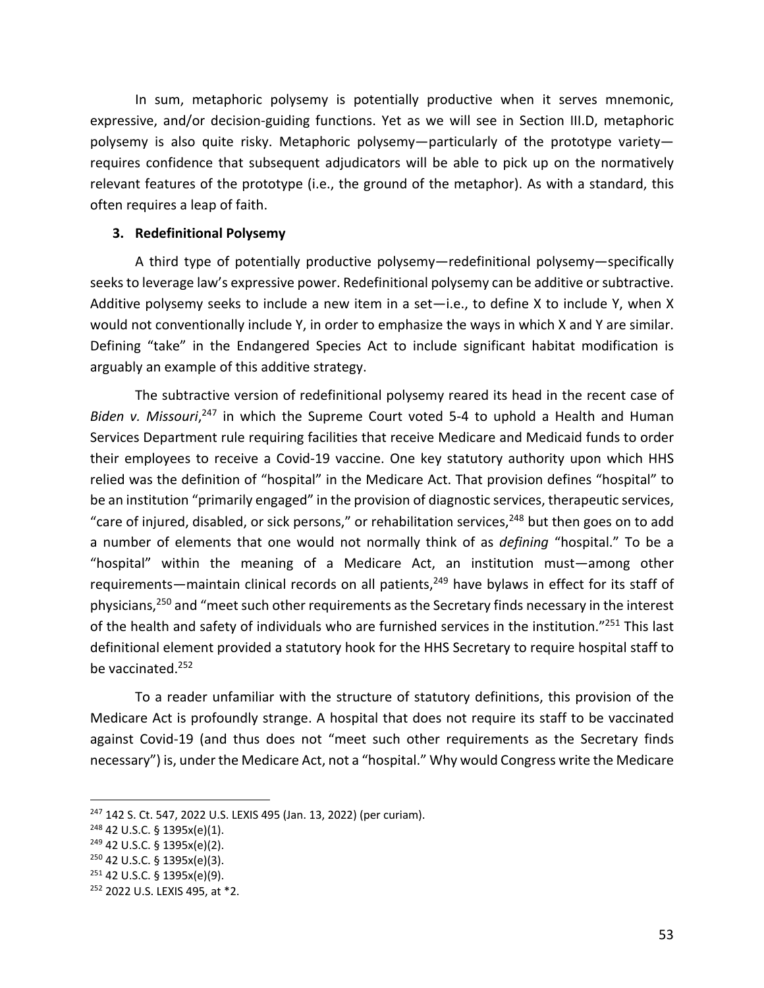In sum, metaphoric polysemy is potentially productive when it serves mnemonic, expressive, and/or decision-guiding functions. Yet as we will see in Section III.D, metaphoric polysemy is also quite risky. Metaphoric polysemy—particularly of the prototype variety requires confidence that subsequent adjudicators will be able to pick up on the normatively relevant features of the prototype (i.e., the ground of the metaphor). As with a standard, this often requires a leap of faith.

#### **3. Redefinitional Polysemy**

A third type of potentially productive polysemy—redefinitional polysemy—specifically seeks to leverage law's expressive power. Redefinitional polysemy can be additive or subtractive. Additive polysemy seeks to include a new item in a set—i.e., to define X to include Y, when X would not conventionally include Y, in order to emphasize the ways in which X and Y are similar. Defining "take" in the Endangered Species Act to include significant habitat modification is arguably an example of this additive strategy.

The subtractive version of redefinitional polysemy reared its head in the recent case of Biden v. Missouri,<sup>247</sup> in which the Supreme Court voted 5-4 to uphold a Health and Human Services Department rule requiring facilities that receive Medicare and Medicaid funds to order their employees to receive a Covid-19 vaccine. One key statutory authority upon which HHS relied was the definition of "hospital" in the Medicare Act. That provision defines "hospital" to be an institution "primarily engaged" in the provision of diagnostic services, therapeutic services, "care of injured, disabled, or sick persons," or rehabilitation services, $248$  but then goes on to add a number of elements that one would not normally think of as *defining* "hospital." To be a "hospital" within the meaning of a Medicare Act, an institution must—among other requirements—maintain clinical records on all patients,<sup>249</sup> have bylaws in effect for its staff of physicians,<sup>250</sup> and "meet such other requirements as the Secretary finds necessary in the interest of the health and safety of individuals who are furnished services in the institution."<sup>251</sup> This last definitional element provided a statutory hook for the HHS Secretary to require hospital staff to be vaccinated.252

To a reader unfamiliar with the structure of statutory definitions, this provision of the Medicare Act is profoundly strange. A hospital that does not require its staff to be vaccinated against Covid-19 (and thus does not "meet such other requirements as the Secretary finds necessary") is, under the Medicare Act, not a "hospital." Why would Congress write the Medicare

<sup>&</sup>lt;sup>247</sup> 142 S. Ct. 547, 2022 U.S. LEXIS 495 (Jan. 13, 2022) (per curiam).

<sup>248</sup> 42 U.S.C. § 1395x(e)(1).

<sup>249</sup> 42 U.S.C. § 1395x(e)(2).

<sup>250</sup> 42 U.S.C. § 1395x(e)(3).

<sup>251</sup> 42 U.S.C. § 1395x(e)(9).

<sup>252</sup> 2022 U.S. LEXIS 495, at \*2.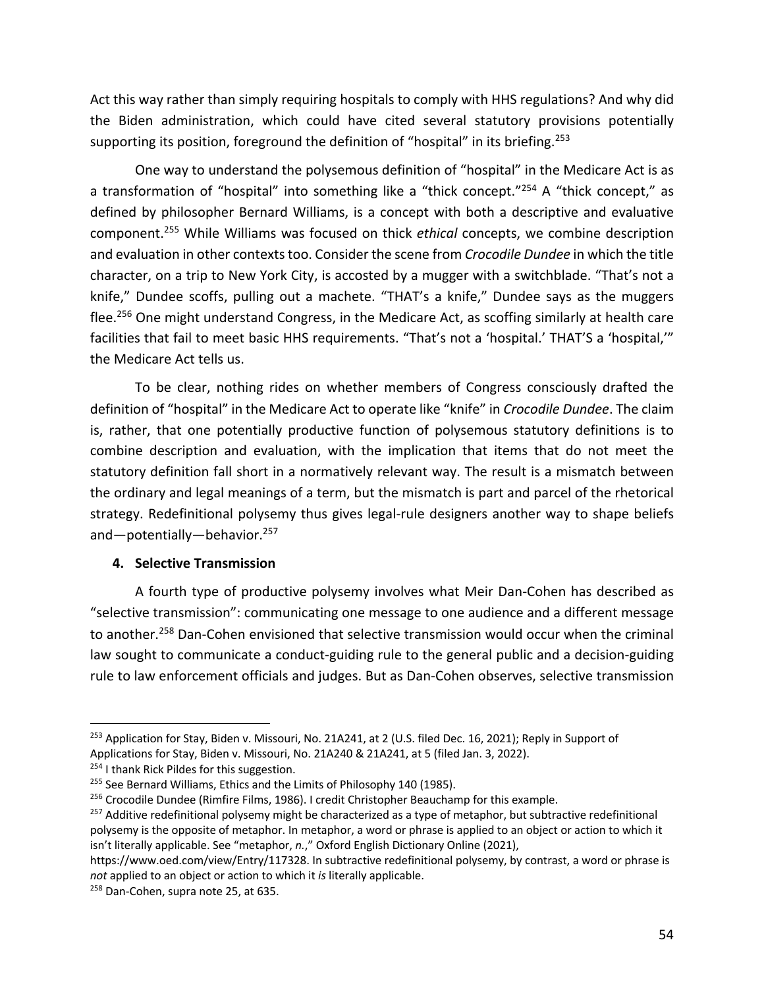Act this way rather than simply requiring hospitals to comply with HHS regulations? And why did the Biden administration, which could have cited several statutory provisions potentially supporting its position, foreground the definition of "hospital" in its briefing.<sup>253</sup>

One way to understand the polysemous definition of "hospital" in the Medicare Act is as a transformation of "hospital" into something like a "thick concept."<sup>254</sup> A "thick concept," as defined by philosopher Bernard Williams, is a concept with both a descriptive and evaluative component.255 While Williams was focused on thick *ethical* concepts, we combine description and evaluation in other contexts too. Consider the scene from *Crocodile Dundee* in which the title character, on a trip to New York City, is accosted by a mugger with a switchblade. "That's not a knife," Dundee scoffs, pulling out a machete. "THAT's a knife," Dundee says as the muggers flee.<sup>256</sup> One might understand Congress, in the Medicare Act, as scoffing similarly at health care facilities that fail to meet basic HHS requirements. "That's not a 'hospital.' THAT'S a 'hospital,'" the Medicare Act tells us.

To be clear, nothing rides on whether members of Congress consciously drafted the definition of "hospital" in the Medicare Act to operate like "knife" in *Crocodile Dundee*. The claim is, rather, that one potentially productive function of polysemous statutory definitions is to combine description and evaluation, with the implication that items that do not meet the statutory definition fall short in a normatively relevant way. The result is a mismatch between the ordinary and legal meanings of a term, but the mismatch is part and parcel of the rhetorical strategy. Redefinitional polysemy thus gives legal-rule designers another way to shape beliefs and-potentially-behavior.<sup>257</sup>

#### **4. Selective Transmission**

A fourth type of productive polysemy involves what Meir Dan-Cohen has described as "selective transmission": communicating one message to one audience and a different message to another.<sup>258</sup> Dan-Cohen envisioned that selective transmission would occur when the criminal law sought to communicate a conduct-guiding rule to the general public and a decision-guiding rule to law enforcement officials and judges. But as Dan-Cohen observes, selective transmission

<sup>&</sup>lt;sup>253</sup> Application for Stay, Biden v. Missouri, No. 21A241, at 2 (U.S. filed Dec. 16, 2021); Reply in Support of Applications for Stay, Biden v. Missouri, No. 21A240 & 21A241, at 5 (filed Jan. 3, 2022).

<sup>&</sup>lt;sup>254</sup> I thank Rick Pildes for this suggestion.

<sup>&</sup>lt;sup>255</sup> See Bernard Williams, Ethics and the Limits of Philosophy 140 (1985).

<sup>&</sup>lt;sup>256</sup> Crocodile Dundee (Rimfire Films, 1986). I credit Christopher Beauchamp for this example.

<sup>&</sup>lt;sup>257</sup> Additive redefinitional polysemy might be characterized as a type of metaphor, but subtractive redefinitional polysemy is the opposite of metaphor. In metaphor, a word or phrase is applied to an object or action to which it isn't literally applicable. See "metaphor, *n.*," Oxford English Dictionary Online (2021),

https://www.oed.com/view/Entry/117328. In subtractive redefinitional polysemy, by contrast, a word or phrase is *not* applied to an object or action to which it *is* literally applicable.

<sup>&</sup>lt;sup>258</sup> Dan-Cohen, supra note 25, at 635.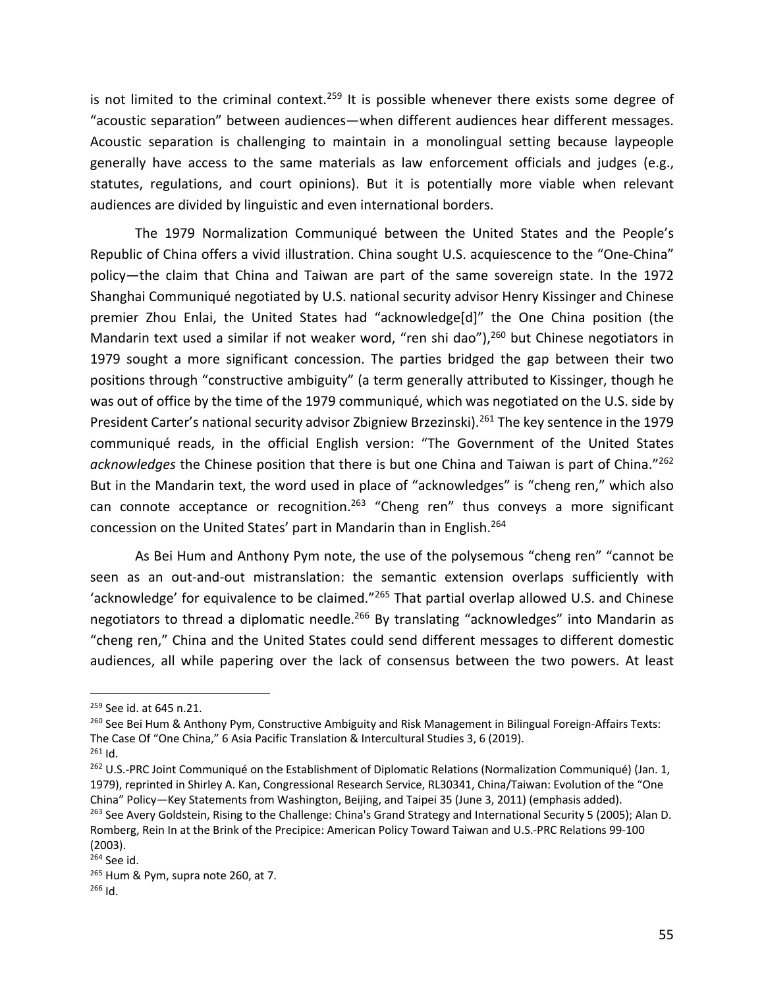is not limited to the criminal context.<sup>259</sup> It is possible whenever there exists some degree of "acoustic separation" between audiences—when different audiences hear different messages. Acoustic separation is challenging to maintain in a monolingual setting because laypeople generally have access to the same materials as law enforcement officials and judges (e.g., statutes, regulations, and court opinions). But it is potentially more viable when relevant audiences are divided by linguistic and even international borders.

The 1979 Normalization Communiqué between the United States and the People's Republic of China offers a vivid illustration. China sought U.S. acquiescence to the "One-China" policy—the claim that China and Taiwan are part of the same sovereign state. In the 1972 Shanghai Communiqué negotiated by U.S. national security advisor Henry Kissinger and Chinese premier Zhou Enlai, the United States had "acknowledge[d]" the One China position (the Mandarin text used a similar if not weaker word, "ren shi dao"),<sup>260</sup> but Chinese negotiators in 1979 sought a more significant concession. The parties bridged the gap between their two positions through "constructive ambiguity" (a term generally attributed to Kissinger, though he was out of office by the time of the 1979 communiqué, which was negotiated on the U.S. side by President Carter's national security advisor Zbigniew Brzezinski).<sup>261</sup> The key sentence in the 1979 communiqué reads, in the official English version: "The Government of the United States *acknowledges* the Chinese position that there is but one China and Taiwan is part of China."262 But in the Mandarin text, the word used in place of "acknowledges" is "cheng ren," which also can connote acceptance or recognition.<sup>263</sup> "Cheng ren" thus conveys a more significant concession on the United States' part in Mandarin than in English.264

As Bei Hum and Anthony Pym note, the use of the polysemous "cheng ren" "cannot be seen as an out-and-out mistranslation: the semantic extension overlaps sufficiently with 'acknowledge' for equivalence to be claimed."265 That partial overlap allowed U.S. and Chinese negotiators to thread a diplomatic needle.<sup>266</sup> By translating "acknowledges" into Mandarin as "cheng ren," China and the United States could send different messages to different domestic audiences, all while papering over the lack of consensus between the two powers. At least

<sup>260</sup> See Bei Hum & Anthony Pym, Constructive Ambiguity and Risk Management in Bilingual Foreign-Affairs Texts: The Case Of "One China," 6 Asia Pacific Translation & Intercultural Studies 3, 6 (2019).

<sup>&</sup>lt;sup>259</sup> See id. at 645 n.21.

<sup>261</sup> Id.

<sup>&</sup>lt;sup>262</sup> U.S.-PRC Joint Communiqué on the Establishment of Diplomatic Relations (Normalization Communiqué) (Jan. 1, 1979), reprinted in Shirley A. Kan, Congressional Research Service, RL30341, China/Taiwan: Evolution of the "One China" Policy—Key Statements from Washington, Beijing, and Taipei 35 (June 3, 2011) (emphasis added).

<sup>&</sup>lt;sup>263</sup> See Avery Goldstein, Rising to the Challenge: China's Grand Strategy and International Security 5 (2005); Alan D. Romberg, Rein In at the Brink of the Precipice: American Policy Toward Taiwan and U.S.-PRC Relations 99-100 (2003).

<sup>264</sup> See id.

<sup>&</sup>lt;sup>265</sup> Hum & Pym, supra note 260, at 7.

<sup>266</sup> Id.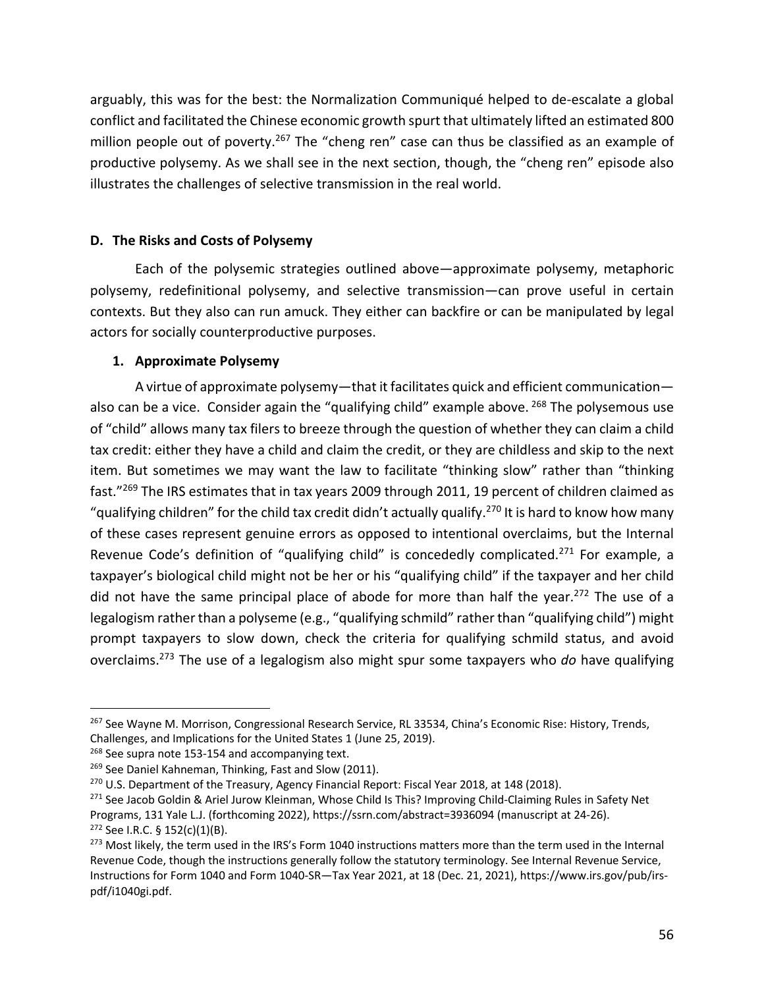arguably, this was for the best: the Normalization Communiqué helped to de-escalate a global conflict and facilitated the Chinese economic growth spurt that ultimately lifted an estimated 800 million people out of poverty.<sup>267</sup> The "cheng ren" case can thus be classified as an example of productive polysemy. As we shall see in the next section, though, the "cheng ren" episode also illustrates the challenges of selective transmission in the real world.

## **D. The Risks and Costs of Polysemy**

Each of the polysemic strategies outlined above—approximate polysemy, metaphoric polysemy, redefinitional polysemy, and selective transmission—can prove useful in certain contexts. But they also can run amuck. They either can backfire or can be manipulated by legal actors for socially counterproductive purposes.

## **1. Approximate Polysemy**

A virtue of approximate polysemy—that it facilitates quick and efficient communication also can be a vice. Consider again the "qualifying child" example above.  $268$  The polysemous use of "child" allows many tax filers to breeze through the question of whether they can claim a child tax credit: either they have a child and claim the credit, or they are childless and skip to the next item. But sometimes we may want the law to facilitate "thinking slow" rather than "thinking fast."269 The IRS estimates that in tax years 2009 through 2011, 19 percent of children claimed as "qualifying children" for the child tax credit didn't actually qualify.<sup>270</sup> It is hard to know how many of these cases represent genuine errors as opposed to intentional overclaims, but the Internal Revenue Code's definition of "qualifying child" is concededly complicated.<sup>271</sup> For example, a taxpayer's biological child might not be her or his "qualifying child" if the taxpayer and her child did not have the same principal place of abode for more than half the year.<sup>272</sup> The use of a legalogism rather than a polyseme (e.g., "qualifying schmild" rather than "qualifying child") might prompt taxpayers to slow down, check the criteria for qualifying schmild status, and avoid overclaims.273 The use of a legalogism also might spur some taxpayers who *do* have qualifying

<sup>&</sup>lt;sup>267</sup> See Wayne M. Morrison, Congressional Research Service, RL 33534, China's Economic Rise: History, Trends, Challenges, and Implications for the United States 1 (June 25, 2019).

<sup>&</sup>lt;sup>268</sup> See supra note 153-154 and accompanying text.

<sup>&</sup>lt;sup>269</sup> See Daniel Kahneman, Thinking, Fast and Slow (2011).

<sup>&</sup>lt;sup>270</sup> U.S. Department of the Treasury, Agency Financial Report: Fiscal Year 2018, at 148 (2018).

<sup>&</sup>lt;sup>271</sup> See Jacob Goldin & Ariel Jurow Kleinman, Whose Child Is This? Improving Child-Claiming Rules in Safety Net Programs, 131 Yale L.J. (forthcoming 2022), https://ssrn.com/abstract=3936094 (manuscript at 24-26).  $272$  See I.R.C. § 152(c)(1)(B).

<sup>&</sup>lt;sup>273</sup> Most likely, the term used in the IRS's Form 1040 instructions matters more than the term used in the Internal Revenue Code, though the instructions generally follow the statutory terminology. See Internal Revenue Service, Instructions for Form 1040 and Form 1040-SR—Tax Year 2021, at 18 (Dec. 21, 2021), https://www.irs.gov/pub/irspdf/i1040gi.pdf.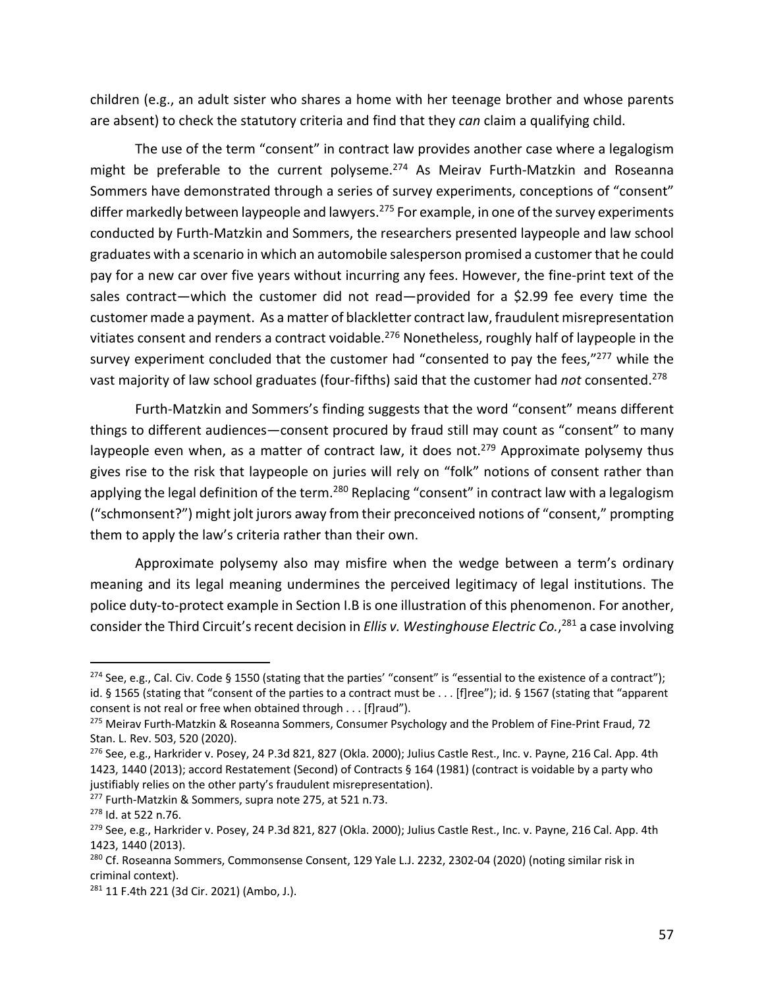children (e.g., an adult sister who shares a home with her teenage brother and whose parents are absent) to check the statutory criteria and find that they *can* claim a qualifying child.

The use of the term "consent" in contract law provides another case where a legalogism might be preferable to the current polyseme. $274$  As Meirav Furth-Matzkin and Roseanna Sommers have demonstrated through a series of survey experiments, conceptions of "consent" differ markedly between laypeople and lawyers.<sup>275</sup> For example, in one of the survey experiments conducted by Furth-Matzkin and Sommers, the researchers presented laypeople and law school graduates with a scenario in which an automobile salesperson promised a customer that he could pay for a new car over five years without incurring any fees. However, the fine-print text of the sales contract—which the customer did not read—provided for a \$2.99 fee every time the customer made a payment. As a matter of blackletter contract law, fraudulent misrepresentation vitiates consent and renders a contract voidable.<sup>276</sup> Nonetheless, roughly half of laypeople in the survey experiment concluded that the customer had "consented to pay the fees,"277 while the vast majority of law school graduates (four-fifths) said that the customer had *not* consented. 278

Furth-Matzkin and Sommers's finding suggests that the word "consent" means different things to different audiences—consent procured by fraud still may count as "consent" to many laypeople even when, as a matter of contract law, it does not.<sup>279</sup> Approximate polysemy thus gives rise to the risk that laypeople on juries will rely on "folk" notions of consent rather than applying the legal definition of the term.<sup>280</sup> Replacing "consent" in contract law with a legalogism ("schmonsent?") might jolt jurors away from their preconceived notions of "consent," prompting them to apply the law's criteria rather than their own.

Approximate polysemy also may misfire when the wedge between a term's ordinary meaning and its legal meaning undermines the perceived legitimacy of legal institutions. The police duty-to-protect example in Section I.B is one illustration of this phenomenon. For another, consider the Third Circuit's recent decision in *Ellis v. Westinghouse Electric Co.*, <sup>281</sup> a case involving

<sup>&</sup>lt;sup>274</sup> See, e.g., Cal. Civ. Code § 1550 (stating that the parties' "consent" is "essential to the existence of a contract"); id. § 1565 (stating that "consent of the parties to a contract must be . . . [f]ree"); id. § 1567 (stating that "apparent consent is not real or free when obtained through . . . [f]raud").

<sup>&</sup>lt;sup>275</sup> Meirav Furth-Matzkin & Roseanna Sommers, Consumer Psychology and the Problem of Fine-Print Fraud, 72 Stan. L. Rev. 503, 520 (2020).

 $^{276}$  See, e.g., Harkrider v. Posey, 24 P.3d 821, 827 (Okla. 2000); Julius Castle Rest., Inc. v. Payne, 216 Cal. App. 4th 1423, 1440 (2013); accord Restatement (Second) of Contracts § 164 (1981) (contract is voidable by a party who justifiably relies on the other party's fraudulent misrepresentation).

<sup>277</sup> Furth-Matzkin & Sommers, supra note 275, at 521 n.73.

<sup>278</sup> Id. at 522 n.76.

<sup>&</sup>lt;sup>279</sup> See, e.g., Harkrider v. Posey, 24 P.3d 821, 827 (Okla. 2000); Julius Castle Rest., Inc. v. Payne, 216 Cal. App. 4th 1423, 1440 (2013).

<sup>&</sup>lt;sup>280</sup> Cf. Roseanna Sommers, Commonsense Consent, 129 Yale L.J. 2232, 2302-04 (2020) (noting similar risk in criminal context).

<sup>281 11</sup> F.4th 221 (3d Cir. 2021) (Ambo, J.).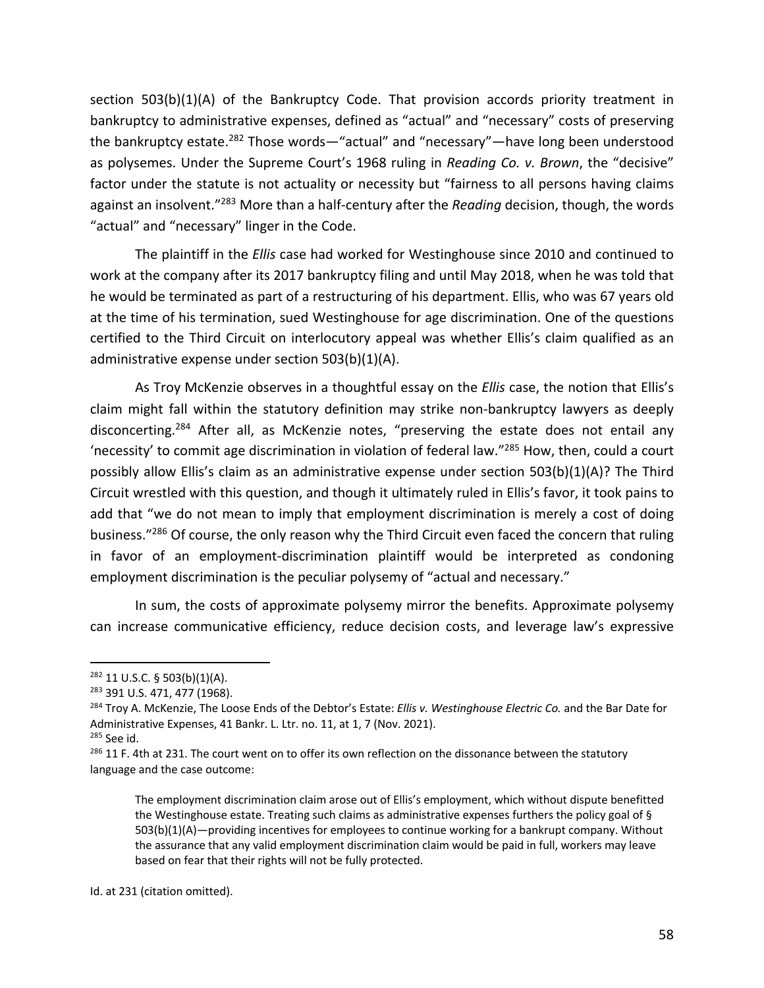section 503(b)(1)(A) of the Bankruptcy Code. That provision accords priority treatment in bankruptcy to administrative expenses, defined as "actual" and "necessary" costs of preserving the bankruptcy estate.<sup>282</sup> Those words—"actual" and "necessary"—have long been understood as polysemes. Under the Supreme Court's 1968 ruling in *Reading Co. v. Brown*, the "decisive" factor under the statute is not actuality or necessity but "fairness to all persons having claims against an insolvent."283 More than a half-century after the *Reading* decision, though, the words "actual" and "necessary" linger in the Code.

The plaintiff in the *Ellis* case had worked for Westinghouse since 2010 and continued to work at the company after its 2017 bankruptcy filing and until May 2018, when he was told that he would be terminated as part of a restructuring of his department. Ellis, who was 67 years old at the time of his termination, sued Westinghouse for age discrimination. One of the questions certified to the Third Circuit on interlocutory appeal was whether Ellis's claim qualified as an administrative expense under section 503(b)(1)(A).

As Troy McKenzie observes in a thoughtful essay on the *Ellis* case, the notion that Ellis's claim might fall within the statutory definition may strike non-bankruptcy lawyers as deeply disconcerting.<sup>284</sup> After all, as McKenzie notes, "preserving the estate does not entail any 'necessity' to commit age discrimination in violation of federal law."285 How, then, could a court possibly allow Ellis's claim as an administrative expense under section 503(b)(1)(A)? The Third Circuit wrestled with this question, and though it ultimately ruled in Ellis's favor, it took pains to add that "we do not mean to imply that employment discrimination is merely a cost of doing business."<sup>286</sup> Of course, the only reason why the Third Circuit even faced the concern that ruling in favor of an employment-discrimination plaintiff would be interpreted as condoning employment discrimination is the peculiar polysemy of "actual and necessary."

In sum, the costs of approximate polysemy mirror the benefits. Approximate polysemy can increase communicative efficiency, reduce decision costs, and leverage law's expressive

Id. at 231 (citation omitted).

 $282$  11 U.S.C. § 503(b)(1)(A).

<sup>283</sup> 391 U.S. 471, 477 (1968).

<sup>284</sup> Troy A. McKenzie, The Loose Ends of the Debtor's Estate: *Ellis v. Westinghouse Electric Co.* and the Bar Date for Administrative Expenses, 41 Bankr. L. Ltr. no. 11, at 1, 7 (Nov. 2021).

 $285$  See id.

<sup>&</sup>lt;sup>286</sup> 11 F. 4th at 231. The court went on to offer its own reflection on the dissonance between the statutory language and the case outcome:

The employment discrimination claim arose out of Ellis's employment, which without dispute benefitted the Westinghouse estate. Treating such claims as administrative expenses furthers the policy goal of § 503(b)(1)(A)—providing incentives for employees to continue working for a bankrupt company. Without the assurance that any valid employment discrimination claim would be paid in full, workers may leave based on fear that their rights will not be fully protected.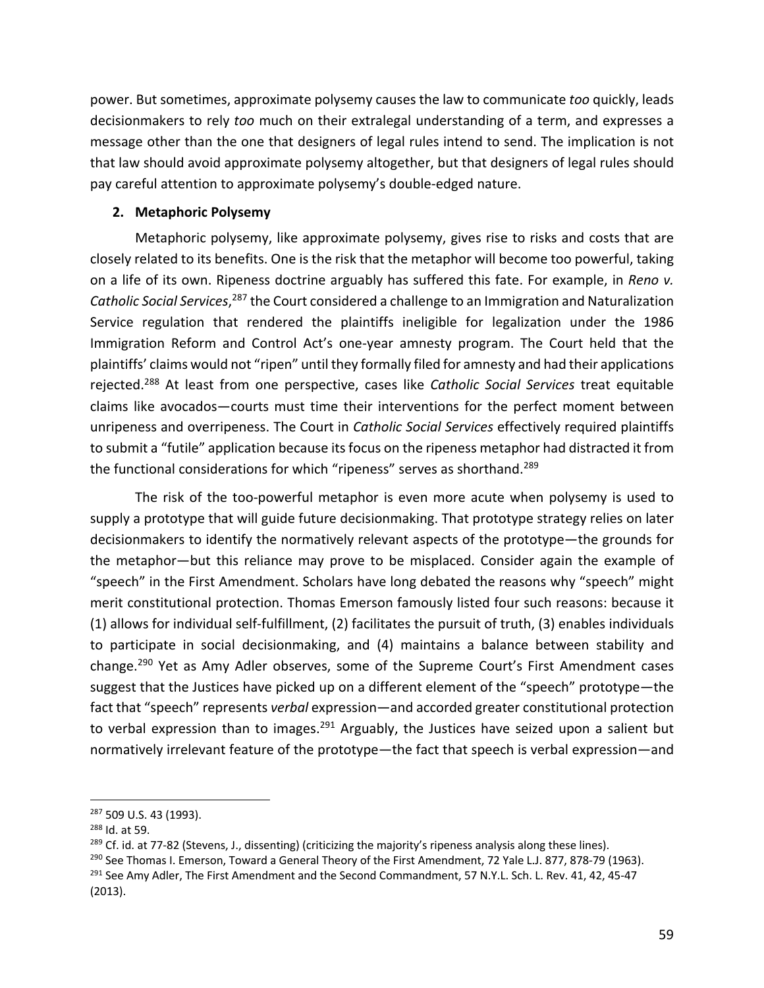power. But sometimes, approximate polysemy causes the law to communicate *too* quickly, leads decisionmakers to rely *too* much on their extralegal understanding of a term, and expresses a message other than the one that designers of legal rules intend to send. The implication is not that law should avoid approximate polysemy altogether, but that designers of legal rules should pay careful attention to approximate polysemy's double-edged nature.

### **2. Metaphoric Polysemy**

Metaphoric polysemy, like approximate polysemy, gives rise to risks and costs that are closely related to its benefits. One is the risk that the metaphor will become too powerful, taking on a life of its own. Ripeness doctrine arguably has suffered this fate. For example, in *Reno v. Catholic Social Services*, <sup>287</sup> the Court considered a challenge to an Immigration and Naturalization Service regulation that rendered the plaintiffs ineligible for legalization under the 1986 Immigration Reform and Control Act's one-year amnesty program. The Court held that the plaintiffs' claims would not "ripen" until they formally filed for amnesty and had their applications rejected.288 At least from one perspective, cases like *Catholic Social Services* treat equitable claims like avocados—courts must time their interventions for the perfect moment between unripeness and overripeness. The Court in *Catholic Social Services* effectively required plaintiffs to submit a "futile" application because its focus on the ripeness metaphor had distracted it from the functional considerations for which "ripeness" serves as shorthand.<sup>289</sup>

The risk of the too-powerful metaphor is even more acute when polysemy is used to supply a prototype that will guide future decisionmaking. That prototype strategy relies on later decisionmakers to identify the normatively relevant aspects of the prototype—the grounds for the metaphor—but this reliance may prove to be misplaced. Consider again the example of "speech" in the First Amendment. Scholars have long debated the reasons why "speech" might merit constitutional protection. Thomas Emerson famously listed four such reasons: because it (1) allows for individual self-fulfillment, (2) facilitates the pursuit of truth, (3) enables individuals to participate in social decisionmaking, and (4) maintains a balance between stability and change.<sup>290</sup> Yet as Amy Adler observes, some of the Supreme Court's First Amendment cases suggest that the Justices have picked up on a different element of the "speech" prototype—the fact that "speech" represents *verbal* expression—and accorded greater constitutional protection to verbal expression than to images.<sup>291</sup> Arguably, the Justices have seized upon a salient but normatively irrelevant feature of the prototype—the fact that speech is verbal expression—and

<sup>&</sup>lt;sup>287</sup> 509 U.S. 43 (1993).

<sup>288</sup> Id. at 59.

<sup>&</sup>lt;sup>289</sup> Cf. id. at 77-82 (Stevens, J., dissenting) (criticizing the majority's ripeness analysis along these lines).

<sup>&</sup>lt;sup>290</sup> See Thomas I. Emerson, Toward a General Theory of the First Amendment, 72 Yale L.J. 877, 878-79 (1963). <sup>291</sup> See Amy Adler, The First Amendment and the Second Commandment, 57 N.Y.L. Sch. L. Rev. 41, 42, 45-47 (2013).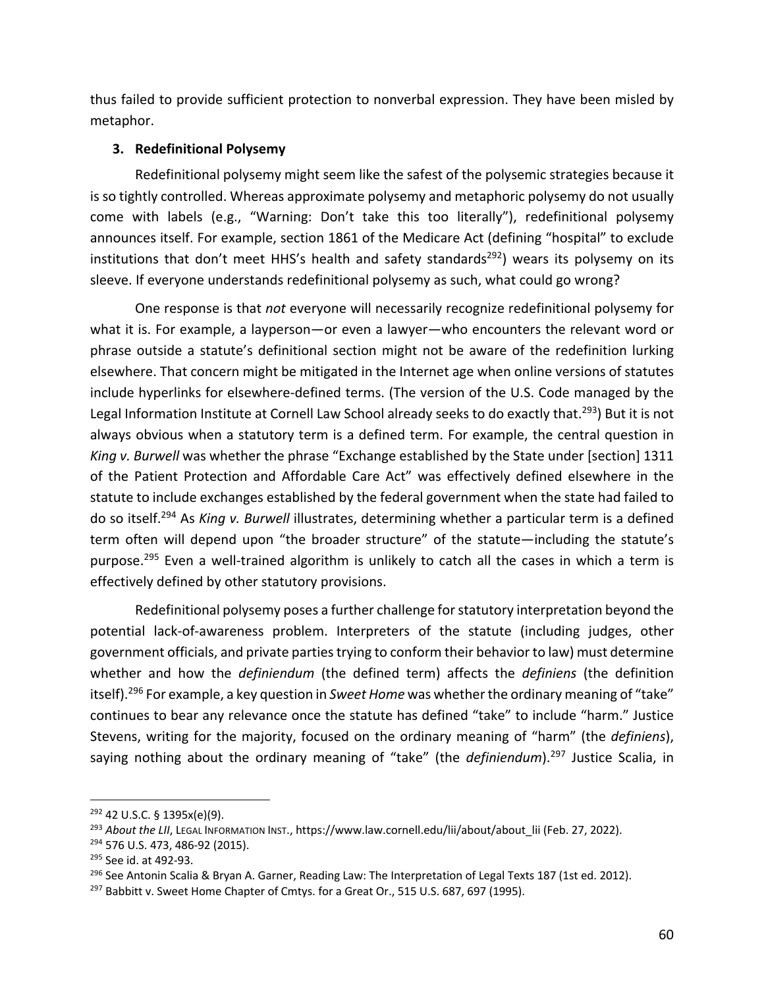thus failed to provide sufficient protection to nonverbal expression. They have been misled by metaphor.

## **3. Redefinitional Polysemy**

Redefinitional polysemy might seem like the safest of the polysemic strategies because it is so tightly controlled. Whereas approximate polysemy and metaphoric polysemy do not usually come with labels (e.g., "Warning: Don't take this too literally"), redefinitional polysemy announces itself. For example, section 1861 of the Medicare Act (defining "hospital" to exclude institutions that don't meet HHS's health and safety standards<sup>292</sup>) wears its polysemy on its sleeve. If everyone understands redefinitional polysemy as such, what could go wrong?

One response is that *not* everyone will necessarily recognize redefinitional polysemy for what it is. For example, a layperson—or even a lawyer—who encounters the relevant word or phrase outside a statute's definitional section might not be aware of the redefinition lurking elsewhere. That concern might be mitigated in the Internet age when online versions of statutes include hyperlinks for elsewhere-defined terms. (The version of the U.S. Code managed by the Legal Information Institute at Cornell Law School already seeks to do exactly that.<sup>293</sup>) But it is not always obvious when a statutory term is a defined term. For example, the central question in *King v. Burwell* was whether the phrase "Exchange established by the State under [section] 1311 of the Patient Protection and Affordable Care Act" was effectively defined elsewhere in the statute to include exchanges established by the federal government when the state had failed to do so itself.294 As *King v. Burwell* illustrates, determining whether a particular term is a defined term often will depend upon "the broader structure" of the statute—including the statute's purpose.<sup>295</sup> Even a well-trained algorithm is unlikely to catch all the cases in which a term is effectively defined by other statutory provisions.

Redefinitional polysemy poses a further challenge for statutory interpretation beyond the potential lack-of-awareness problem. Interpreters of the statute (including judges, other government officials, and private parties trying to conform their behavior to law) must determine whether and how the *definiendum* (the defined term) affects the *definiens* (the definition itself).296 For example, a key question in *Sweet Home* was whether the ordinary meaning of "take" continues to bear any relevance once the statute has defined "take" to include "harm." Justice Stevens, writing for the majority, focused on the ordinary meaning of "harm" (the *definiens*), saying nothing about the ordinary meaning of "take" (the *definiendum*). <sup>297</sup> Justice Scalia, in

<sup>292</sup> 42 U.S.C. § 1395x(e)(9).

<sup>293</sup> *About the LII*, LEGAL INFORMATION INST., https://www.law.cornell.edu/lii/about/about\_lii (Feb. 27, 2022).

<sup>294</sup> 576 U.S. 473, 486-92 (2015).

<sup>&</sup>lt;sup>295</sup> See id. at 492-93.<br><sup>296</sup> See Antonin Scalia & Bryan A. Garner, Reading Law: The Interpretation of Legal Texts 187 (1st ed. 2012).

<sup>&</sup>lt;sup>297</sup> Babbitt v. Sweet Home Chapter of Cmtys. for a Great Or., 515 U.S. 687, 697 (1995).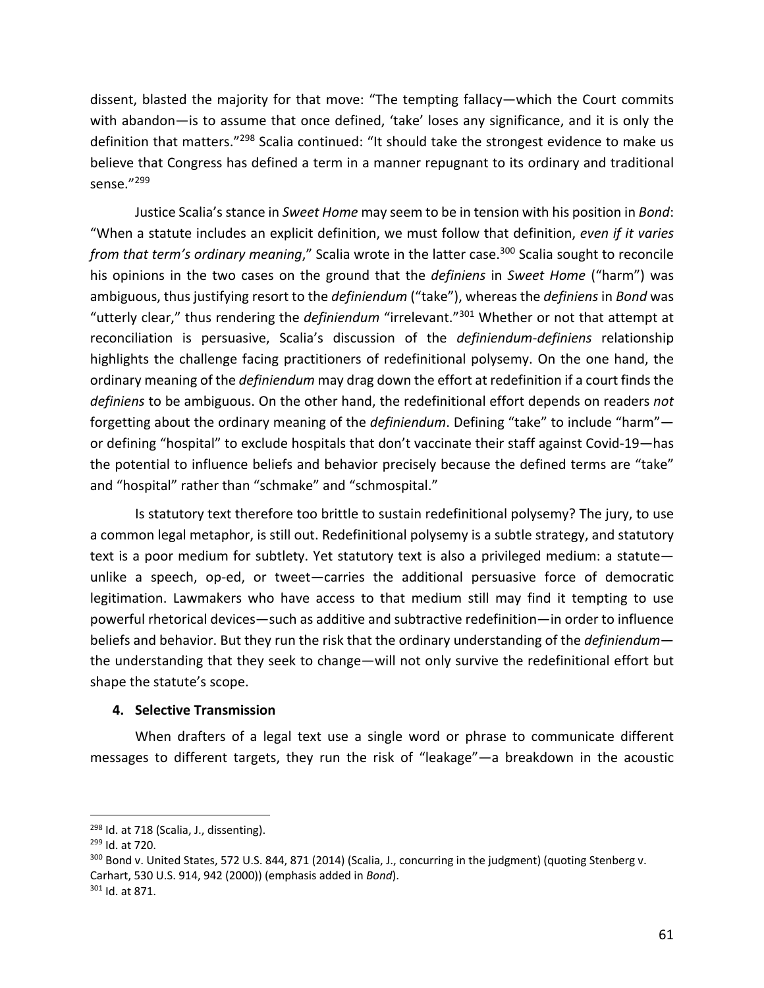dissent, blasted the majority for that move: "The tempting fallacy—which the Court commits with abandon—is to assume that once defined, 'take' loses any significance, and it is only the definition that matters."<sup>298</sup> Scalia continued: "It should take the strongest evidence to make us believe that Congress has defined a term in a manner repugnant to its ordinary and traditional sense."299

Justice Scalia's stance in *Sweet Home* may seem to be in tension with his position in *Bond*: "When a statute includes an explicit definition, we must follow that definition, *even if it varies from that term's ordinary meaning*," Scalia wrote in the latter case.<sup>300</sup> Scalia sought to reconcile his opinions in the two cases on the ground that the *definiens* in *Sweet Home* ("harm") was ambiguous, thus justifying resort to the *definiendum* ("take"), whereas the *definiens* in *Bond* was "utterly clear," thus rendering the *definiendum* "irrelevant."301 Whether or not that attempt at reconciliation is persuasive, Scalia's discussion of the *definiendum*-*definiens* relationship highlights the challenge facing practitioners of redefinitional polysemy. On the one hand, the ordinary meaning of the *definiendum* may drag down the effort at redefinition if a court finds the *definiens* to be ambiguous. On the other hand, the redefinitional effort depends on readers *not* forgetting about the ordinary meaning of the *definiendum*. Defining "take" to include "harm" or defining "hospital" to exclude hospitals that don't vaccinate their staff against Covid-19—has the potential to influence beliefs and behavior precisely because the defined terms are "take" and "hospital" rather than "schmake" and "schmospital."

Is statutory text therefore too brittle to sustain redefinitional polysemy? The jury, to use a common legal metaphor, is still out. Redefinitional polysemy is a subtle strategy, and statutory text is a poor medium for subtlety. Yet statutory text is also a privileged medium: a statute unlike a speech, op-ed, or tweet—carries the additional persuasive force of democratic legitimation. Lawmakers who have access to that medium still may find it tempting to use powerful rhetorical devices—such as additive and subtractive redefinition—in order to influence beliefs and behavior. But they run the risk that the ordinary understanding of the *definiendum* the understanding that they seek to change—will not only survive the redefinitional effort but shape the statute's scope.

#### **4. Selective Transmission**

When drafters of a legal text use a single word or phrase to communicate different messages to different targets, they run the risk of "leakage"—a breakdown in the acoustic

<sup>&</sup>lt;sup>298</sup> Id. at 718 (Scalia, J., dissenting).

<sup>299</sup> Id. at 720.

<sup>&</sup>lt;sup>300</sup> Bond v. United States, 572 U.S. 844, 871 (2014) (Scalia, J., concurring in the judgment) (quoting Stenberg v. Carhart, 530 U.S. 914, 942 (2000)) (emphasis added in *Bond*).

<sup>301</sup> Id. at 871.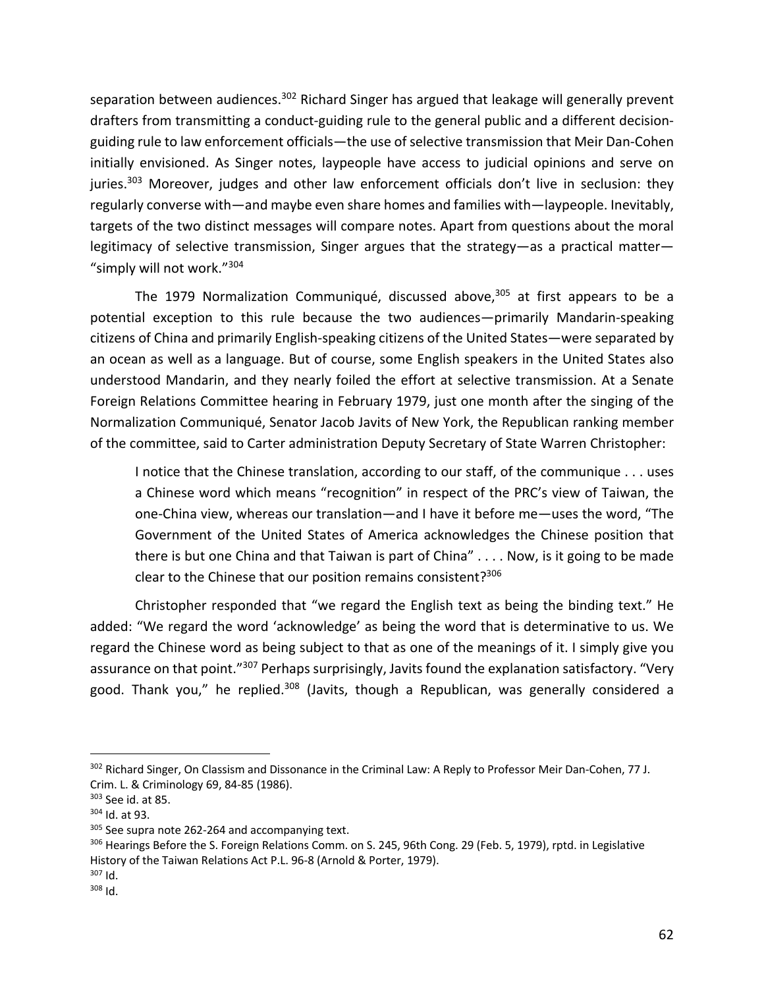separation between audiences.<sup>302</sup> Richard Singer has argued that leakage will generally prevent drafters from transmitting a conduct-guiding rule to the general public and a different decisionguiding rule to law enforcement officials—the use of selective transmission that Meir Dan-Cohen initially envisioned. As Singer notes, laypeople have access to judicial opinions and serve on juries.<sup>303</sup> Moreover, judges and other law enforcement officials don't live in seclusion: they regularly converse with—and maybe even share homes and families with—laypeople. Inevitably, targets of the two distinct messages will compare notes. Apart from questions about the moral legitimacy of selective transmission, Singer argues that the strategy—as a practical matter— "simply will not work."304

The 1979 Normalization Communiqué, discussed above,  $305$  at first appears to be a potential exception to this rule because the two audiences—primarily Mandarin-speaking citizens of China and primarily English-speaking citizens of the United States—were separated by an ocean as well as a language. But of course, some English speakers in the United States also understood Mandarin, and they nearly foiled the effort at selective transmission. At a Senate Foreign Relations Committee hearing in February 1979, just one month after the singing of the Normalization Communiqué, Senator Jacob Javits of New York, the Republican ranking member of the committee, said to Carter administration Deputy Secretary of State Warren Christopher:

I notice that the Chinese translation, according to our staff, of the communique . . . uses a Chinese word which means "recognition" in respect of the PRC's view of Taiwan, the one-China view, whereas our translation—and I have it before me—uses the word, "The Government of the United States of America acknowledges the Chinese position that there is but one China and that Taiwan is part of China" . . . . Now, is it going to be made clear to the Chinese that our position remains consistent?<sup>306</sup>

Christopher responded that "we regard the English text as being the binding text." He added: "We regard the word 'acknowledge' as being the word that is determinative to us. We regard the Chinese word as being subject to that as one of the meanings of it. I simply give you assurance on that point."<sup>307</sup> Perhaps surprisingly, Javits found the explanation satisfactory. "Very good. Thank you," he replied.<sup>308</sup> (Javits, though a Republican, was generally considered a

<sup>302</sup> Richard Singer, On Classism and Dissonance in the Criminal Law: A Reply to Professor Meir Dan-Cohen, 77 J. Crim. L. & Criminology 69, 84-85 (1986).

<sup>303</sup> See id. at 85.

<sup>304</sup> Id. at 93.

<sup>&</sup>lt;sup>305</sup> See supra note 262-264 and accompanying text.

<sup>&</sup>lt;sup>306</sup> Hearings Before the S. Foreign Relations Comm. on S. 245, 96th Cong. 29 (Feb. 5, 1979), rptd. in Legislative History of the Taiwan Relations Act P.L. 96-8 (Arnold & Porter, 1979).

<sup>307</sup> Id.

 $308$  Id.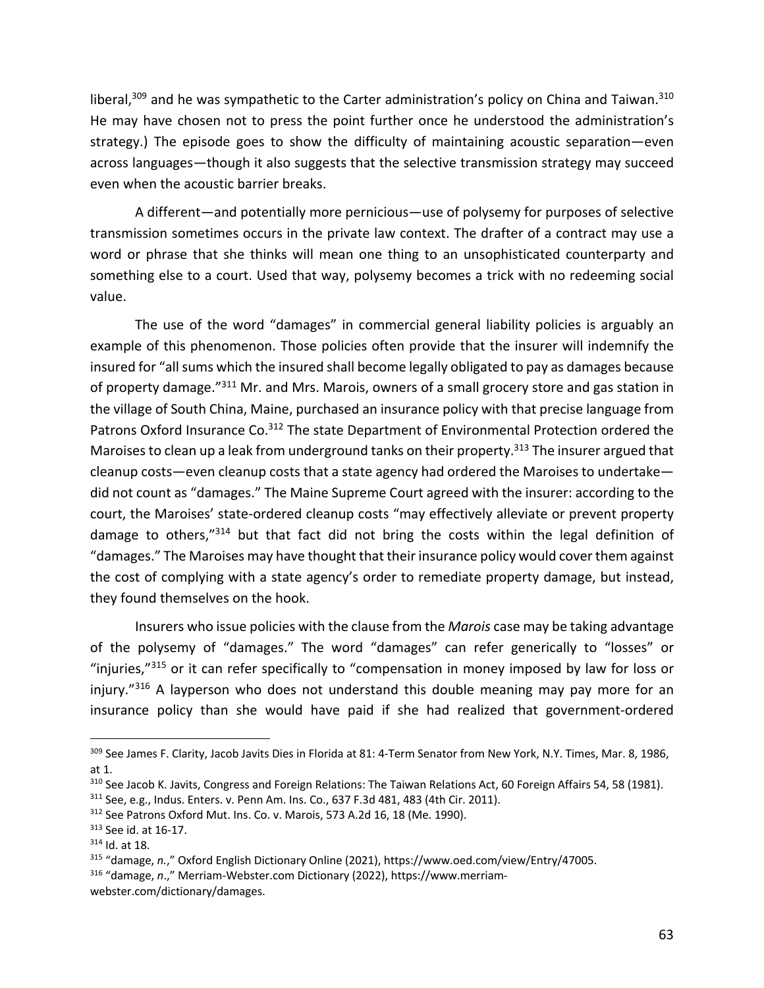liberal,<sup>309</sup> and he was sympathetic to the Carter administration's policy on China and Taiwan.<sup>310</sup> He may have chosen not to press the point further once he understood the administration's strategy.) The episode goes to show the difficulty of maintaining acoustic separation—even across languages—though it also suggests that the selective transmission strategy may succeed even when the acoustic barrier breaks.

A different—and potentially more pernicious—use of polysemy for purposes of selective transmission sometimes occurs in the private law context. The drafter of a contract may use a word or phrase that she thinks will mean one thing to an unsophisticated counterparty and something else to a court. Used that way, polysemy becomes a trick with no redeeming social value.

The use of the word "damages" in commercial general liability policies is arguably an example of this phenomenon. Those policies often provide that the insurer will indemnify the insured for "all sums which the insured shall become legally obligated to pay as damages because of property damage."<sup>311</sup> Mr. and Mrs. Marois, owners of a small grocery store and gas station in the village of South China, Maine, purchased an insurance policy with that precise language from Patrons Oxford Insurance Co.<sup>312</sup> The state Department of Environmental Protection ordered the Maroises to clean up a leak from underground tanks on their property.<sup>313</sup> The insurer argued that cleanup costs—even cleanup costs that a state agency had ordered the Maroises to undertake did not count as "damages." The Maine Supreme Court agreed with the insurer: according to the court, the Maroises' state-ordered cleanup costs "may effectively alleviate or prevent property damage to others,"314 but that fact did not bring the costs within the legal definition of "damages." The Maroises may have thought that their insurance policy would cover them against the cost of complying with a state agency's order to remediate property damage, but instead, they found themselves on the hook.

Insurers who issue policies with the clause from the *Marois* case may be taking advantage of the polysemy of "damages." The word "damages" can refer generically to "losses" or "injuries,"<sup>315</sup> or it can refer specifically to "compensation in money imposed by law for loss or injury. $^{9316}$  A layperson who does not understand this double meaning may pay more for an insurance policy than she would have paid if she had realized that government-ordered

<sup>316</sup> "damage, *n*.," Merriam-Webster.com Dictionary (2022), https://www.merriam-

<sup>&</sup>lt;sup>309</sup> See James F. Clarity, Jacob Javits Dies in Florida at 81: 4-Term Senator from New York, N.Y. Times, Mar. 8, 1986, at 1.

 $310$  See Jacob K. Javits, Congress and Foreign Relations: The Taiwan Relations Act, 60 Foreign Affairs 54, 58 (1981).

<sup>311</sup> See, e.g., Indus. Enters. v. Penn Am. Ins. Co., 637 F.3d 481, 483 (4th Cir. 2011).

<sup>&</sup>lt;sup>312</sup> See Patrons Oxford Mut. Ins. Co. v. Marois, 573 A.2d 16, 18 (Me. 1990).

<sup>313</sup> See id. at 16-17.

<sup>314</sup> Id. at 18.

<sup>315</sup> "damage, *n.*," Oxford English Dictionary Online (2021), https://www.oed.com/view/Entry/47005.

webster.com/dictionary/damages.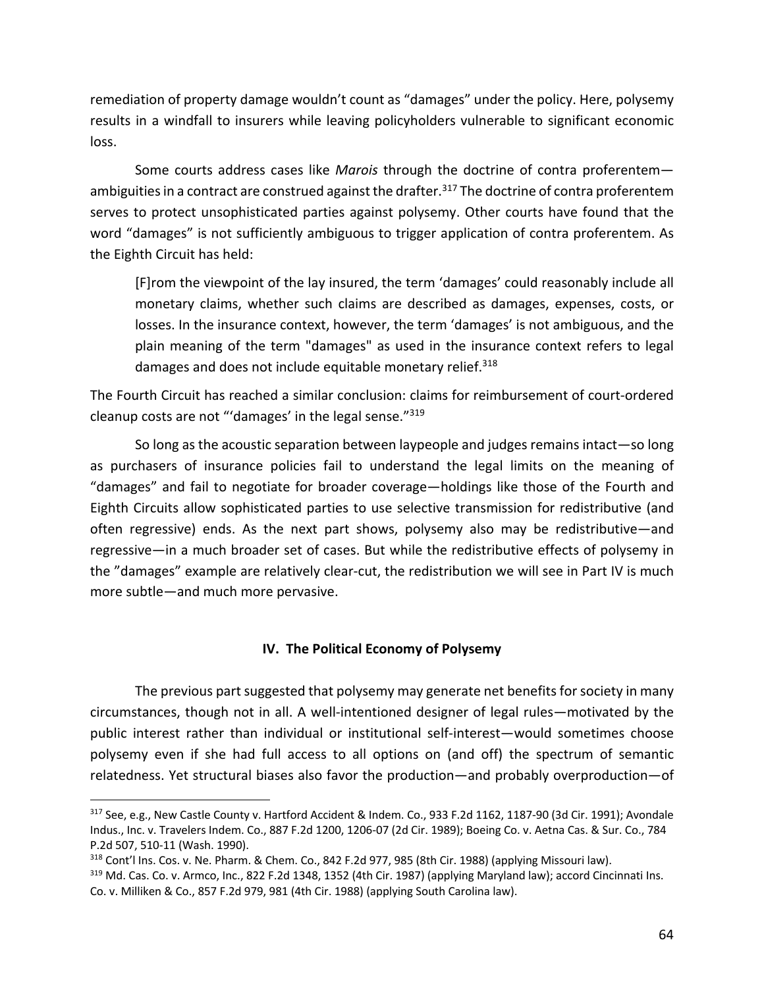remediation of property damage wouldn't count as "damages" under the policy. Here, polysemy results in a windfall to insurers while leaving policyholders vulnerable to significant economic loss.

Some courts address cases like *Marois* through the doctrine of contra proferentem ambiguities in a contract are construed against the drafter.<sup>317</sup> The doctrine of contra proferentem serves to protect unsophisticated parties against polysemy. Other courts have found that the word "damages" is not sufficiently ambiguous to trigger application of contra proferentem. As the Eighth Circuit has held:

[F]rom the viewpoint of the lay insured, the term 'damages' could reasonably include all monetary claims, whether such claims are described as damages, expenses, costs, or losses. In the insurance context, however, the term 'damages' is not ambiguous, and the plain meaning of the term "damages" as used in the insurance context refers to legal damages and does not include equitable monetary relief.<sup>318</sup>

The Fourth Circuit has reached a similar conclusion: claims for reimbursement of court-ordered cleanup costs are not "'damages' in the legal sense."319

So long as the acoustic separation between laypeople and judges remains intact—so long as purchasers of insurance policies fail to understand the legal limits on the meaning of "damages" and fail to negotiate for broader coverage—holdings like those of the Fourth and Eighth Circuits allow sophisticated parties to use selective transmission for redistributive (and often regressive) ends. As the next part shows, polysemy also may be redistributive—and regressive—in a much broader set of cases. But while the redistributive effects of polysemy in the "damages" example are relatively clear-cut, the redistribution we will see in Part IV is much more subtle—and much more pervasive.

# **IV. The Political Economy of Polysemy**

The previous part suggested that polysemy may generate net benefits for society in many circumstances, though not in all. A well-intentioned designer of legal rules—motivated by the public interest rather than individual or institutional self-interest—would sometimes choose polysemy even if she had full access to all options on (and off) the spectrum of semantic relatedness. Yet structural biases also favor the production—and probably overproduction—of

 $317$  See, e.g., New Castle County v. Hartford Accident & Indem. Co., 933 F.2d 1162, 1187-90 (3d Cir. 1991); Avondale Indus., Inc. v. Travelers Indem. Co., 887 F.2d 1200, 1206-07 (2d Cir. 1989); Boeing Co. v. Aetna Cas. & Sur. Co., 784 P.2d 507, 510-11 (Wash. 1990).

<sup>318</sup> Cont'l Ins. Cos. v. Ne. Pharm. & Chem. Co., 842 F.2d 977, 985 (8th Cir. 1988) (applying Missouri law). <sup>319</sup> Md. Cas. Co. v. Armco, Inc., 822 F.2d 1348, 1352 (4th Cir. 1987) (applying Maryland law); accord Cincinnati Ins. Co. v. Milliken & Co., 857 F.2d 979, 981 (4th Cir. 1988) (applying South Carolina law).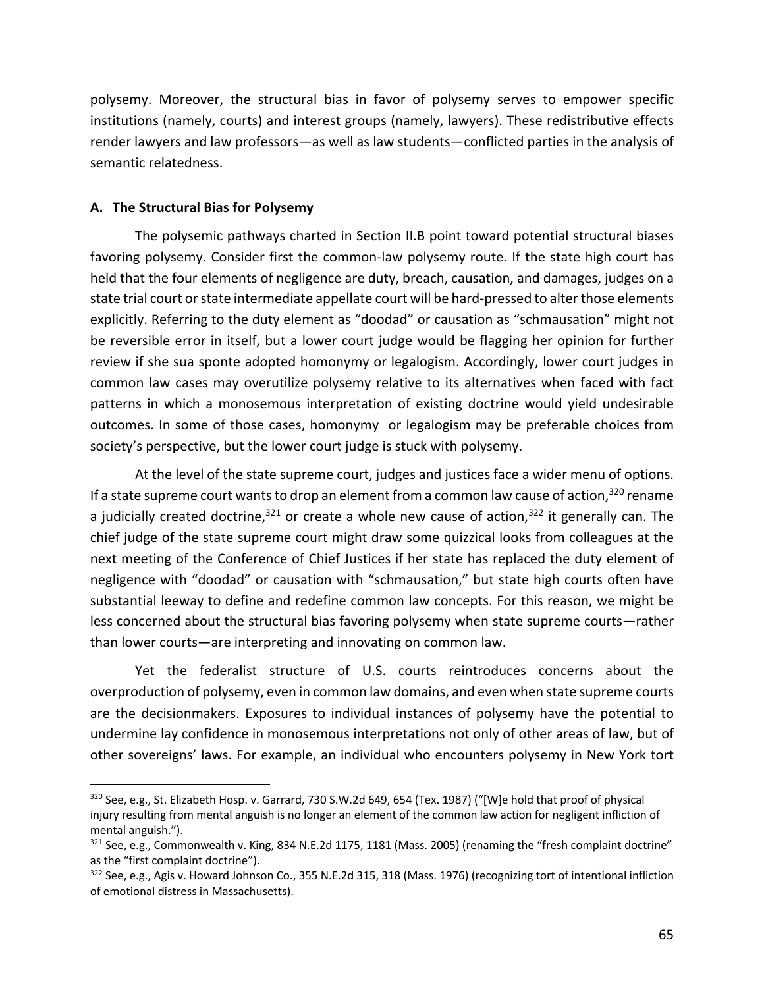polysemy. Moreover, the structural bias in favor of polysemy serves to empower specific institutions (namely, courts) and interest groups (namely, lawyers). These redistributive effects render lawyers and law professors—as well as law students—conflicted parties in the analysis of semantic relatedness.

### **A. The Structural Bias for Polysemy**

The polysemic pathways charted in Section II.B point toward potential structural biases favoring polysemy. Consider first the common-law polysemy route. If the state high court has held that the four elements of negligence are duty, breach, causation, and damages, judges on a state trial court or state intermediate appellate court will be hard-pressed to alter those elements explicitly. Referring to the duty element as "doodad" or causation as "schmausation" might not be reversible error in itself, but a lower court judge would be flagging her opinion for further review if she sua sponte adopted homonymy or legalogism. Accordingly, lower court judges in common law cases may overutilize polysemy relative to its alternatives when faced with fact patterns in which a monosemous interpretation of existing doctrine would yield undesirable outcomes. In some of those cases, homonymy or legalogism may be preferable choices from society's perspective, but the lower court judge is stuck with polysemy.

At the level of the state supreme court, judges and justices face a wider menu of options. If a state supreme court wants to drop an element from a common law cause of action,  $320$  rename a judicially created doctrine,  $321$  or create a whole new cause of action,  $322$  it generally can. The chief judge of the state supreme court might draw some quizzical looks from colleagues at the next meeting of the Conference of Chief Justices if her state has replaced the duty element of negligence with "doodad" or causation with "schmausation," but state high courts often have substantial leeway to define and redefine common law concepts. For this reason, we might be less concerned about the structural bias favoring polysemy when state supreme courts—rather than lower courts—are interpreting and innovating on common law.

Yet the federalist structure of U.S. courts reintroduces concerns about the overproduction of polysemy, even in common law domains, and even when state supreme courts are the decisionmakers. Exposures to individual instances of polysemy have the potential to undermine lay confidence in monosemous interpretations not only of other areas of law, but of other sovereigns' laws. For example, an individual who encounters polysemy in New York tort

 $320$  See, e.g., St. Elizabeth Hosp. v. Garrard, 730 S.W.2d 649, 654 (Tex. 1987) ("[W]e hold that proof of physical injury resulting from mental anguish is no longer an element of the common law action for negligent infliction of mental anguish.").

<sup>321</sup> See, e.g., Commonwealth v. King, 834 N.E.2d 1175, 1181 (Mass. 2005) (renaming the "fresh complaint doctrine" as the "first complaint doctrine").

 $322$  See, e.g., Agis v. Howard Johnson Co., 355 N.E.2d 315, 318 (Mass. 1976) (recognizing tort of intentional infliction of emotional distress in Massachusetts).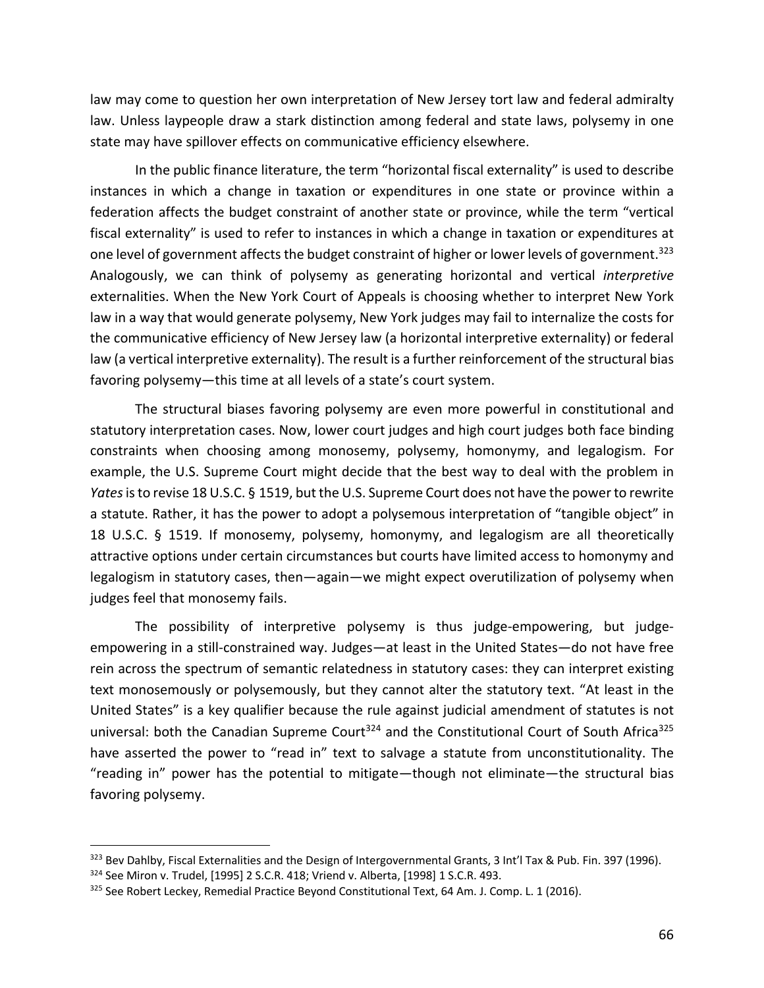law may come to question her own interpretation of New Jersey tort law and federal admiralty law. Unless laypeople draw a stark distinction among federal and state laws, polysemy in one state may have spillover effects on communicative efficiency elsewhere.

In the public finance literature, the term "horizontal fiscal externality" is used to describe instances in which a change in taxation or expenditures in one state or province within a federation affects the budget constraint of another state or province, while the term "vertical fiscal externality" is used to refer to instances in which a change in taxation or expenditures at one level of government affects the budget constraint of higher or lower levels of government.<sup>323</sup> Analogously, we can think of polysemy as generating horizontal and vertical *interpretive* externalities. When the New York Court of Appeals is choosing whether to interpret New York law in a way that would generate polysemy, New York judges may fail to internalize the costs for the communicative efficiency of New Jersey law (a horizontal interpretive externality) or federal law (a vertical interpretive externality). The result is a further reinforcement of the structural bias favoring polysemy—this time at all levels of a state's court system.

The structural biases favoring polysemy are even more powerful in constitutional and statutory interpretation cases. Now, lower court judges and high court judges both face binding constraints when choosing among monosemy, polysemy, homonymy, and legalogism. For example, the U.S. Supreme Court might decide that the best way to deal with the problem in *Yates*is to revise 18 U.S.C. § 1519, but the U.S. Supreme Court does not have the power to rewrite a statute. Rather, it has the power to adopt a polysemous interpretation of "tangible object" in 18 U.S.C. § 1519. If monosemy, polysemy, homonymy, and legalogism are all theoretically attractive options under certain circumstances but courts have limited access to homonymy and legalogism in statutory cases, then—again—we might expect overutilization of polysemy when judges feel that monosemy fails.

The possibility of interpretive polysemy is thus judge-empowering, but judgeempowering in a still-constrained way. Judges—at least in the United States—do not have free rein across the spectrum of semantic relatedness in statutory cases: they can interpret existing text monosemously or polysemously, but they cannot alter the statutory text. "At least in the United States" is a key qualifier because the rule against judicial amendment of statutes is not universal: both the Canadian Supreme Court<sup>324</sup> and the Constitutional Court of South Africa<sup>325</sup> have asserted the power to "read in" text to salvage a statute from unconstitutionality. The "reading in" power has the potential to mitigate—though not eliminate—the structural bias favoring polysemy.

<sup>323</sup> Bev Dahlby, Fiscal Externalities and the Design of Intergovernmental Grants, 3 Int'l Tax & Pub. Fin. 397 (1996). <sup>324</sup> See Miron v. Trudel, [1995] 2 S.C.R. 418; Vriend v. Alberta, [1998] 1 S.C.R. 493.

<sup>&</sup>lt;sup>325</sup> See Robert Leckey, Remedial Practice Beyond Constitutional Text, 64 Am. J. Comp. L. 1 (2016).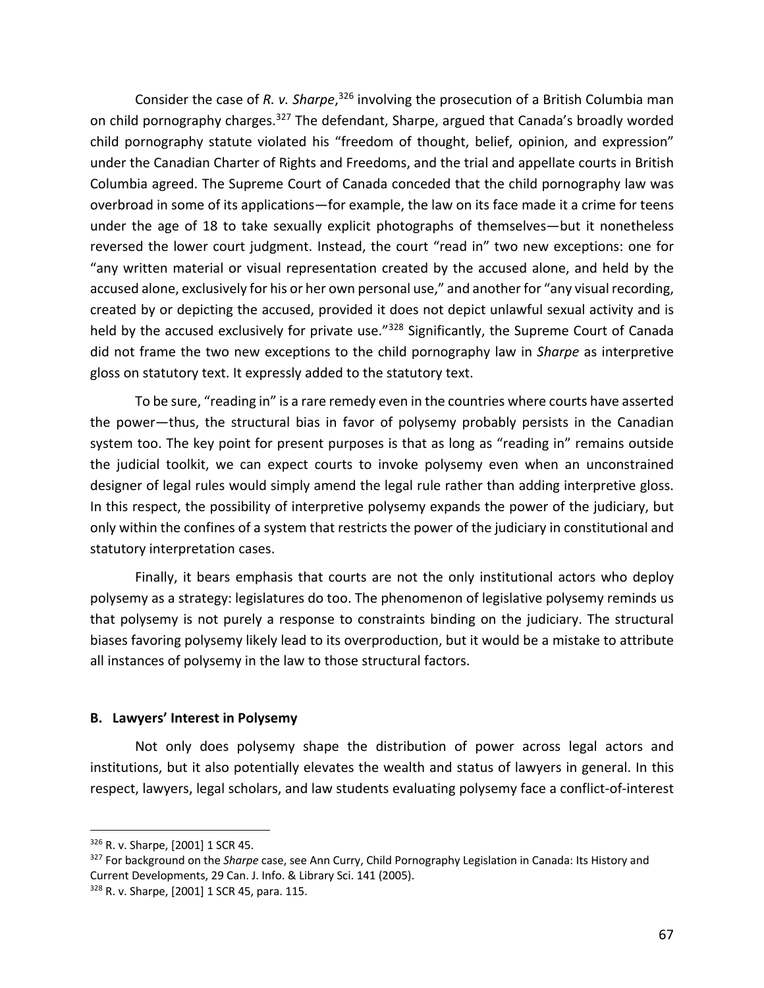Consider the case of R. v. Sharpe,<sup>326</sup> involving the prosecution of a British Columbia man on child pornography charges.<sup>327</sup> The defendant, Sharpe, argued that Canada's broadly worded child pornography statute violated his "freedom of thought, belief, opinion, and expression" under the Canadian Charter of Rights and Freedoms, and the trial and appellate courts in British Columbia agreed. The Supreme Court of Canada conceded that the child pornography law was overbroad in some of its applications—for example, the law on its face made it a crime for teens under the age of 18 to take sexually explicit photographs of themselves—but it nonetheless reversed the lower court judgment. Instead, the court "read in" two new exceptions: one for "any written material or visual representation created by the accused alone, and held by the accused alone, exclusively for his or her own personal use," and another for "any visual recording, created by or depicting the accused, provided it does not depict unlawful sexual activity and is held by the accused exclusively for private use."<sup>328</sup> Significantly, the Supreme Court of Canada did not frame the two new exceptions to the child pornography law in *Sharpe* as interpretive gloss on statutory text. It expressly added to the statutory text.

To be sure, "reading in" is a rare remedy even in the countries where courts have asserted the power—thus, the structural bias in favor of polysemy probably persists in the Canadian system too. The key point for present purposes is that as long as "reading in" remains outside the judicial toolkit, we can expect courts to invoke polysemy even when an unconstrained designer of legal rules would simply amend the legal rule rather than adding interpretive gloss. In this respect, the possibility of interpretive polysemy expands the power of the judiciary, but only within the confines of a system that restricts the power of the judiciary in constitutional and statutory interpretation cases.

Finally, it bears emphasis that courts are not the only institutional actors who deploy polysemy as a strategy: legislatures do too. The phenomenon of legislative polysemy reminds us that polysemy is not purely a response to constraints binding on the judiciary. The structural biases favoring polysemy likely lead to its overproduction, but it would be a mistake to attribute all instances of polysemy in the law to those structural factors.

#### **B. Lawyers' Interest in Polysemy**

Not only does polysemy shape the distribution of power across legal actors and institutions, but it also potentially elevates the wealth and status of lawyers in general. In this respect, lawyers, legal scholars, and law students evaluating polysemy face a conflict-of-interest

<sup>326</sup> R. v. Sharpe, [2001] 1 SCR 45.

<sup>327</sup> For background on the *Sharpe* case, see Ann Curry, Child Pornography Legislation in Canada: Its History and Current Developments, 29 Can. J. Info. & Library Sci. 141 (2005).

<sup>328</sup> R. v. Sharpe, [2001] 1 SCR 45, para. 115.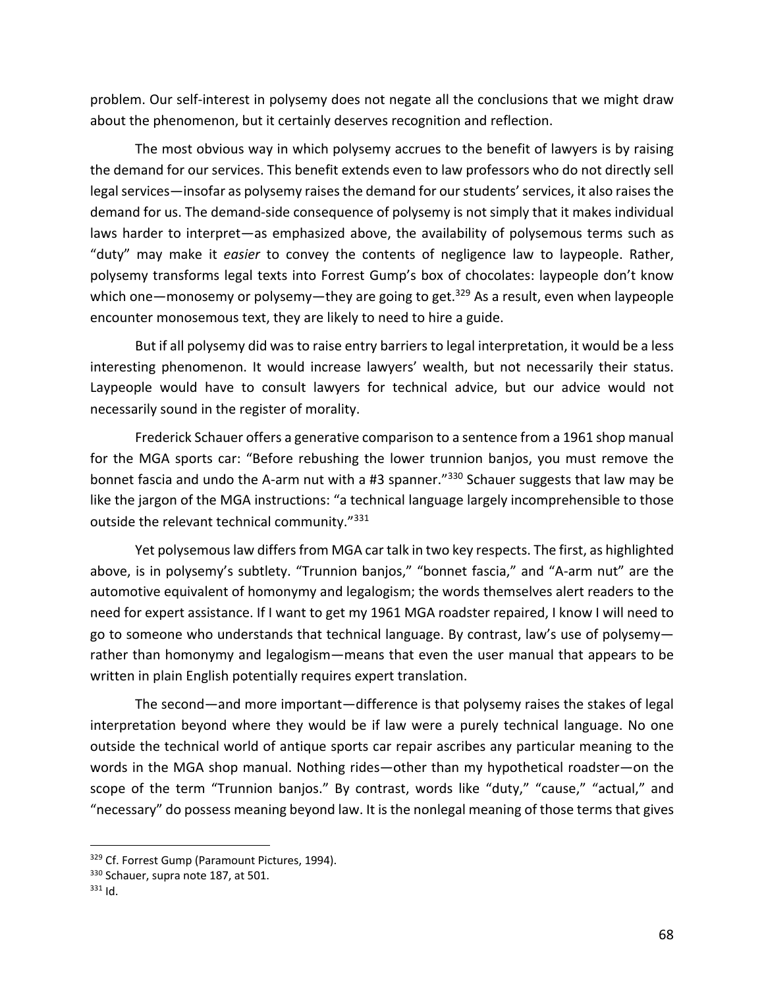problem. Our self-interest in polysemy does not negate all the conclusions that we might draw about the phenomenon, but it certainly deserves recognition and reflection.

The most obvious way in which polysemy accrues to the benefit of lawyers is by raising the demand for our services. This benefit extends even to law professors who do not directly sell legal services—insofar as polysemy raises the demand for our students' services, it also raises the demand for us. The demand-side consequence of polysemy is not simply that it makes individual laws harder to interpret—as emphasized above, the availability of polysemous terms such as "duty" may make it *easier* to convey the contents of negligence law to laypeople. Rather, polysemy transforms legal texts into Forrest Gump's box of chocolates: laypeople don't know which one—monosemy or polysemy—they are going to get.<sup>329</sup> As a result, even when laypeople encounter monosemous text, they are likely to need to hire a guide.

But if all polysemy did was to raise entry barriers to legal interpretation, it would be a less interesting phenomenon. It would increase lawyers' wealth, but not necessarily their status. Laypeople would have to consult lawyers for technical advice, but our advice would not necessarily sound in the register of morality.

Frederick Schauer offers a generative comparison to a sentence from a 1961 shop manual for the MGA sports car: "Before rebushing the lower trunnion banjos, you must remove the bonnet fascia and undo the A-arm nut with a #3 spanner.<sup>"330</sup> Schauer suggests that law may be like the jargon of the MGA instructions: "a technical language largely incomprehensible to those outside the relevant technical community."331

Yet polysemous law differs from MGA car talk in two key respects. The first, as highlighted above, is in polysemy's subtlety. "Trunnion banjos," "bonnet fascia," and "A-arm nut" are the automotive equivalent of homonymy and legalogism; the words themselves alert readers to the need for expert assistance. If I want to get my 1961 MGA roadster repaired, I know I will need to go to someone who understands that technical language. By contrast, law's use of polysemy rather than homonymy and legalogism—means that even the user manual that appears to be written in plain English potentially requires expert translation.

The second—and more important—difference is that polysemy raises the stakes of legal interpretation beyond where they would be if law were a purely technical language. No one outside the technical world of antique sports car repair ascribes any particular meaning to the words in the MGA shop manual. Nothing rides—other than my hypothetical roadster—on the scope of the term "Trunnion banjos." By contrast, words like "duty," "cause," "actual," and "necessary" do possess meaning beyond law. It is the nonlegal meaning of those terms that gives

<sup>329</sup> Cf. Forrest Gump (Paramount Pictures, 1994).

<sup>330</sup> Schauer, supra note 187, at 501.

 $331$  Id.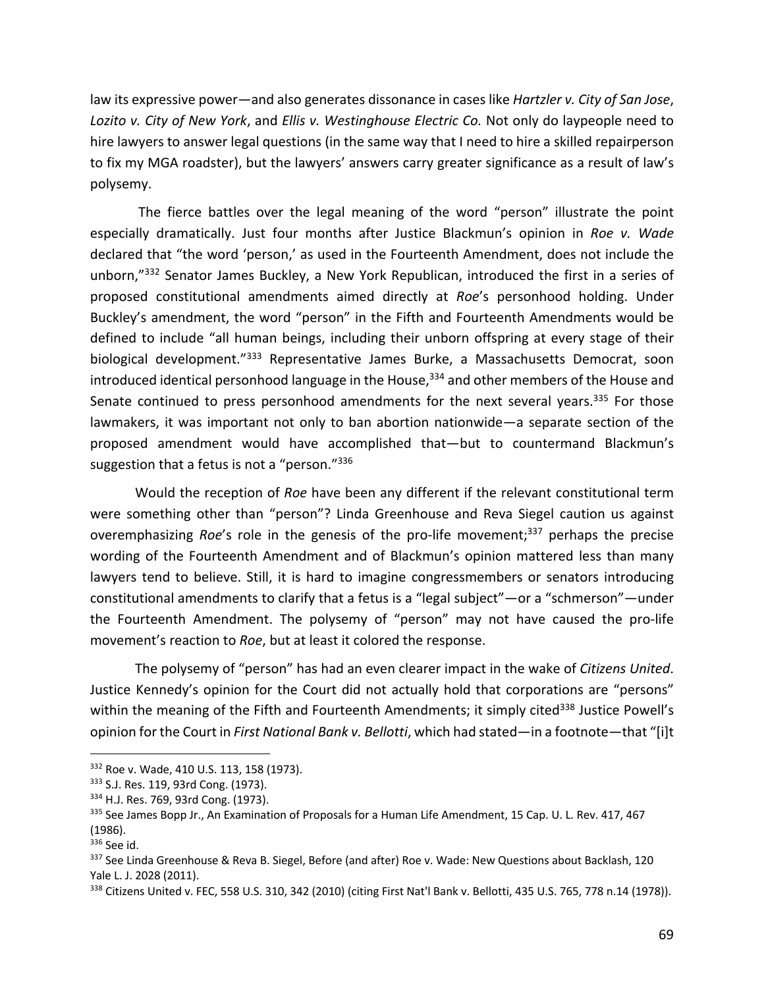law its expressive power—and also generates dissonance in cases like *Hartzler v. City of San Jose*, *Lozito v. City of New York*, and *Ellis v. Westinghouse Electric Co.* Not only do laypeople need to hire lawyers to answer legal questions (in the same way that I need to hire a skilled repairperson to fix my MGA roadster), but the lawyers' answers carry greater significance as a result of law's polysemy.

The fierce battles over the legal meaning of the word "person" illustrate the point especially dramatically. Just four months after Justice Blackmun's opinion in *Roe v. Wade* declared that "the word 'person,' as used in the Fourteenth Amendment, does not include the unborn,"332 Senator James Buckley, a New York Republican, introduced the first in a series of proposed constitutional amendments aimed directly at *Roe*'s personhood holding. Under Buckley's amendment, the word "person" in the Fifth and Fourteenth Amendments would be defined to include "all human beings, including their unborn offspring at every stage of their biological development.<sup>"333</sup> Representative James Burke, a Massachusetts Democrat, soon introduced identical personhood language in the House,<sup>334</sup> and other members of the House and Senate continued to press personhood amendments for the next several years.<sup>335</sup> For those lawmakers, it was important not only to ban abortion nationwide—a separate section of the proposed amendment would have accomplished that—but to countermand Blackmun's suggestion that a fetus is not a "person."336

Would the reception of *Roe* have been any different if the relevant constitutional term were something other than "person"? Linda Greenhouse and Reva Siegel caution us against overemphasizing *Roe*'s role in the genesis of the pro-life movement; <sup>337</sup> perhaps the precise wording of the Fourteenth Amendment and of Blackmun's opinion mattered less than many lawyers tend to believe. Still, it is hard to imagine congressmembers or senators introducing constitutional amendments to clarify that a fetus is a "legal subject"—or a "schmerson"—under the Fourteenth Amendment. The polysemy of "person" may not have caused the pro-life movement's reaction to *Roe*, but at least it colored the response.

The polysemy of "person" has had an even clearer impact in the wake of *Citizens United*. Justice Kennedy's opinion for the Court did not actually hold that corporations are "persons" within the meaning of the Fifth and Fourteenth Amendments; it simply cited<sup>338</sup> Justice Powell's opinion for the Court in *First National Bank v. Bellotti*, which had stated—in a footnote—that "[i]t

<sup>332</sup> Roe v. Wade, 410 U.S. 113, 158 (1973).

<sup>&</sup>lt;sup>333</sup> S.J. Res. 119, 93rd Cong. (1973).<br><sup>334</sup> H.J. Res. 769, 93rd Cong. (1973).

<sup>335</sup> See James Bopp Jr., An Examination of Proposals for a Human Life Amendment, 15 Cap. U. L. Rev. 417, 467 (1986).

<sup>336</sup> See id.

<sup>337</sup> See Linda Greenhouse & Reva B. Siegel, Before (and after) Roe v. Wade: New Questions about Backlash, 120 Yale L. J. 2028 (2011).

<sup>338</sup> Citizens United v. FEC, 558 U.S. 310, 342 (2010) (citing First Nat'l Bank v. Bellotti, 435 U.S. 765, 778 n.14 (1978)).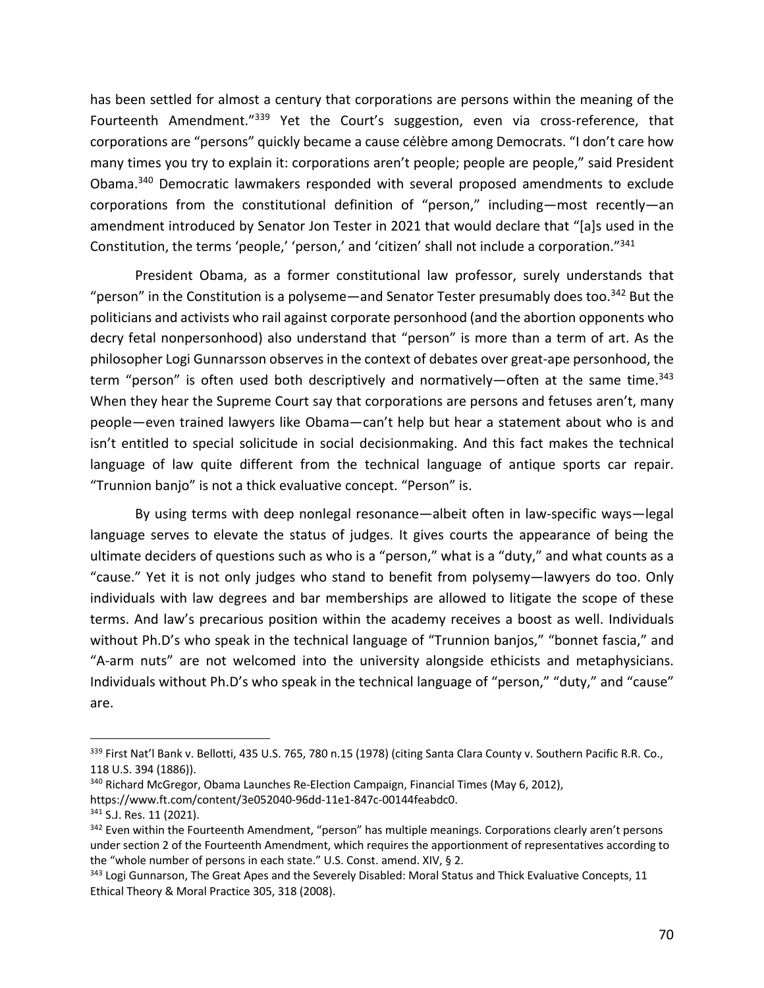has been settled for almost a century that corporations are persons within the meaning of the Fourteenth Amendment."<sup>339</sup> Yet the Court's suggestion, even via cross-reference, that corporations are "persons" quickly became a cause célèbre among Democrats. "I don't care how many times you try to explain it: corporations aren't people; people are people," said President Obama. <sup>340</sup> Democratic lawmakers responded with several proposed amendments to exclude corporations from the constitutional definition of "person," including—most recently—an amendment introduced by Senator Jon Tester in 2021 that would declare that "[a]s used in the Constitution, the terms 'people,' 'person,' and 'citizen' shall not include a corporation."341

President Obama, as a former constitutional law professor, surely understands that "person" in the Constitution is a polyseme—and Senator Tester presumably does too.<sup>342</sup> But the politicians and activists who rail against corporate personhood (and the abortion opponents who decry fetal nonpersonhood) also understand that "person" is more than a term of art. As the philosopher Logi Gunnarsson observes in the context of debates over great-ape personhood, the term "person" is often used both descriptively and normatively—often at the same time.<sup>343</sup> When they hear the Supreme Court say that corporations are persons and fetuses aren't, many people—even trained lawyers like Obama—can't help but hear a statement about who is and isn't entitled to special solicitude in social decisionmaking. And this fact makes the technical language of law quite different from the technical language of antique sports car repair. "Trunnion banjo" is not a thick evaluative concept. "Person" is.

By using terms with deep nonlegal resonance—albeit often in law-specific ways—legal language serves to elevate the status of judges. It gives courts the appearance of being the ultimate deciders of questions such as who is a "person," what is a "duty," and what counts as a "cause." Yet it is not only judges who stand to benefit from polysemy—lawyers do too. Only individuals with law degrees and bar memberships are allowed to litigate the scope of these terms. And law's precarious position within the academy receives a boost as well. Individuals without Ph.D's who speak in the technical language of "Trunnion banjos," "bonnet fascia," and "A-arm nuts" are not welcomed into the university alongside ethicists and metaphysicians. Individuals without Ph.D's who speak in the technical language of "person," "duty," and "cause" are.

<sup>339</sup> First Nat'l Bank v. Bellotti, 435 U.S. 765, 780 n.15 (1978) (citing Santa Clara County v. Southern Pacific R.R. Co., 118 U.S. 394 (1886)).

<sup>&</sup>lt;sup>340</sup> Richard McGregor, Obama Launches Re-Election Campaign, Financial Times (May 6, 2012),

https://www.ft.com/content/3e052040-96dd-11e1-847c-00144feabdc0.

<sup>&</sup>lt;sup>341</sup> S.J. Res. 11 (2021).

<sup>&</sup>lt;sup>342</sup> Even within the Fourteenth Amendment, "person" has multiple meanings. Corporations clearly aren't persons under section 2 of the Fourteenth Amendment, which requires the apportionment of representatives according to the "whole number of persons in each state." U.S. Const. amend. XIV, § 2.

<sup>&</sup>lt;sup>343</sup> Logi Gunnarson, The Great Apes and the Severely Disabled: Moral Status and Thick Evaluative Concepts, 11 Ethical Theory & Moral Practice 305, 318 (2008).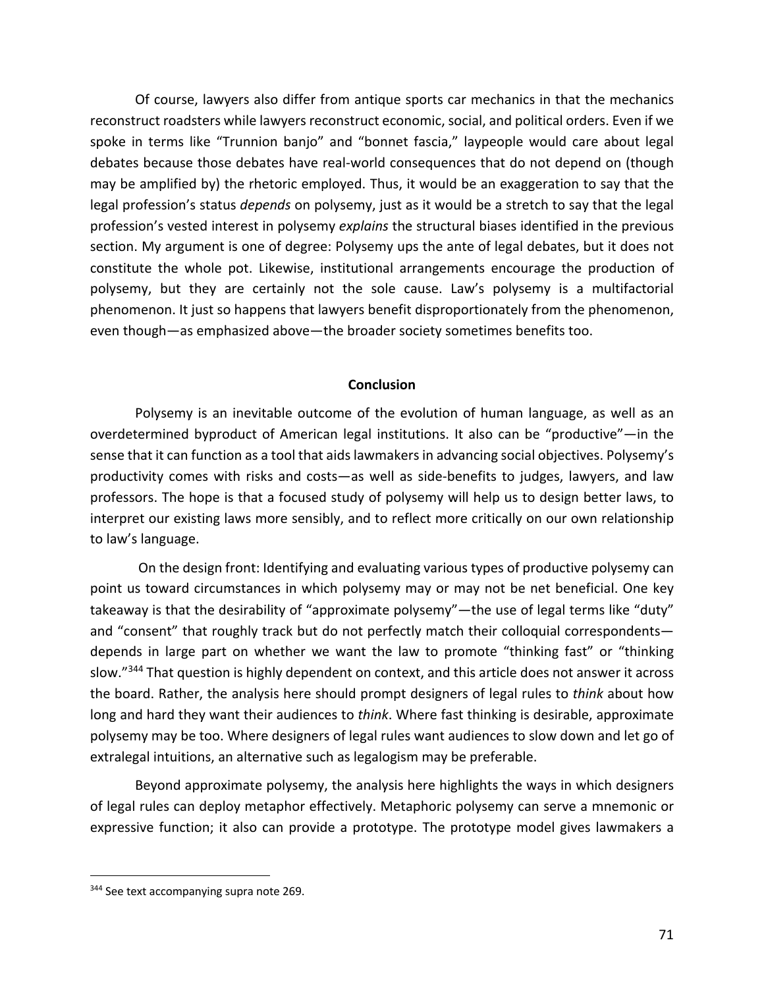Of course, lawyers also differ from antique sports car mechanics in that the mechanics reconstruct roadsters while lawyers reconstruct economic, social, and political orders. Even if we spoke in terms like "Trunnion banjo" and "bonnet fascia," laypeople would care about legal debates because those debates have real-world consequences that do not depend on (though may be amplified by) the rhetoric employed. Thus, it would be an exaggeration to say that the legal profession's status *depends* on polysemy, just as it would be a stretch to say that the legal profession's vested interest in polysemy *explains* the structural biases identified in the previous section. My argument is one of degree: Polysemy ups the ante of legal debates, but it does not constitute the whole pot. Likewise, institutional arrangements encourage the production of polysemy, but they are certainly not the sole cause. Law's polysemy is a multifactorial phenomenon. It just so happens that lawyers benefit disproportionately from the phenomenon, even though—as emphasized above—the broader society sometimes benefits too.

#### **Conclusion**

Polysemy is an inevitable outcome of the evolution of human language, as well as an overdetermined byproduct of American legal institutions. It also can be "productive"—in the sense that it can function as a tool that aids lawmakers in advancing social objectives. Polysemy's productivity comes with risks and costs—as well as side-benefits to judges, lawyers, and law professors. The hope is that a focused study of polysemy will help us to design better laws, to interpret our existing laws more sensibly, and to reflect more critically on our own relationship to law's language.

On the design front: Identifying and evaluating various types of productive polysemy can point us toward circumstances in which polysemy may or may not be net beneficial. One key takeaway is that the desirability of "approximate polysemy"—the use of legal terms like "duty" and "consent" that roughly track but do not perfectly match their colloquial correspondents depends in large part on whether we want the law to promote "thinking fast" or "thinking slow."<sup>344</sup> That question is highly dependent on context, and this article does not answer it across the board. Rather, the analysis here should prompt designers of legal rules to *think* about how long and hard they want their audiences to *think*. Where fast thinking is desirable, approximate polysemy may be too. Where designers of legal rules want audiences to slow down and let go of extralegal intuitions, an alternative such as legalogism may be preferable.

Beyond approximate polysemy, the analysis here highlights the ways in which designers of legal rules can deploy metaphor effectively. Metaphoric polysemy can serve a mnemonic or expressive function; it also can provide a prototype. The prototype model gives lawmakers a

<sup>&</sup>lt;sup>344</sup> See text accompanying supra note 269.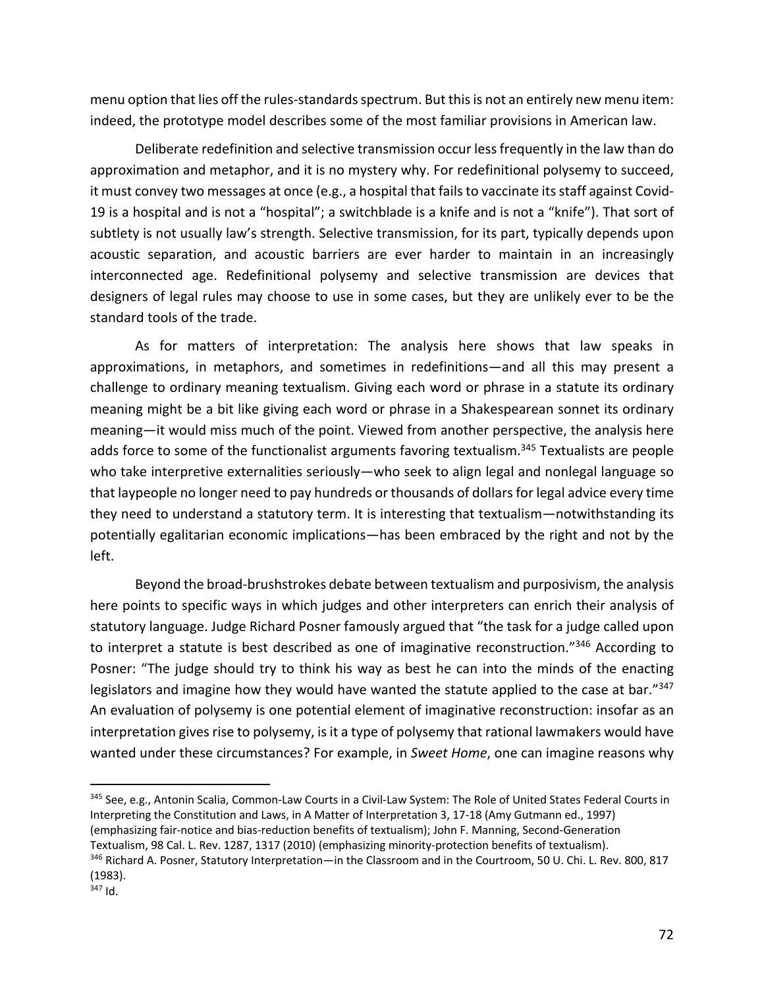menu option that lies off the rules-standards spectrum. But this is not an entirely new menu item: indeed, the prototype model describes some of the most familiar provisions in American law.

Deliberate redefinition and selective transmission occur less frequently in the law than do approximation and metaphor, and it is no mystery why. For redefinitional polysemy to succeed, it must convey two messages at once (e.g., a hospital that fails to vaccinate its staff against Covid-19 is a hospital and is not a "hospital"; a switchblade is a knife and is not a "knife"). That sort of subtlety is not usually law's strength. Selective transmission, for its part, typically depends upon acoustic separation, and acoustic barriers are ever harder to maintain in an increasingly interconnected age. Redefinitional polysemy and selective transmission are devices that designers of legal rules may choose to use in some cases, but they are unlikely ever to be the standard tools of the trade.

As for matters of interpretation: The analysis here shows that law speaks in approximations, in metaphors, and sometimes in redefinitions—and all this may present a challenge to ordinary meaning textualism. Giving each word or phrase in a statute its ordinary meaning might be a bit like giving each word or phrase in a Shakespearean sonnet its ordinary meaning—it would miss much of the point. Viewed from another perspective, the analysis here adds force to some of the functionalist arguments favoring textualism.<sup>345</sup> Textualists are people who take interpretive externalities seriously—who seek to align legal and nonlegal language so that laypeople no longer need to pay hundreds or thousands of dollars for legal advice every time they need to understand a statutory term. It is interesting that textualism—notwithstanding its potentially egalitarian economic implications—has been embraced by the right and not by the left.

Beyond the broad-brushstrokes debate between textualism and purposivism, the analysis here points to specific ways in which judges and other interpreters can enrich their analysis of statutory language. Judge Richard Posner famously argued that "the task for a judge called upon to interpret a statute is best described as one of imaginative reconstruction."<sup>346</sup> According to Posner: "The judge should try to think his way as best he can into the minds of the enacting legislators and imagine how they would have wanted the statute applied to the case at bar."347 An evaluation of polysemy is one potential element of imaginative reconstruction: insofar as an interpretation gives rise to polysemy, is it a type of polysemy that rational lawmakers would have wanted under these circumstances? For example, in *Sweet Home*, one can imagine reasons why

<sup>345</sup> See, e.g., Antonin Scalia, Common-Law Courts in a Civil-Law System: The Role of United States Federal Courts in Interpreting the Constitution and Laws, in A Matter of Interpretation 3, 17-18 (Amy Gutmann ed., 1997) (emphasizing fair-notice and bias-reduction benefits of textualism); John F. Manning, Second-Generation Textualism, 98 Cal. L. Rev. 1287, 1317 (2010) (emphasizing minority-protection benefits of textualism).

<sup>346</sup> Richard A. Posner, Statutory Interpretation—in the Classroom and in the Courtroom, 50 U. Chi. L. Rev. 800, 817 (1983).

 $347$  Id.